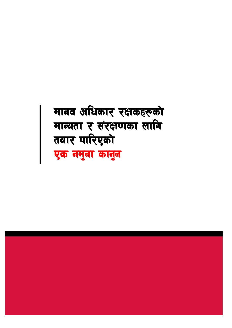# मानव अधिकार रक्षकहरूको मान्यता र संरक्षणका लागि तयार पारिएको एक नमुना कानुन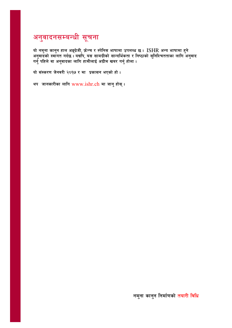## अनुवादनसम्बन्धी सूचना

यो नमुना कानुन हाल अङ्ग्रेजी, फ्रेन्च र स्पेनिस भाषामा उपलब्ध छ । ISHR अन्य भाषामा हुने अनुवादको स्वागत गर्दछ । यद्यपि, यस सामग्रीको सान्दर्भिकता र निष्ठाको सुनिश्चितताका लागि अनुवाद<br>गर्नु पहिले वा अनुवादका लागि हामीलाई अग्रीम खबर गर्नु होला ।

यो संस्करण जेनवरी २०१७ र मा प्रकासन भएको हो।

थप जानकारीका लागि www.ishr.ch मा जानु होस् ।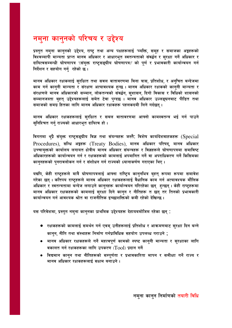## नमुना कानुनको परिचय र उद्देश्य

प्रस्तुत नमुना कानुनको उद्देश्य, राष्ट्र तथा अन्य पक्षहरूलाई 'व्यक्ति, समूह र समाजका अ<mark>ङ्ग</mark>हरूको विश्वव्यापी मान्यता प्राप्त मानव अधिकार र आधारभूत स्वतन्त्रताको संवर्द्धन र सुरक्षा गर्ने अधिकार र दायित्वसम्बन्धी घोषणापत्र '(संयुक्त राष्ट्रसङ्घीय घोषणापत्र)' को पूर्ण र प्रभावकारी कार्यान्वयन गर्न निर्देशन र सहयोग गर्नु रहेको छ।

मानव अधिकार रक्षकलाई सुरक्षित तथा सवल वातावरणमा बिना त्रास, प्रतिशोध, र अनुचित बन्देजमा काम गर्न कान्नी मान्यता र संरक्षण अत्यावश्यक हुन्छ । मानव अधिकार रक्षकको कान्**नी मान्यता** र संरक्षणले मानव अधिकारको सम्मान, लोकतन्त्रको संवर्द्धन, सुशासन, दिगो विकास र विधिको शासनको सम्मानजस्ता बृहत् उद्देश्यहरूलाई समेत टेवा पुग्दछ । मानव अधिकार उल्लङ्घनबाट पीडित तथा समाजको समग्र हितका लागि मानव अधिकार रक्षकहरू पहलकदमी लिने गर्दछन् ।

मानव अधिकार रक्षकहरूलाई सुरक्षित र सबल वातावरणमा आफ्नो कामस्वतन्त्र भई गर्न पाउने सुनिश्चित गर्न् राज्यको आधारभूत दायित्व हो।

विगतमा थुप्रै संयुक्त राष्ट्रसङ्घीय विज्ञ तथा संयन्त्रहरू जस्तै: विशेष कार्यादेशवाहकहरू (Special Procedures), सन्धि अङ्गहरू (Treaty Bodies), मानव अधिकार परिषद्, मानव अधिकार उच्चायक्तको कार्यालय लगायत क्षेत्रीय मानव अधिकार संयन्त्रहरू र विज्ञहरूले घोषणापत्रमा समाविष्ट अधिकारहरूको कार्यान्वयन गर्न र रक्षकहरूको कामलाई अपमानित गर्ने वा अपराधिकरण गर्ने किसिमका कानुनहरूको पुनरावलोकन गर्न र संशोधन गर्न राज्यको ध्यानाकर्षण गराएका थिए।

यद्यपि, केही राष्ट्रहरूले मात्रै घोषणापत्रलाई आफ्ना राष्ट्रिय कान्**नभित्र बृहत् रूपमा रूपमा समावेश** गरेका छन् । कतिपय राष्ट्रहरूले मानव अधिकार रक्षकहरूलाई वैधानिक काम गर्न अत्यावश्यक मौलिक अधिकार र स्वतन्त्रतामा बन्देज लगाउने कानुनहरू कार्यान्वयन गरिरहेका छन् हुन्छन् । केही राष्ट्रहरूमा मानव अधिकार रक्षकहरूको कामलाई सुरक्षा दिने कानुन र नीतिहरू त छन् तर तिनको प्रभावकारी कार्यान्वयन गर्न आवश्यक श्रोत वा राजनीतिक इच्छाशक्तिको कमी रहेको देखिन्छ ।

यस परिवेशमा, प्रस्तुत नमुना कानुनका प्राथमिक उद्देश्यहरू देहायबमोजिम रहेका छन् :

- रक्षकहरूको कामलाई समर्थन गर्न एवम् उनीहरूलाई प्रतिशोध र आक्रमणबाट सुरक्षा दिन बन्ने कानुन, नीति तथा संस्थाहरू निर्माण गर्नप्राविधिक सहयोग उपलब्ध गराउने ;
- मानव अधिकार रक्षकहरूले गर्ने महत्वपूर्ण कामको स्पष्ट कानुनी मान्यता र सुरक्षाका लागि वकालत गर्न रक्षकहरूका लागि उपकरण  $(Tool)$  प्रदान गर्ने
- विद्यमान कानुन तथा नीतिहरूको सम्पूर्णता र प्रभावकारिता मापन र समीक्षा गर्ने राज्य र मानव अधिकार रक्षकहरूलाई सक्षम बनाउने ।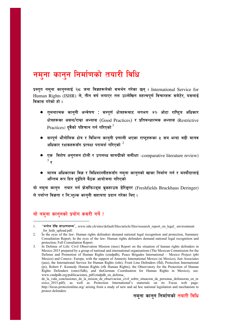## नमना कानुन निर्माणको तयारी विधि

प्रस्तत नमना काननलाई २८ जना विज्ञहरूलेको समर्थन गरेका छन्। International Service for Human Rights (ISHR) ले, तीन वर्ष लगाएर तल उल्लेखित महत्वपूर्ण विचारहरू समेटेर, यसलाई विकास गरेको हो ।

- तलनात्मक काननी अन्वेषण : सम्पर्ण क्षेत्रहरूबाट लगभग ४० ओटा राष्टिय अधिकार क्षेत्रहरूका असल/राम्रा अभ्यास (Good Practices) र प्रतिबन्धात्मक अभ्यास (Restrictive Practices) दवैको पहिचान गर्न गरिएको $^\mathrm{1}$
- सम्पर्ण भौगोलिक क्षेत्र र विभिन्न काननी प्रणाली भएका राष्टहरूका ५ सय भन्दा बढी मानव अधिकार रक्षकहरूसँग प्रत्यक्ष परामर्श गरिएको  $^{\mathrm{2}}$
- एक विशेष अनुगमन टोली र उपलब्ध सामग्रीको समीक्षा -comparative literature review)  $3\overline{z}$
- मानव अधिकारका विज्ञ र विधिशास्त्रीहरूसँग नम्**ना कान्**नको खाका निर्माण गर्न र मस्यौदालाई अन्तिम रूप दिन दुईदिने बैठक आयोजना गरिएको

यो नमना कान्न तयार गर्न फ्रेसफिल्ड्स बूकहाउस डेरिङ्गर (Freshfields Bruckhaus Deringer) ले पर्याप्त विज्ञता र नि:शुल्क कानुनी सहायता प्रदान गरेका थिए।

### यो नमुना कानुनको प्रयोग कसरी गर्ने ?

<sup>&#</sup>x27;बन्देज देखि संरक्षणसम्म', www.ishr.ch/sites/default/files/article/files/research\_report\_on\_legal\_environment  $1.$ for hrds upload.pdf.

 $\overline{2}$ . In the eyes of the law: Human rights defenders demand national legal recognition and protection, Summary Consultation Report; In the eyes of the law: Human rights defenders demand national legal recognition and protection, Full Consultation Report.

In Defense of Life: Civil Observation Mission (moc) Report on the situation of human rights defenders in 3. Mexico 2015 prepared by a group of national and international organisations (The Mexican Commission for the Defense and Promotion of Human Rights (cmdpdh), Peace Brigades International – Mexico Project (pbi Mexico) and Conexx- Europe, with the support of Amnesty International Mexico (ai Mexico), Just Associates (jass), the International Service for Human Rights (ishr), Front Line Defenders (fld), Protection International (pi), Robert F. Kennedy Human Rights (rfk Human Rights), the Observatory for the Protection of Human Rights Defenders (omct/fidh), and theGerman Coordination for Human Rights in Mexico), see: www.cmdpdh.org/publicaciones\_pdf/cmdpdh\_en\_defensa\_

de la vida conclusiones de la mision de observacion civil sobre situacion de personas defensoras en m exico\_2015.pdf); as well as Protection International's materials on its Focus web page: http://focus.protectionline.org/ arising from a study of new and ad hoc national legislation and mechanism to protect defenders.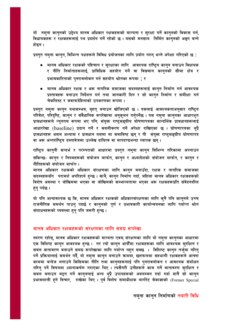यो नमना कानुनको उद्देश्य मानव अधिकार रक्षकहरूको मान्यता र सुरक्षा गर्ने कानुनको विकास गर्न, विधायकहरू र रक्षकहरूलाई पथ प्रदर्शन गर्ने रहेको छ । यसको मनसाय निर्मित कानुनको अङ्ग बन्ने होइन ।

प्रस्तुत नमुना कानुन, विभिन्न पक्षहरूले विविध प्रयोजनका लागि प्रयोग गरुन् भन्ने अपेक्षा गरिएको छ :

- मानव अधिकार रक्षकको पहिचान र सुरक्षाका लागि आवश्यक राष्ट्रिय कानुन बनाउन विधायक र नीति निर्माताहरूलाई, प्राविधिक सहयोग गर्ने वा विद्यमान कान्**नको सीमा क्षेत्र** र प्रभावकारिताको पुनरावलोकन गर्न सहयोग श्रोतका रूपमा ; र
- मानव अधिकार रक्षक र अरू नागरिक समाजका सदस्यहरूलाई कानुन निर्माण गर्न आवश्यक प्रस्तावहरू बनाउन निर्देशन गर्न तथा जानकारी दिन र सो कानन निर्माण र समीक्षा गर्न चेकलिस्ट र जवाफदेहिताको उपकरणका रूपमा।

प्रस्तुत नमुना कानुन यथासम्भव, बृहत् बनाउन खोजिएको छ । यसलाई आवश्यकताअनुसार राष्ट्रिय परिवेश, परिदृष्टि, कानुन र संवैधानिक रूपरेखामा अनुकूलन गर्नुपर्नेछ । यस नमुना कानुनका आधारभूत प्रावधानहरूले न्यूनतम रूपमा भए पनि, संयुक्त राष्ट्रसङ्घीय घोषणापत्रका सान्दर्भिक प्रावधानहरूलाई आधाररेखा (baseline) प्रदान गर्ने र सबलीकरण गर्ने अपेक्षा राखिएका छ । घोषणापत्रका थ्प्रै प्रावधानहरू असल अभ्यास र प्रावधान यसमा मा समाविष्ट छन् र ती संयुक्त राष्ट्सङ्घीय घोषणापत्र वा अरू अन्तर्राष्ट्रिय दस्तावेजमा उल्लेख दायित्व वा मापदण्डभन्दा व्यापक छन्।

राष्ट्रिय कानुनी सन्दर्भ र परम्पराको आधारमा प्रस्तुत नमुना कानुन विभिन्न तरिकामा अपनाउन सकिन्छ- कानुन र नियमहरूको संयोजन मार्फत, कानुन र अध्यादेशको संयोजन मार्फत, र कानुन र नीतिहरूको संयोजन मार्फत ।

मानव अधिकार रक्षकको अधिकार संरक्षणका लागि कानुन बनाउँदा, रक्षक र नागरिक समाजका सदस्यहरूसँग परामर्श अपरिहार्य हुन्छ । साथै, कानुन निर्माण गर्दा, महिला मानव अधिकार रक्षकहरूको विशेष अवस्था र जोखिममा भएका वा जोखिमको सम्भाव्यतामा भएका अरू रक्षकहरूप्रति संवेदनशील हन् पर्दछ ।

यो पनि अत्यावश्यक छ कि, मानव अधिकार रक्षकको अधिकारसंरक्षणका लागि कुनै पनि कानुनले उच्च राजनीतिक समर्थन पाउनु पदर्छ र कानुनको पूर्ण र प्रभावकारी कार्यान्वयनका लागि पर्याप्त श्रोत संशाधनहरूको व्यवस्था हुनु पनि जरूरी हुन्छ ।

#### मानव अधिकार रक्षकहरूको संरक्षणका लागि समग्र रूपरेखा

स्मरण रहोस्, मानव अधिकार रक्षकहरूको मान्यता एवम् संरक्षणका लागि यो नमुना कानुनका आधारमा एक विशिष्ट कानुन आवश्यक हुन्छ । तर त्यो कानुन आफैँमा रक्षकहरूका लागि आवश्यक सुरक्षित र सबल वातावरण बनाउने समग्र रूपरेखाका लागि पर्याप्त नहुन सक्छ । विशिष्ट कानुन तर्जुमा गरिनु पर्ने प्रक्रियालाई समर्थन गर्दै, यो नमुना कानुन बनाउने कममा, छलफलमा सहभागी रक्षकहरूले आफ्ना काममा बन्देज लगाउने किसिमका नीति तथा कानुनहरूलाई पनि पुनरावलोकन र आवश्यक संशोधन गरिनु पर्ने विषयमा ध्यानाकर्षण गराएका थिए । त्यसैगरी उनीहरूले काम गर्ने वातावरण सुरक्षित र सबल बनाउन मद्दत गर्ने कानुनलाई अन्य थुप्रै उपायहरूको अबलम्वन गर्दा गर्दा मात्रै सो कानुन प्रभावशाली हुने विचार, राखेका थिए । पूर्व विशेष समाधीक्षक मार्गरेट सेकाज्ञाको (Former Special

#### नमुना कानुन निर्माणको तयारी विधि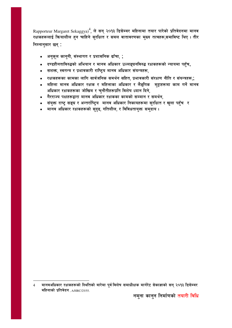Rapporteur Margaret Sekaggya)<sup>4</sup>, ले सन् २०१३ डिसेम्बर महिनामा तयार पारेको प्रतिवेदनमा मानव रक्षकहरूलाई क्रियाशील हन चाहिने सुरक्षित र सबल वातावरणका मुख्य तत्वहरू,समाविष्ट थिए । तीर निम्नानुसार छन् :

- अनुकूल कानुनी, संस्थागत र प्रशासनिक ढाँचा, ;  $\bullet$
- दण्डहीनताविरुद्धको अभियान र मानव अधिकार उल्लङ्घनविरुद्ध रक्षकहरूको न्यायमा पहुँच,  $\bullet$
- सशक्त, स्वतन्त्र र प्रभावकारी राष्ट्रिय मानव अधिकार संयन्त्रहरू,  $\bullet$
- रक्षकहरूका कामका लागि सार्वजनिक समर्थन सहित, प्रभावकारी संरक्षण नीति र संयन्त्रहरू,;
- महिला मानव अधिकार रक्षक र महिलाका अधिकार र लैङ्गिक मुद्दाहरूमा काम गर्ने मानव अधिकार रक्षकहरूका जोखिम र चुनौतीहरूप्रति विशेष ध्यान दिने,
- गैरराज्य पक्षहरूद्वारा मानव अधिकार रक्षकका कामको सम्मान र समर्थन,
- संयुक्त राष्ट्र सङ्घ र अन्तर्राष्ट्रिय मानव अधिकार निकायहरूमा सुरक्षित र खुला पहुँच र
- मानव अधिकार रक्षकहरूको सुदृढ, गतिशील, र विविधतायुक्त समुदाय ।

मानवअधिकार रक्षकहरूको स्थितिको बारेमा पूर्व विशेष समाधीक्षक मार्गरेट सेकाज्ञाको सन् २०१३ डिसेम्बर  $\overline{4}$ महिनाको प्रतिवेदन, A/HRC/25/55.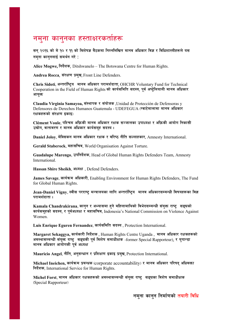## नमुना कानुनका हस्ताक्षरकर्ताहरू

सन् २०१६ को मे १० र ११ को विशेषज्ञ बैठकमा निम्नलिखित मानव अधिकार विज्ञ र विधिशास्त्रीहरूले यस नमना काननलाई समर्थन गरे:

Alice Mogwe, निर्देशक, Ditshwanelo – The Botswana Centre for Human Rights.

Andrea Rocca, संरक्षण प्रमुख, Front Line Defenders.

Chris Sidoti, अन्तर्राष्ट्रिय मानव अधिकार परामर्शदाता, OHCHR Voluntary Fund for Technical Cooperation in the Field of Human Rights को कार्यसमिति सदस्य, पर्व अष्टेलियाली मानव अधिकार आयक्त

Claudia Virginia Samayoa, संस्थापक र संयोजक, Unidad de Protección de Defensoras y Defensores de Derechos Humanos Guatemala - UDEFEGUA (ग्वाटेमालामा मानव अधिकार रक्षकहरूको संरक्षण इकाइ)

Clément Voule, पश्चिम अफ्रिकी मानव अधिकार रक्षक सञ्जालका उपाध्यक्ष र अफ्रिकी आयोग निकासी उद्योग, वातावरण र मानव अधिकार कार्यसमह सदस्य।

Daniel Joloy, मेक्सिकन मानव अधिकार रक्षक र वरिष्ठ नीति सल्लाहकार, Amnesty International.

Gerald Staberock, महासचिव, World Organisation Against Torture.

Guadalupe Marengo, उपनिर्देशक, Head of Global Human Rights Defenders Team, Amnesty International.

Hassan Shire Sheikh, अध्यक्ष , Defend Defenders.

James Savage, कार्यक्रम अधिकारी, Enabling Environment for Human Rights Defenders, The Fund for Global Human Rights.

Jean-Daniel Vigny, स्वीस परराष्ट मन्त्रालयका लागि अन्तर्राष्टिय मानव अधिकारसम्बन्धी विषयहरूका विज्ञ परामर्शदाता $\overline{\phantom{a}}$ ।

Kamala Chandrakirana, कानन र अभ्यासमा हने महिलामाथिको विभेदसम्बन्धी संयक्त राष्ट**र सङ्घको** कार्यसमहको सदस्य, र पर्वअध्यक्ष र महासचिव, Indonesia's National Commission on Violence Against Women.

Luis Enrique Eguren Fernandez, कार्यसमिति सदस्य, Protection International.

Margaret Sekaggya, कार्यकारी निर्देशक , Human Rights Centre Uganda , मानव अधिकार रक्षकहरूको अवस्थासम्बन्धी संयुक्त राष्ट्र सङ्घकी पूर्व विशेष समाधीक्षक -former Special Rapporteur), र युगान्डा मानव अधिकार आयोगकी पूर्व अध्यक्ष

Mauricio Angel, नीति, अनुसन्धान र प्रशिक्षण इकाइ प्रमुख, Protection International.

Michael Ineichen, कार्यक्रम प्रबन्धक (corporate accountability) र मानव अधिकार परिषद अधिवक्ता निर्देशक, International Service for Human Rights.

Michel Forst, मानव अधिकार रक्षकहरूको अवस्थासम्बन्धी संयुक्त राष्ट्र सङ्घका विशेष समाधीक्षक (Special Rapporteur)

नमना कानन निर्माणको तयारी विधि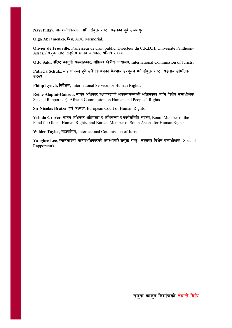Navi Pillay, मानवअधिकारका लागि संयक्त राष्ट**्र सङ्घका पर्व उच्चायक्त** 

**Olga Abramenko, विज्ञ, ADC Memorial.** 

**Olivier de Frouville**, Professeur de droit public, Directeur du C.R.D.H. Université Panthéon- $\lambda$ ssas, / संयुक्त राष्ट् सङ्घीय मानव अधिकार समिति सदस्य

**Otto Saki, वरिष्ठ काननी सल्लाहकार, अफ्रिका क्षेत्रीय कार्यालय, International Commission of Jurists.** 

Patricia Schulz, महिलाविरुद्ध हने सबै किसिमका भेदभाव उन्मलन गर्ने संयक्त राष्ट**्र सङ्घीय समितिका** सदस्य

Philip Lynch, निर्देशक, International Service for Human Rights.

Reine Alapini-Gansou, मानव अधिकार रक्षकहरूको अवस्थासम्बन्धी अफ्रिकाका लागि विशेष समाधीक्षक -Special Rapporteur), African Commission on Human and Peoples' Rights.

Sir Nicolas Bratza, पूर्व अध्यक्ष, European Court of Human Rights.

Vrinda Grover, मानव अधिकार अधिवक्ता र अभियन्ता र कार्यसमिति सदस्य, Board Member of the Fund for Global Human Rights, and Bureau Member of South Asians for Human Rights.

Wilder Tayler, महासचिव, International Commission of Jurists.

Yanghee Lee, म्यानमारमा मानवअधिकारको अवस्थाबारे संयुक्त राष्ट्र सङ्घका विशेष समाधीक्षक -Special Rapporteur)

नमना कानन निर्माणको तयारी विधि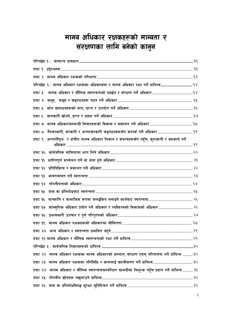## मानव अधिकार रक्षकहरूको मान्यता <mark>र</mark> संरक्षणका लागि बनेको कानुन

|        | परिच्छेद २ : मानव अधिकार रक्षकका अधिकारहरू र मानव अधिकार रक्षा गर्ने दायित्व  १४                     |
|--------|------------------------------------------------------------------------------------------------------|
| दफा ३  |                                                                                                      |
|        |                                                                                                      |
|        |                                                                                                      |
|        |                                                                                                      |
| दफा ७  |                                                                                                      |
|        |                                                                                                      |
|        | दफा ९ अन्तर्राष्ट्रिय र क्षेत्रीय मानव अधिकार निकाय र संयन्त्रहरूसँग पहुँच, कुराकानी र सहकार्य गर्ने |
|        |                                                                                                      |
|        |                                                                                                      |
|        |                                                                                                      |
| दफा १३ |                                                                                                      |
| दफा १४ |                                                                                                      |
| दफा १५ |                                                                                                      |
| दफा १६ |                                                                                                      |
|        | दफा १७ सांस्कृतिक अधिकार प्रयोग गर्ने अधिकार र व्यक्तित्वको विकासको अधिकार  २६                       |
|        |                                                                                                      |
|        |                                                                                                      |
|        |                                                                                                      |
|        |                                                                                                      |
|        |                                                                                                      |
|        | दफा २२ मानव अधिकार रक्षकका मानव अधिकारको सम्मान, संरक्षण एवम् परिपालना गर्ने दायित्व ३०              |
|        | दफा २३ मानव अधिकार रक्षकका गतिविधि र कामलाई सहजीकरण गर्ने दायित्व ३०                                 |
|        | दफा २४  मानव अधिकार र मौलिक स्वतन्त्रतासम्बन्धित सामग्रीमा निशुल्क पहुँच प्रदान गर्ने दायित्व ३१     |
|        |                                                                                                      |
|        |                                                                                                      |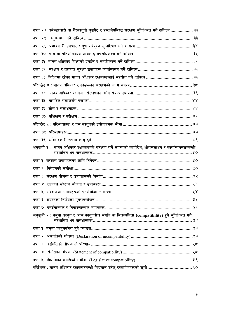| दफा २७  स्वेच्छाचारी वा गैरकानुनी घुसपैठ र हस्तक्षेपविरुद्ध संरक्षण सुनिश्चित गर्ने दायित्व  ३३          |  |
|----------------------------------------------------------------------------------------------------------|--|
|                                                                                                          |  |
|                                                                                                          |  |
|                                                                                                          |  |
|                                                                                                          |  |
|                                                                                                          |  |
|                                                                                                          |  |
|                                                                                                          |  |
|                                                                                                          |  |
|                                                                                                          |  |
|                                                                                                          |  |
|                                                                                                          |  |
|                                                                                                          |  |
|                                                                                                          |  |
|                                                                                                          |  |
| अनुसूची १ : मानव अधिकार रक्षकहरूको संरक्षण गर्ने संयन्त्रको कार्यादेश, श्रोतसंसाधन र कार्यान्वयनसम्बन्धी |  |
|                                                                                                          |  |
|                                                                                                          |  |
|                                                                                                          |  |
|                                                                                                          |  |
|                                                                                                          |  |
|                                                                                                          |  |
| ……. પ્રપ્ર                                                                                               |  |
|                                                                                                          |  |
| अनुसूची २ : नमुना कानुन र अन्य कानुनबीच संगति वा मितव्ययिता (compatibility) हुने सुनिश्चित गर्ने         |  |
|                                                                                                          |  |
|                                                                                                          |  |
|                                                                                                          |  |
|                                                                                                          |  |
|                                                                                                          |  |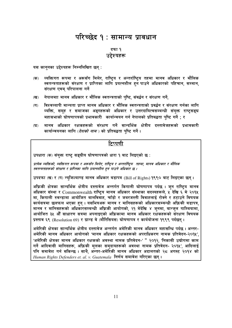## परिच्छेद १ : सामान्य प्रावधान

दफा १ उद्देश्यहरू

यस कानुनका उद्देश्यहरू निम्नलिखित छन्:

- व्यक्तिगत रूपमा र अरूसँग मिलेर, राष्ट्रिय र अन्तर्राष्ट्रिय तहमा मानव अधिकार र मौलिक  $(5)$ स्वतन्त्रताहरूको संरक्षण र प्राप्तिका लागि प्रयत्नशील हुन पाउने अधिकारको पहिचान, सम्मान, संरक्षण एवम् परिपालना गर्ने
- नेपालमाा मानव अधिकार र मौलिक स्वतन्त्रताको पुष्टि, संवर्द्धन र संरक्षण गर्ने,  $(\overline{q})$
- विश्वव्यापी मान्यता प्राप्त मानव अधिकार र मौलिक स्वतन्त्रताको प्रवर्द्धन र संरक्षण गर्नका लागि  $(T)$ व्यक्ति, समूह र समाजका अङ्गहरूको अधिकार र उत्तरदायित्वसम्बन्धी संयुक्त राष्ट्रसङ्घ महासभाको घोषणापत्रको प्रभावकारी कार्यान्वयन गर्न नेपालको प्रतिबद्धता पुष्टि गर्ने ; र
- $(\mathbf{\overline{z}})$ मानव अधिकार रक्षकहरूको संरक्षण गर्ने सान्दर्भिक क्षेत्रीय दस्तावेजहरूको प्रभावकारी कार्यान्वयनका लागि (*देशको नाम* ) को प्रतिबद्धता पष्टि गर्ने ।

## टिप्पणी

उपधारा (क) संयुक्त राष्ट्र सङ्घीय घोषणापत्रको धारा १ बाट लिइएको छ:

प्रत्येक व्यक्तिको, व्यक्तिगत रूपमा र अरूसँग मिलेर, राष्टिय र अन्तर्राष्टिय तहमा, मानव अधिकार र मौलिक स्वतन्त्रताहरूको संरक्षण र प्राप्तिका लागि प्रयत्नशील हुन पाउने अधिकार छ ।

उपदफा (ख) र (ग) न्युजिल्याण्ड मानव अधिकार बडापत्र (Bill of Rights) १९९० बाट लिइएका छन्।

अफ्रिकी क्षेत्रका सान्दर्भिक क्षेत्रीय दस्तावेज अन्तर्गत किगाली घोषणापत्र पर्दछ । जुन राष्ट्रिय मानव अधिकार संस्था र Commonwealth राष्ट्रिय मानव अधिकार संस्थाका सदस्यहरूले, ५ देखि ६ मे २०१५ मा, किगाली रुवन्डामा आयोजित बालविवाह, चाँडो र जबरजस्ती विवाहलाई रोक्ने र हटाउने विषयक कार्यसत्रमा छलफल भएका हुन् । यसभित्रअरू मानव र मानिसहरूको अधिकारसम्बन्धी अफ्रिकी बडापत्र, मानव र मानिसहरूको अधिकारसम्बन्धी अफ्रिकी आयोगको, २१ मेदेखि ४ जुनमा, बान्जुल गाम्बियामा, आयोजित ३५ औँ साधारण सत्रमा अपनाइएको अफ्रिकामा मानव अधिकार रक्षकहरूको संरक्षण विषयक प्रस्ताव ६९ (Resolution 69) र ग्रान्ड वे (मौरिसियस) घोषणापत्र र कार्ययोजना १९९९ पर्दछन ।

अमेरिकी क्षेत्रका सान्दर्भिक क्षेत्रीय दस्तावेज अन्तर्गत अमेरिकी मानव अधिकार महासन्धि पर्दछ । अन्तर-अमेरिकी मानव अधिकार आयोगको 'मानव अधिकार रक्षकहरूको अपराधिकरण नामक प्रतिवेदन-२०१५'. 'अमेरिकी क्षेत्रका मानव अधिकार रक्षकको अवस्था नामक प्रतिवेदन-' " २०१२, 'निकासी उद्योगमा काम गर्ने आदिवासी मानिसहरू, अफ्रिकी मुलका समुदायहरूको अवस्था नामक प्रतिवेदन- २०१५', आदिलाई पनि समावेश गर्न सकिन्छ । साथै अन्तर-अमेरिकी मानव अधिकार अदालतको २८ अगस्ट २०१४ को Human Rights Defenders et. al. v. Guatemala निर्णय समावेश गरिएका छन्।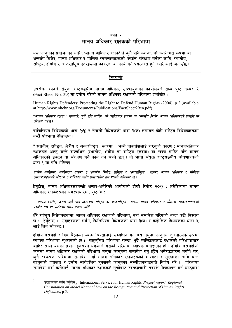#### दफा २ मानव अधिकार रक्षकको परिभाषा

यस कानुनको प्रयोजनका लागि, 'मानव अधिकार रक्षक' ले कुनै पनि व्यक्ति, जो व्यक्तिगत रूपमा वा अरूसँग मिलेर, मानव अधिकार र मौलिक स्वतन्त्रताहरूको प्रवर्द्धन, संरक्षण गर्नका लागि, स्थानीय, राष्टिय, क्षेत्रीय र अन्तर्राष्टिय स्तरहरूमा कार्यरत, वा कार्य गर्न प्रयत्नरत हने व्यक्तिलाई जनाउँछ ।

#### टिप्पणी

उपरोक्त दफाले संयुक्त राष्ट्रसङ्घीय मानव अधिकार उच्चायुक्तको कार्यालयले तथ्य पुष्ठ नम्बर २ (Fact Sheet No. 29) मा प्रयोग गरेको मानव अधिकार रक्षकको परिभाषा दर्शाउँछ ।

Human Rights Defenders: Protecting the Right to Defend Human Rights -2004), p 2 (available at http://www.ohchr.org/Documents/Publications/FactSheet29en.pdf)

"मानव अधिकार रक्षक " भन्नाले, क्नै पनि व्यक्ति, जो व्यक्तिगत रूपमा वा अरूसँग मिलेर, मानव अधिकारको प्रवर्द्धन वा संरक्षण गर्दछ ।

ब्राजिलियन विधेयकको धारा २(१) र नेपाली विधेयकको धारा २(क) लगायत केही राष्ट्रिय विधेयकहरूमा यस्तै परिभाषा देखिन्छन ।

" स्थानीय, राष्ट्रिय, क्षेत्रीय र अन्तर्राष्ट्रिय स्तरमा " भन्ने वाक्यांशलाई राख्नुको कारण : मानवअधिकार रक्षकहरू आफ्र् वस्ने राज्यभित्र (स्थानीय, क्षेत्रीय वा राष्ट्रिय स्तरमा) वा राज्य बाहिर पनि मानव अधिकारको प्रवर्द्धन वा संरक्षण गर्ने कार्य गर्न सक्ने छन् । यो भाषा संयक्त राष्टसङ्घीय घोषणापत्रको धारा १ मा पनि भेटिन्छ:

प्रत्येक व्यक्तिको, व्यक्तिगत रूपमा र अरूसँग मिलेर, राष्टिय र अन्तर्राष्टिय तहमा, मानव अधिकार र मौलिक स्वतन्त्रताहरूको संरक्षण र प्राप्तिका लागि प्रयत्नशील हुन पाउने अधिकार छ।

हेर्नुहोस्, मानव अधिकारसम्बन्धी अन्तर-अमेरिकी आयोगको दोस्रो रिपोर्ट २०११ : अमेरिकामा मानव अधिकार रक्षकहरूको अवस्थाबारेमा, पुष्ठ ४ :

...प्रत्येक व्यक्ति, जसले क्नै पनि हिसाबले राष्ट्रिय वा अन्तर्राष्ट्रिय रूपमा मानव अधिकार र मौलिक स्वतन्त्रताहरूको प्रवर्दन गर्छ वा प्राप्तिका लागि प्रयत्न गर्छ'

धेरै राष्ट्रिय विधेयकहरूमा, मानव अधिकार रक्षकको परिभाषा, यहाँ समावेश गरिएको भन्दा बढी विस्तृत छ : हेर्नुहोस् । उदाहरणका लागि, फिलिपिन्स विधेयकको धारा ३(क) र कड़ोलिज विधेयकको धारा ५ लाई लिन सकिन्छ ।

क्षेत्रीय परामर्श र विज्ञ बैठकमा व्यक्त चिन्तालाई सम्बोधन गर्न यस नमुना कानुनले तुलनात्मक रूपमा व्यापक परिभाषा सुभाएको छ । सङ्क्चित परिभाषा राख्दा, थुप्रै व्यक्तिहरूलाई रक्षकको परिभाषाबाट बाहिर राख्न यसको प्रयोग हनसक्ने भएकाले यसको परिभाषा व्यापक बनाइएको हो । क्षेत्रीय परामर्शको कममा मानव अधिकार रक्षकको परिभाषा नमना कानुनमा समावेश गर्न् हँदैन भनेरछलफल भयो<sup>1</sup>। तर, क्नै स्वरूपको परिभाषा समावेश गर्दा मानव अधिकार रक्षकहरूको मान्यता र सुरक्षाको लागि बन्ने कानुनको व्याख्या र प्रयोग मार्गदर्शित हुनसक्ने कानुनका मस्यौदाकर्ताहरूले निर्णय गरे । परिभाषा समावेश गर्दा कसैलाई 'मानव अधिकार रक्षकको' सचीबाट स्वेच्छाचारी तवरले निष्काशन गर्न अप्ठयारो

 $\mathbf{1}$ 

उदाहरणका लागि हेर्नुहोस् , International Service for Human Rights, Project report: Regional Consultation on Model National Law on the Recognition and Protection of Human Rights Defenders, p 5.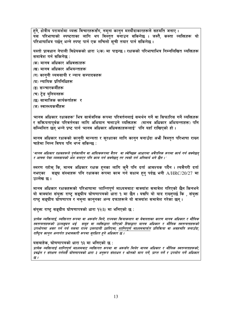हुने, क्षेत्रीय परामर्शमा व्यक्त विचारहरूसँग, नमुना कानुन मस्यौदाकारहरूले सहमति जनाए । ्जू<br>यस परिभाषाको स्पष्टताका लागि थप विस्तृत बनाउन सकिनेछ । जस्तै, कस्ता व्यक्तिहरू यो परिभाषाभित्र पर्छन् भन्ने स्पष्ट पार्न एक लचिलो सूची तयार पार्न सकिनेछ ।

यस्तो प्रावधान नेपाली विधेयकको धारा २(क) मा पाइन्छ । रक्षकको परिभाषाभित्र निम्नलिखित व्यक्तिहरू समावेश गर्न सकिनेछ :

- (क) मानव अधिकार अधिवक्ताहरू
- (ख) मानव अधिकार अभियन्ताहरू
- (ग) कानुनी व्यवसायी र न्याय सम्पादकहरू
- (घ) न्यायिक प्रतिनिधिहरू
- (ङ) सञ्चारकर्मीहरू
- (च) ट्रेड युनियनहरू
- (छ) सामाजिक कार्यकर्ताहरू र
- (ज) स्वास्थ्यकर्मीहरू

'मानव अधिकार रक्षकहरू' भित्र सार्वजनिक रूपमा परिवर्तनलाई समर्थन गर्ने वा सिफारिस गर्ने व्यक्तिहरू र सक्रियतापूर्वक परिवर्तनका लागि अभियान चलाउने व्यक्तिहरू (मानव अधिकार अभियन्ताहरू) पनि सम्मिलित छन् भन्ने प्रष्ट पार्न भानव अधिकार अधिवक्ताहरूलाई' पनि यहाँ राखिएको हो ।

मानव अधिकार रक्षकको कानुनी मान्यता र सुरक्षाका लागि कानुन बनाउँदा अभ्रै विस्तृत परिभाषा राख्न चाहेमा निम्न विषय पनि थप्न सकिन्छ :

'मानव अधिकार रक्षकहरूले पर्णकालीन वा आंशिकरूपमा वैतन वा स्वेच्छिक आधारमा अवैतनिक रूपमा कार्य गर्न सक्नेछन् र आफ्ना पेसा व्यवसायको अंश बनाएर पनि काम गर्न सक्नेछन् तर त्यसो गर्न अनिवार्य भने छैन ।'

स्मरण रहोस् कि, मानव अधिकार रक्षक हुनका लागि कुनै पनि दर्ता आवश्यक पर्दैन । त्यसैगरी दर्ता सङ्घ संस्थाहरू पनि रक्षकका रूपमा काम गर्न सक्षम हुन् पर्दछ भनी  $\rm A/HRC/20/27$  मा नभएका उल्लेख छ ।

मानव अधिकार रक्षकहरूको परिभाषामा 'शान्तिपूर्ण माध्यमबाट' वाक्यांश समावेश गरिएको छैन किनभने यो वाक्यांश संयुक्त राष्ट्र सङ्घीय घोषणापत्रको धारा १ मा छैन । यद्यपि यो याद राख्नुपर्छ कि , संयुक्त राष्ट्र सङ्घीय घोषणापत्र र नमुना कानुनका अन्य दफाहरूले यो वाक्यांश समावेश गरेका छन् ।

संयुक्त राष्ट्र सङ्घीय घोषणापत्रको धारा १२(३) मा भनिएको छ:

प्रत्येक व्यक्तिलाई, व्यक्तिगत रूपमा वा अरूसँग मिले, राज्यका कियाकलाप वा बेवास्ताका कारण मानव अधिकार र मौलिक स्वतन्त्रताहरूको उल्लङ्घन भई समूह वा व्यक्तिद्वारा गरिएको हिंसाद्वारा मानव अधिकार र मौलिक स्वतन्त्रताहरूको उपभोगमा असर पर्न गर्य यसमा राज्य उत्तरदायी ठहरिएमा, शान्तिपूर्ण माध्यममार्फत प्रतिक्रिया वा असहमति जनाउँदा, राष्ट्रिय कानून अन्तर्गत प्रभावकारी रूपमा सुरक्षित हुने अधिकार छ ।

यसबाहेक, घोषणापत्रको धारा १३ मा भनिएको छ :

प्रत्येक व्यक्तिलाई शान्तिपूर्ण माध्यमबाट व्यक्तिगत रूपमा वा अरूसँग मिलेर मानव अधिकार र मौलिक स्वतन्त्रताहरूको, प्रवर्द्धन र संरक्षण गर्नयसै घोषणापत्रको धारा ३ अनुरूप संशाधन र श्रोतको माग गर्ने, प्राप्त गर्ने र उपयोग गर्ने अधिकार छ ।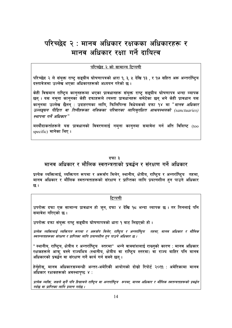## परिच्छेद २ : मानव अधिकार रक्षकका अधिकारहरू र मानव अधिकार रक्षा गर्ने दायित्व

#### परिच्छेद २ को सामान्य टिप्पणी

परिच्छेद २ ले संयुक्त राष्ट्र सङ्घीय घोषणापत्रको धारा १, ३, ५ देखि १३ , र १७ सहित अरू अन्तर्राष्ट्रिय दस्तावेजमा उल्लेख भएका अधिकारहरूको अध्ययन गरेको छ।

केही विद्यमान राष्ट्रिय कानुनहरूमा भएका प्रावधानहरू संयुक्त राष्ट्र सङ्घीय घोषणापत्र भन्दा व्यापक छन् । यस नमना काननका केही दफाहरूले त्यस्ता प्रावधानहरू समेटेका छन् भने केही प्रावधान यस कान्**नमा उल्लेख छैनन् : उदाहरणका लागि, फिलि**पिन्स विधेयकको दफा १४ मा "*मानव अधिकार* उल्लङ्घन पीडित वा तिनीहरूका नजिकका परिवारका लागिसरक्षित आश्रयस्थलको (sanctuaries) स्थापना गर्ने अधिकार"

मस्यौदाकर्ताहरूले यस प्रावधानको विवरणलाई नम्**ना कान्**नमा समावेश गर्न अति विशिष्ट (too specific) मानेका थिए।

#### दफा ३

## मानव अधिकार र मौलिक स्वतन्त्रताको प्रवर्द्धन र संरक्षण गर्ने अधिकार

प्रत्येक व्यक्तिलाई, व्यक्तिगत रूपमा र अरूसँग मिलेर, स्थानीय, क्षेत्रीय, राष्ट्रिय र अन्तर्राष्ट्रिय तहमा, मानव अधिकार र मौलिक स्वतन्त्रताहरूको संरक्षण र प्राप्तिका लागि प्रयत्नशील हुन पाउने अधिकार छ ।

#### टिप्पणी

उपरोक्त दफा एक सामान्य प्रावधान हो जुन, दफा ४ देखि १८ भन्दा व्यापक छ । तर तिनलाई पनि समावेश गरिएको छ।

उपरोक्त दफा संयुक्त राष्ट्र सङ्घीय घोषणापत्रको धारा १ बाट लिइएको हो।

प्रत्येक व्यक्तिलाई व्यक्तिगत रूपमा र अरूसँग मिलेर, राष्ट्रिय र अन्तर्राष्ट्रिय तहमा, मानव अधिकार र मौलिक स्वतन्त्रताहरूका संरक्षण र प्राप्तिका लागि प्रयत्नशील हुन पाउने अधिकार छ ।

" स्थानीय, राष्ट्रिय, क्षेत्रीय र अन्तर्राष्ट्रिय स्तरमा" भन्ने वाक्यांशलाई राख्नुको कारण : मानव अधिकार रक्षकहरूले आफ बस्ने राज्यभित्र (स्थानीय, क्षेत्रीय वा राष्टिय स्तरमा) वा राज्य बाहिर पनि मानव अधिकारको प्रवर्द्धन वा संरक्षण गर्ने कार्य गर्न सक्ने छन्।

हेर्नुहोस्, मानव अधिकारसम्बन्धी अन्तर-अमेरिकी आयोगको दोस्रो रिपोर्ट २०११ : अमेरिकामा मानव अधिकार रक्षकहरूको अवस्थापृष्ठ ४:

प्रत्येक व्यक्ति, जसले कुनै पनि हिसाबले राष्ट्रिय वा अन्तर्राष्ट्रिय रूपमा, मानव अधिकार र मौलिक स्वतन्त्रताहरूको प्रवर्द्धन गर्दछ वा प्राप्तिका लागि प्रयत्न गर्दछ ।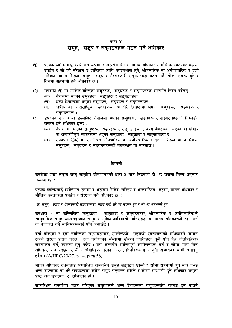#### दफा ४

## समूह, सङ्घ र सङ्गठनहरू गठन गर्ने अधिकार

- $(9)$ प्रत्येक व्यक्तिलाई, व्यक्तिगत रूपमा र अरूसँग मिलेर, मानव अधिकार र मौलिक स्वतन्त्रताहरूको प्रवर्द्धन र सो को संरक्षण र प्राप्तिका लागि प्रयत्नशील हने, औपचारिक वा अनौपचारिक र दर्ता गरिएका वा नगरिएका, समूह, सङ्घ र गैरसरकारी सङ्गठनहरू गठन गर्ने, सोको सदस्य हुने र तिनमा सहभागी हने अधिकार छ।
- उपदफा (१) मा उल्लेख गरिएका समूहहरू, सङ्घहरू र सङ्गठनहरू अन्तर्गत निम्न पर्दछन्:  $(5)$ 
	- नेपालमा भएका समूहहरू, सङ्घहरू र सङ्गठनहरू (क)
	- अन्य देशहरूमा भएका समूहहरू, सङ्घहरू र सङ्गठनहरू **(ख)**
	- क्षेत्रीय वा अन्तर्राष्ट्रिय स्तरहरूमा वा धेरै देशहरूमा भएका समुहहरू,  $(T)$ सङ्घहरू र सङ्गठनहरू ।
- उपदफा २ (क) मा उल्लेखित नेपालमा भएका समुहहरू, सङ्घहरू र सङ्गठनहरूको निम्नसँग  $(5)$ संलग्न हने अधिकार हुन्छ :
	- नेपाल मा भएका समूहहरू, सङ्घहरू र सङ्गठनहरू र अन्य देशहरूमा भएका वा क्षेत्रीय  $(35)$ वा अन्तर्राष्ट्रिय स्तरहरूमा भएका समूहहरू, सङ्घहरू र सङ्गठनहरू र
	- उपदफा २(क) मा उल्लेखित औपचारिक वा अनौपचारिक र दर्ता गरिएका वा नगरिएका (ख) समूहहरू, सङ्घहरू र सङ्गठनहरूको गठबन्धन वा सञ्जाल ।

#### टिप्पणी

उपरोक्त दफा संयुक्त राष्ट्र सङ्घीय घोषणापत्रको धारा ५ बाट लिइएको हो छ जसमा निम्न अनुसार उल्लेख छ :

प्रत्येक व्यक्तिलाई व्यक्तिगत रूपमा र अरूसँग मिलेर, राष्ट्रिय र अन्तर्राष्ट्रिय तहमा, मानव अधिकार र मौलिक स्वतन्त्रता प्रवर्द्धन र संरक्षण गर्ने अधिकार छ :

(ख) समूह, सङ्घ र गैरसरकारी सङ्गठनहरू, गठन गर्न, सो का सदस्य हुन र सो मा सहभागी हुन

सङ्घहरू र सङ्गठनहरू, औपचारिक र अनौपचारिक'ले उपधारा १ मा उल्लिखित 'समूहहरू, सामुदायिक समूह, अल्पसङ्ख्यक समूह, सामूहिक आदिवासी मानिसहरू, वा मानव अधिकारको रक्षा गर्ने वा वकालत गर्ने मानिसहरूलाई पनि जनाउँछ ।

दर्ता गरिएका र दर्ता नगरिएका संस्थाहरूलाई, उपरोक्तको सङ्घको स्वतन्त्रताको अधिकारले, समान रूपले सुरक्षा प्रदान गर्दछ । दर्ता नगरिएका संस्थामा संलग्न व्यक्तिहरू, कुनै पनि वैध गतिविधिहरू सञ्चालन गर्नं, स्वतन्त्र हुन् पर्दछ । यस अन्तर्गत शान्तिपूर्ण सम्मेलनहरू गर्ने र सोमा भाग लिने अधिकार पनि पर्दछन् र यी गतिविधिहरू गरेका कारण, तिनीहरूलाई कानुनी सजायका भागी बनाइन् हुँदैन । (A/HRC/20/27, p 14, para 56).

मानव अधिकार रक्षकलाई सम्बन्धित राज्यभित्र समूह सङ्गठन खोल्ने र सोमा सहभागी हुने मात्र नभई अन्य राज्यहरू वा धेरै राज्यहरूमा समेत समूह सङ्गठन खोल्ने र सोमा सहभागी हुने अधिकार भएको प्रस्ट पार्न उपदफा (२) राखिएको हो ।

सम्बन्धित राज्यभित्र गठन गरिएका समूहहरूले अन्य देशहरूका समूहहरूसँग सम्बद्ध हुन पाउने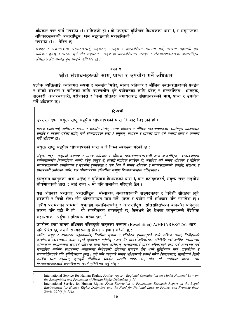<u>.</u><br>अधिकार प्रष्ट पार्न उपदफा (३) राखिएको हो । यो उपदफा बुर्किनाबे विधेयकको धारा ६ र सङ्गठनको अधिकारसम्बन्धी अन्तर्राष्टिय श्रम सङ्गठनको महासन्धिको उपदफा (३) ग्रेरित छ:

मजदुर र रोजगारदाता संस्थाहरूलाई, सङ्गठन, सङ्घ र कन्फेडेरेसन स्थापना गर्ने, त्यसमा सहभागी हुने .<br>अधिकार हुनेछ, । त्यस्ता कुनै पनि सङ्गठन, सङ्घ वा कन्फोडेरेसनले मजदर र रोजगारदाताहरूको अन्तर्राष्टिय संस्थाहरूसँग सम्बद्ध हुन पाउने अधिकार छ ।

#### दफा ५

### श्रोत संशाधनहरूको माग प्राप्त र उपयोग गर्ने अधिकार

प्रत्येक व्यक्तिलाई, व्यक्तिगत रूपमा र अरूसँग मिलेर, मानव अधिकार र मौलिक स्वतन्त्रताहरूको प्रवर्द्धन र सोको संरक्षण र प्राप्तिका लागि प्रयत्नशील हुने प्रयोजनका लागि घरेलु र अन्तर्राष्ट्रिय श्रोतहरू, सरकारी, अन्तरसरकारी, परोपकारी र निजी स्रोतहरू लगायतबाट संशाधनहरूको माग, प्राप्त र उपयोग गर्ने अधिकार छ ।

#### टिप्पणी

उपरोक्त दफा संयक्त राष्ट सङ्घीय घोषणापत्रको धारा १३ बाट लिइएको हो।

प्रत्येक व्यक्तिलाई, व्यक्तिगत रूपमा र अरूसँग मिलेर, मानव अधिकार र मौलिक स्वतन्त्रताहरूको, शान्तिपर्ण माध्यमबाट प्रवर्द्धन र संरक्षण गर्नका लागि. यसै घोषणापत्रको धारा ३ अनरूप. संशाधन र श्रोतको माग गर्ने तथासो प्राप्त र उपयोग गर्ने अधिकार छ ।

संयुक्त राष्ट्र सङ्घीय घोषणापत्रको धारा ३ ले निम्न व्यवस्था गरेको छ:

संयुक्त राष्ट्र सङ्घको बडापत्र र मानव अधिकार र मौलिक स्वतन्त्रताहरूसम्बन्धी अन्य अन्तर्राष्ट्रिय दस्तावेजप्रदत्त .<br>दायित्वहरूसँग मितव्ययिता भएको घरेलु कानुन नै, त्यस्तो न्यायिक रूपरेखा हो, जसभित्र रही मानव अधिकार र मौलिक स्वतन्त्रताहरूको कार्यान्वयन र उपभोग हनसँक्दछ र जस भित्र नै मानव अधिकार र स्वतन्त्रताहरूको संवर्द्धन, संरक्षण, र प्रभावकारी प्राप्तिका लागि, यस घोषणापत्रमा उल्लिखित सम्पूर्ण क्रियाकलापहरू गरिनुपर्दछ ।

होन्डरान काननको धारा ४(१७) र बर्किनाबे विधेयकको धारा ६ बाट हटाइएजस्तै, संयक्त राष्ट सङ्घीय घोषणापत्रको धारा ३ लाई दफा ६ मा पनि समावेश गरिएको छैन ।

यस अधिकार अन्तर्गत, अन्तर्राष्ट्रिय संस्थाहरू, अन्तरसरकारी सङ्गठनहरू र विदेशी स्रोतहरू (द्वै सरकारी र निजी क्षेत्र) सँग श्रोतंसंसाधन माग गर्ने, प्राप्त र प्रयोग गर्ने अधिकार पनि समावेश छ । क्षेत्रीय परामर्शको क्रममा $^2$  सभ्नाइए बमोजिम'घरेल र अन्तर्राष्टिय स्रोतसहित'भन्ने वाक्यांश थपिनको कारण पनि यही नै हो । यो स्पष्टीकरण महत्वपूर्ण छ किनभने धेरै देशका कानुनहरूले वैदेशिक सहायताको पहँचमा प्रतिबन्ध गरेका छन् । <sup>3</sup>

उपरोक्त दफा मानव अधिकार परिषद्को सङ्कल्प प्रस्ताव (Resolution) A/HRC/RES/22/6 )बाट पनि प्रेरित छ. जसले राज्यहरूलाई निम्न आह्वान गरेको छ :

व्यक्ति, समूह र समाजका अङ्गहरूमाथि, नियमित सूचना र प्रतिवेदन बुफ़ाउन्पर्ने भन्ने दायित्व राख्दा, तिनीहरूको कार्यात्मक स्वायत्ततामा बाधा नपुग्ने सुनिश्चित गर्नुहोस्, । अरू गैर मानव अधिकारका गतिविधि गर्दा आर्थिक संशाधनका श्रोतहरूमा सामान्यतया लगाइने प्रतिबन्ध भन्दा भिन्न तरिकाले, रक्षकहरूलाई मानव अधिकारको काम गर्न आवश्यक पर्ने सम्भावित आर्थिक संशाधनका श्रोतहरूमा विभेदकारी प्रतिबन्ध लगाइने छैन भन्ने सनिश्चित गर्दा, पारदर्शिता र जवाफदेहिताको पनि सुनिश्चितता हुन्छ । कुनै पनि कानृनले मानव अधिकारको रक्षार्थ गरिने कियाकलाप, सहयोगार्थ दिइने आर्थिक श्रोत संशाधन, जुनसुकै भौगोलिक क्षेत्रबाट उत्पत्ति भएका भए पनि, सो उत्पत्तिका कारण, उक्त कियाकलापहरूलाई अपराधिकरण नगर्ने सनिश्चित गर्न होस ।

 $\overline{2}$ International Service for Human Rights, Project report: Regional Consultation on Model National Law on the Recognition and Protection of Human Rights Defenders, p 13.  $\overline{\mathbf{3}}$ 

International Service for Human Rights, From Restriction to Protection: Research Report on the Legal Environment for Human Rights Defenders and the Need for National Laws to Protect and Promote their Work (2014), fn 121s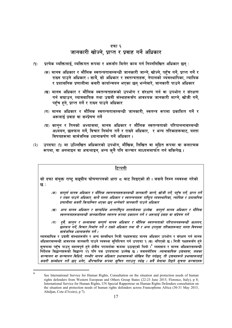#### दफा ६

## जानकारी खोज्ने प्राप्त र प्रवाह गर्ने अधिकार

- प्रत्येक व्यक्तिलाई, व्यक्तिगत रूपमा र अरूसँग मिलेर काम गर्न निम्नलिखित अधिकार छन् :  $(9)$ 
	- (क) मानव अधिकार र मौलिक स्वतन्त्रतासम्बन्धी जानकारी जान्ने, खोज्ने, पहुँच गर्ने, प्राप्त गर्ने र राख्न पाउने अधिकार । साथै, सो अधिकार र स्वतन्त्रताहरू, नेपालको व्यवस्थापिका, न्यायिक र प्रशासनिक प्रणालीमा कसरी कार्यान्वयन भएका छन भन्नेवारे जानकारी पाउने अधिकार
	- (ख) मानव अधिकार र मौलिक स्वतन्त्रताहरूको उपभोग र संरक्षण गर्न वा उपभोग र संरक्षण गर्न सघाउन, व्यावसायिक तथा उद्यमी संस्थाहरूसँग आवश्यक जानकारी माग्ने, खोजी गर्ने, पहुँच हुने, प्राप्त गर्ने र राख्न पाउने अधिकार
	- (ग) मानव अधिकार र मौलिक स्वतन्त्रतासम्बन्धी जानकारी, स्वतन्त्र रूपमा प्रकाशित गर्ने र अरूलाई प्रवाह वा सम्पेषण गर्ने
	- (घ) कान्**न र तिनको अभ्यासमा, मानव अधिकार र मौलिक** स्वतन्त्रताको परिपालनासम्बन्धी अध्ययन, छलफल गर्ने, विचार निर्माण गर्ने र राख्ने अधिकार, र अन्य तरिकाहरूबाट, यस्ता विषयहरूमा सार्वजनिक ध्यानाकर्षण गर्ने अधिकार।
- उपदफा (१) मा उल्लिखित अधिकारको उपभोग, मौखिक, लिखित वा मुद्रित रूपमा वा कलात्मक  $(5)$ रूपमा, वा अनलाइन वा अफलाइन, अन्य कनै पनि सञ्चार माध्यममार्फत गर्न सकिनेछ ।

#### टिप्पणी

सो दफा संयुक्त राष्ट्र सङ्घीय घोषणापत्रको धारा ८ बाट लिइएको हो। जसले निम्न व्यवस्था गरेको छ :

- (क) सम्पूर्ण मानव अधिकार र मौलिक स्वतन्त्रताहरूसम्बन्धी जानकारी जान्ने, खोजी गर्ने, पहुँच गर्ने, प्राप्त गर्ने र राख्न पाउने अधिकार, साथै यस्ता अधिकार र स्वतन्त्रताहरू राष्ट्रिय व्यवस्थापिका, न्यायिक र प्रशासनिक प्रणालीमा कसरी कियान्वित भएका छन् भन्नेवारे जानकारी पाउने अधिकार
- (ख) अन्य मानव अधिकार र सान्दर्भिक अन्तर्राष्ट्रिय दस्तावेजमा उल्लेख सम्पूर्ण मानव अधिकार र मौलिक स्वतन्त्रताहरूसम्बन्धी जानकारीहरू स्वतन्त्र रूपमा प्रकाशन गर्ने र अरूलाई प्रवाह वा संप्रेषण गर्ने
- (ग) दुवै, कानुन र अभ्यासमा सम्पूर्ण मानव अधिकार र मौलिक स्वतन्त्रताको परिपालनसम्बन्धी अध्ययन, .<br>छलफल गर्ने, विचार निर्माण गर्ने र राख्ने अधिकार तथा यी र अन्य उपयुक्त तरिकाहरूबाट यस्ता विषयमा सार्वजनिक ध्यानाकर्षण गर्ने ।

व्यावसायिक र उद्यमी संस्थाहरूसँग र अन्य सम्बन्धित निजी पक्षहरूबाट मानव अधिकार उपभोग र संरक्षण गर्न मानव अधिकारसम्बन्धी आवश्यक जानकारी पाउने व्यवस्था सुनिश्चित गर्न उपदफा **१ (ख) थपिएको छ । निजी पक्षहरूसँग** हुने सूचनामा पहँच पाउन् महत्वपूर्ण हुने क्षेत्रीय परामर्शका क्रममा उठाइएको थियो ।<sup>4</sup> व्यवसाय र मानव अधिकारसम्बन्धी निर्देशक सिद्धान्तहरूको सिद्धान्त २१ पनि यस उपदफामा उल्लेख छ । जसबमोजिम*ःव्यावासायिक उद्यमहरू, जसका* सञ्चालन वा सञ्चालन विधिले. गम्भीर मानव अधिकार प्रभावहरूको जोखिम पैदा गर्दछन. ती उद्यमहरूले प्रभावहरूलाई .<br>कसरी सम्बोधन गर्ने छन् भनेर, औपचारिक रूपमा सचित गराउन पर्दछ । सबै बेलामा दिइने सचना सञ्चारहरू

 $\overline{4}$ 

See International Service for Human Rights, Consultation on the situation and protection needs of human rights defenders from Western European and Others Group States (22-23 June 2015, Florence, Italy), p 8; International Service for Human Rights, UN Special Rapporteur on Human Rights Defenders consultation on the situation and protection needs of human rights defenders across Francophone Africa (30-31 May 2015, Abidjan, Cote d'Ivoire), p 7).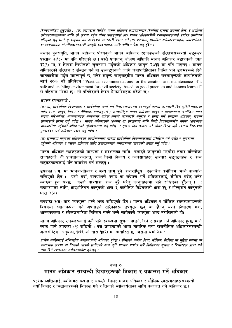निम्नबमोजिम हनपर्दछ : (क) उद्यमद्वारा सिर्जित मानव अधिकार प्रभावहरूबारे नियमित सचना उद्यमले दिने. र अपेक्षित सरोकारवालाहरूका लागि सो सूचना पहुँच योग्य बनाउनुपर्छ (ख) मानव अधिकारमैत्री प्रभावहरूहरूलाई पर्याप्त सम्बोधन गरिएका छन् भन्ने मल्याङ्कन गर्न आवश्यक जानकारी प्रदान गर्ने (ग) बदलामा, प्रभावित सरोकारवालाहरू, कर्मचारीहरू वा व्यवसायिक गोपनीयतासम्बन्धी कानूनी व्यवस्थाहरू माथि जोखिम पैदा गर्नु हुँदैन ।

यसको पुनरावृति, मानव अधिकार परिषद्को मानव अधिकार रक्षकहरूको संरक्षणसम्बन्धी सङ्कल्प प्रस्ताव ३१/३२ मा पनि गरिएको छ । यस्तै प्रावधान, दक्षिण अफ्रिकी मानव अधिकार बडापत्रको दफा ३२(१) मा, र सियरा लियोनको सुचनामा पहुँचको अधिकार कानुन २०१३ मा पनि पाइन्छ । मानव ्<br>अधिकारको संरक्षण र संवर्द्धन गर्न वा उल्लङ्घनको लागि जवाफदेहिताका निम्ति पनि उद्यमहरूले दिने जानकारीमा पहुँच महत्वपर्ण छ भनेर संयक्त राष्टसङ्घीय मानव अधिकार उच्चायक्तको कार्यालयको मार्च २०१६ को प्रतिवेदन "Practical recommendations for the creation and maintenance of a safe and enabling environment for civil society, based on good practices and lessons learned" ले पहिचान गरेको छ । सो प्रतिवेदनले निम्न सिफारिसहरू गरेको छ :

सदस्य राज्यहरूले :

(क) मा, सार्वजनिक निकायहरू र सार्वजनिक कार्य गर्ने निकायलगायतले स्वतस्पूर्त रूपमा जानकारी दिने सुनिश्चितताका लागि स्पष्ट कानुन, नियम र नीतिहरू बनाउनुपर्छ ; अन्तर्राष्ट्रिय मानव अधिकार कानुन र मापदण्डहरू बमोजिम स्पष्ट रूपमा परिभाषित, अपवादात्मक अवस्थामा बाहेक त्यस्तो जानकारी अनरोध र प्राप्त गर्ने सामान्य अधिकार, सदस्य राज्यहरूले प्रदान गर्न पर्दछ । मानव अधिकारको अभ्यास वा संरक्षणका लागि निजी निकायहरूसँग भएका आवश्यक जानकारीमा पहुँचको अधिकारको सुनिश्चितता गर्नु पर्दछ । सूचना दिन इन्कार गरे सोका विरुद्ध कुनै स्वतन्त्र निकायमा पनरावेदन गर्ने अधिकार प्रदान गर्न पर्दछ ।

(ख) सूचनामा पहुँचको अधिकारको कार्यान्वयनका बारेमा सार्वजनिक निकायहरूलाई प्रशिक्षित गर्न् पर्दछ र सूचनामा पहँचको अधिकार र यसका प्राप्तिका लागि उपायहरूबारे जनतामाभ्रु जानकारी प्रवाह गर्नु पर्दछ ।

मानव अधिकार रक्षकहरूको मान्यता र संरक्षणका लागि बनाइने काननको मस्यौदा तयार गरिरहेका राज्यहरूले, ती प्रावधानअर्न्तगत, अन्य निजी निकाय र व्यवसायहरू, सञ्चार सङ्गठनहरू र अन्य सङ्गठनहरूलाई पनि समावेश गर्न सक्छन।

उपदफा १(ग) मा 'मानवअधिकार र अन्य लाग् हुने अन्तर्राष्ट्रिय दस्तावेज बमोजिम' भन्ने वाक्यांश राखिएको छैन । यसो गर्दा, वाक्यांशले प्रवाँह वा संप्रेषण गर्ने अधिकारलाई, सीमित गर्दछ भनेर व्याख्या हन सक्छ । यस्तो वाक्यांश अन्य थुप्रै घरेल् कानुनहरूमा पनि राखिएका हँदैनन् । : उदाहरणका लागि, आइभोरियन काननको धारा ३, कड़ोलिज विधेयकको धारा ११, र होन्डरान काननको धारा ४७)।

उपदफा १(घ) बाट 'उपयुक्त' भन्ने शब्द राखिएको छैन । मानव अधिकार र मौलिक स्वतन्त्रताहरूको विषयमा ध्यानाकर्षण गर्न अपनाउने तरिकाहरू उपयुक्त छन् वा छैनन् भन्ने निधारण गर्दा, आत्मपरकता र स्वेच्छाचारिता निम्तिन सक्ने भन्ने लागेकाले 'उपयुक्त' शब्द नराखिएको हो।

मानव अधिकार रक्षकहरूलाई कनै पनि स्वरूपमा सूचना पाउने, दिने र प्रवाह गर्ने अधिकार हुन्छ भन्ने स्पष्ट पार्न उपदफा (२) राखियो । यस उपदफाको भाषा नागरिक तथा राजनीतिक अधिकारसम्बन्धी अन्तर्राष्टिय अनबन्ध, १(६६ को धारा १((२) मा आधारित छ जसमा बमोजिम :

प्रत्येक व्यक्तिलाई अभिव्यक्ति स्वतन्त्रताको अधिकार हुनेछ । सीमाको बन्देज बिना, मौखिक, लिखित वा मुद्रित रूपमा वा कलात्मक रूपमा वा निजको आफ्नो छनौटको अन्य कनै माध्यम मार्फत सबै किसिमका सचना र विचारहरू प्राप्त गर्ने तथा दिने स्वतन्त्रता समेतसमावेश हनेछन ।

#### दफा ७

## मानव अधिकार सम्बन्धी विचारहरूको विकास र वकालत गर्ने अधिकार

प्रत्येक व्यक्तिलाई, व्यक्तिगत रूपमा र अरूसँग मिलेर मानव अधिकार र मौलिक स्वतन्त्रताहरूसम्बन्धी नयाँ विचार र सिद्धान्तहरूको विकास गर्ने र तिनको स्वीकार्यताका लागि वकालत गर्ने अधिकार छ ।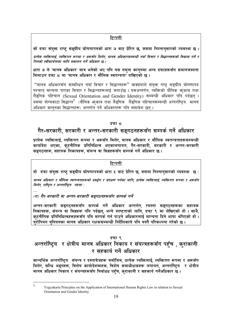सो दफा संयक्त राष्ट सङ्घीय घोषणापत्रको धारा ७ बाट प्रेरित छ जसमा निम्नानसारको व्यवस्था छ ।

प्रत्येक व्यक्तिलाई, व्यक्तिगत रूपमा र अरूसँग मिलेर. मानव अधिकारसम्बन्धी नयाँ विचार र सिद्धान्तहरूको विकास गर्ने र तिनको स्वीकार्यताका लागि वकालत गर्ने अधिकार छ ।

धारा ७ ले 'मानव अधिकार' मात्र भनेको भए पनि यस नमना काननमा अन्य दफाहरूसँग समानजस्यता मिलाउन दफा ८ मा 'मानव अधिकार र मौलिक स्वतन्त्रता' राखिएको छ ।

"मानव अधिकारसँग सम्बन्धित नयाँ विचार र सिद्धान्तहरू" वाक्यांशले संयुक्त राष्ट सङ्घीय घोषणापत्र पश्चात् मान्यता पाएका विचार र सिद्धान्तहरूलाई जनाउँछ । यसअन्तर्गत, व्यक्तिको यौनिक भूकाव तथा लैडुगिक पहिचान (Sexual Orientation and Gender Identity) सम्बन्धी अधिकार पनि पर्दछन् । यसमा योग्यकाटा सिद्धान्त<sup>5</sup> (यौनिक भा़काव तथा लैडुगिक लैडुगिक पहिचानसम्बन्धी अन्तर्राष्ट्रिय मानव अधिकार काननका सिद्धान्तहरू) अन्तर्गत पर्ने अधिकारहरू पनि समावेश छन ।

#### दफा द

## गैर-सरकारी, सरकारी र अन्तर-सरकारी सङगठनहरूसँग सम्पर्क गर्ने अधिकार

प्रत्येक व्यक्तिलाई, व्यक्तिगत रूपमा र अरूसँग मिलेर, मानव अधिकार र मौलिक स्वतन्त्रताहरूसम्बन्धी कार्यादेश भएका, कटनीतिक प्रतिनिधित्व भएकालगायत, गैर-सरकारी, सरकारी र अन्तर-सरकारी सङ्गठनहरू, सहायक निकायहरू, संयन्त्र वा विज्ञहरूसँग सम्पर्क गर्ने अधिकार छ ।

#### टिप्पणी

यो दफा संयुक्त राष्ट्र सङ्घीय घोषणापत्रको धारा ५ बाट प्रेरित छ, जसमा निम्नान्सारको व्यवस्था छ:

मानव अधिकार र मौलिक स्वतन्त्रताहरूको प्रवर्द्धन र संरक्षण गर्नका लागि, प्रत्येक व्यक्तिलाई, व्यक्तिगत रूपमा र अरूसँग मिलेर, राष्ट्रिय र अन्तर्राष्ट्रिय तहमा :

(ग) गैर-सरकारी वा अन्तर-सरकारी सङ्गठनहरूसँग सम्पर्क गर्ने

अन्तर-सरकारी सङ्गठनहरूसँग सम्पर्क गर्ने अधिकार अन्तर्गत, त्यस्ता सङ्गठनहरूका सहायक निकायहरू, संयन्त्र वा विज्ञहरू पनि पर्दछन्, भन्ने स्पष्टताको लागि, दफा ९ मा लेखिएको हो । साथै, कटनीतिक प्रतिनिधित्वहरूहरूसँग पनि सम्पर्क गर्न पाउने अधिकारलाई मान्यता दिने भाषा थपिएको हो । यरोपियन यनियनका मानव अधिकार रक्षकसम्बन्धी निर्देशिकाले पनि यस्तै परिकल्पना गरेको छ ।

#### दफा ९

## अन्तर्राष्ट्रिय र क्षेत्रीय मानव अधिकार निकाय र संयन्त्रहरूसँग पहुँच , कुराकानी र सहकार्य गर्ने अधिकार

सान्दर्भिक अन्तर्राष्ट्रिय संयन्त्र र दस्तावेजहरू बमोजिम, प्रत्येक व्यक्तिलाई, व्यक्तिगत रूपमा र अरूसँग मिलेर, सन्धि अङ्गहरू, विशेष कार्यादेशवाहक, विशेष समाधीक्षकहरू लगायत, अन्तर्राष्ट्रिय र क्षेत्रीय मानव अधिकार निकाय र संयन्त्रहरूसँग निर्बाधध पहुँच, कराकानी र सहकार्य गर्नेअधिकार छ ।

<sup>5</sup> 

Yogyakarta Principles on the Application of International Human Rights Law in relation to Sexual Orientation and Gender Identity.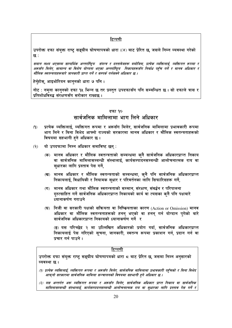उपरोक्त दफा संयुक्त राष्ट्र सङ्घीय घोषणापत्रको धारा ((४) बाट प्रेरित छ, जसले निम्न व्यवस्था गरेको <u>ह्रद्रः</u>

समान लक्ष्य भएसम्म सान्दर्भिक अन्तर्राष्ट्रिय संयन्त्र र दस्तावेजहरू बमोजिम, प्रत्येक व्यक्तिलाई, व्यक्तिगत रूपमा र अरूसँग मिलेर, सामान्य वा विशेष योग्यता भएका अन्तर्राष्ट्रिय निकायहरूसँग निर्वाध पहुँच गर्ने र मानव अधिकार र मौलिक स्वतन्त्रताहरूबारे जानकारी प्राप्त गर्ने र सम्पर्क गर्नसक्ने अधिकार छ ।

हेर्नुहोस्, आइभोरियन कानुनको धारा ७ पनि ।

नोट : नमुना कानुनको दफा १५ भिन्न छ तर प्रस्तुत उपदफासँग पनि सम्बन्धित छ । सो दफाले त्रास र प्रतिशोधविरुद्ध संरक्षणसँग सरोकार राख्दछ ।

#### दफा १०

### सार्वजनिक मामिलामा भाग लिने अधिकार

- प्रत्येक व्यक्तिलाई, व्यक्तिगत रूपमा र अरूसँग मिलेर, सार्वजनिक मामिलामा प्रभावकारी रूपमा  $(9)$ भाग लिने र बिना विभेद आफ्नो राज्यको सरकारमा मानव अधिकार र मौलिक स्वतन्त्रताहरूको विषयमा सहभागी हुने अधिकार छ ।
- यो उपदफामा निम्न अधिकार समाविष्ट छन् :  $(5)$ 
	- (क) मानव अधिकार र मौलिक स्वतन्त्रताको सम्बन्धमा क्नै सार्वजनिक अधिकारप्राप्त निकाय वा सार्वजनिक मामिलासम्बन्धी संस्थालाई, कार्यसम्पादनसम्बन्धी आलोचनात्मक राय वा सधारका लागि प्रस्ताव पेस गर्ने,
	- (ख) मानव अधिकार र मौलिक स्वतन्त्रताको सम्बन्धमा, कुनै पनि सार्वजनिक अधिकारप्राप्त निकायलाई, विधायिकी र नियामक सधार र परिवर्तनका लागि सिफारिसहरू गर्ने,
	- (ग) मानव अधिकार तथा मौलिक स्वतन्त्रताको सम्मान, संरक्षण, संवर्द्धन र परिपालना दुरुत्साहित गर्ने सार्वजनिक अधिकारप्राप्त निकायको कार्य वा त्यसका कनै पनि पक्षबारे ध्यानाकर्षण गराउने
	- (घ) निजी वा सरकारी पक्षको सक्रियता वा निष्क्रियताका कारण (Action or Omission) मानव अधिकार वा मौलिक स्वतन्त्रताहरूको हनन् भएको वा हनन् गर्न योग्दान प्गेको बारे सार्वजनिक अधिकारप्राप्त निकायको ध्यानाकर्षण गर्ने र

(ङ) यस परिच्छेद २ मा उल्लिखित अधिकारको प्रयोग गर्दा, सार्वजनिक अधिकारप्राप्त निकायलाई पेस गरिएको सूचना, जानकारी, स्वतन्त्र रूपमा प्रकाशन गर्न, प्रदान गर्न वा प्रचार गर्न पाउने ।

#### टिप्पणी

उपरोक्त दफा संयुक्त राष्ट्र सङ्घीय घोषणापत्रको धारा ८ बाट प्रेरित छ, जसमा निम्न अनुसारको व्यवस्था छ।

- (१) प्रत्येक व्यक्तिलाई, व्यक्तिगत रूपमा र अरूसँग मिलेर, सार्वजनिक मामिलामा प्रभावकारी पहँचको र बिना विभेद आफुनो सरकारमा सार्वजनिक मामिला सञ्चालनको विषयमा सहभागी हने अधिकार छ ।
- (२) यस अन्तर्गत अरू व्यक्तिगत रूपमा र अरूसँग मिलेर, सार्वजनिक अधिकार प्राप्त निकाय वा सार्वजनिक मामिलासम्बन्धी संस्थालाई, कार्यसम्पादनसम्बन्धी आलोचनात्मक राय वा सुधारका लागि प्रस्ताव पेस गर्ने र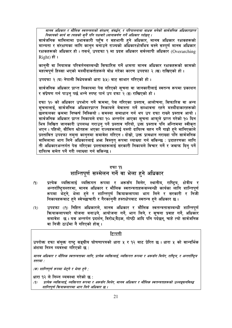मानव अधिकार र मौलिक स्वतन्त्रताको संरक्षण. संबर्द्धन. र परिपालनामा बाधक बनेको सार्वजनिक अधिकारप्राप्त निकायको कार्य वा त्यसको कुनै पनि पक्षबारे ध्यानाकर्षण गर्ने अधिकार पर्दछन् ।

सार्वजनिक मामिलामा प्रभावकारी पहुँच र सहभागी हुने अधिकार, मानव अधिकार रक्षकहरूको मान्यता र संरक्षणका लागि कानुन बनाउने राज्यको अधिकारक्षेत्रभित्र बस्ने सम्पूर्ण मानव अधिकार रक्षकहरूको अधिकार हो। तसर्थ, उपदफा १ मा प्रदत्त अधिकार सर्वव्यापी अधिकार (Overarching Right) हो।

काननी वा नियामक परिवर्तनसम्बन्धी सिफारिस गर्ने क्षमता मानव अधिकार रक्षकहरूको कामको महत्वपर्ण हिस्सा भएको मस्यौदाकर्ताहरूले बोध गरेका कारण उपदफा २ (ख) राखिएको हो ।

उपदफा २ (घ) नेपाली विधेयकको धारा ३(५) बाट साभार गरिएको हो ।

सार्वजनिक अधिकार प्राप्त निकायमा पेस गरिएको सूचना वा जानकारीलाई स्वतन्त्र रूपमा प्रकाशन र संप्रेषण गर्न पाउन् पर्छ भन्ने स्पष्ट पार्न उप दफा २ (ङ) राखिएको हो ।

दफा १० को अधिकार उपभोग गर्ने क्रममा, पेस गरिएका प्रस्ताव, आलोचना, सिफारिस वा अन्य सचनालाई. सार्वजनिक अधिकारप्राप्त निकायले बेवास्ता गर्ने सम्भावना रहने मस्यौदाकारहरूको छलफलका कममा निष्कर्ष निस्कियो । समस्या समाधान गर्न थप उप दफा राख्ने प्रस्ताव आयो । सार्वजनिक अधिकार प्राप्त निकायले दफा १० अन्तर्गत आएका सूचना आफुले प्राप्त गरेको १० दिन भित्र लिखित जानकारी उपलब्ध गराउन् पर्ने प्रस्ताव गरियो, उक्त प्रस्ताव पनि अन्तिममा स्वीकृत भएन । पहिलो, सीमित श्रोतहरू भएका राज्यहरूलाई यस्तो दायित्व बहन गर्नै गाह्रो हने मानिएकाले प्रस्तावित उपदफा नमना काननमा समावेश गरिएन । दोस्रो, उक्त प्रावधान नराख्दा पनि सार्वजनिक मामिलामा भाग लिने अधिकारलाई अभ्र विस्तुत् रूपमा व्याख्या गर्न सकिन्छ : उदाहरणका लागि ती अधिकारअन्तर्गत पेस गरिएका प्रस्तावहरूलाई सरकारी निकायले विचार गर्ने र जवाफ दिन पर्ने दायित्व समेत पर्ने गरी व्याख्या गर्न सकिन्छ ।

### दफा ११

## शान्तिपूर्ण सम्मेलन गर्ने वा भेला हुने अधिकार

- $(9)$ प्रत्येक व्यक्तिलाई व्यक्तिगत रूपमा र अरूसँग मिलेर, स्थानीय, राष्ट्रिय, क्षेत्रीय र अन्तर्राष्टियस्तरमा, मानव अधिकार र मौलिक स्वतन्त्रताहरूसम्बन्धी कार्यका लागि शान्तिपर्ण रूपमा भेटने, भेला हुने र शान्तिपूर्ण क्रियाकलापमा भाग लिने र सरकारी र निजी निकायहरूबाट हने स्वेच्छाचारी र गैरकाननी हस्तक्षेपबाट स्वतन्त्र हने अधिकार छ ।
- उपदफा ((१) निहित अधिकारले, मानव अधिकार र मौलिक स्वतन्त्रतासम्बन्धी शान्तिपूर्ण  $(5)$ कियाकलापबारे योजना बनाउने, आयोजना गर्ने, भाग लिने, र सूचना प्रवाह गर्ने, अधिकार समावेश छ । यस अन्तर्गत प्रदर्शन, विरोध,बैठक, गोष्ठी आदि पनि पर्दछन्, चाहे त्यो सार्वजनिक वा निजी ठाउँमा नै गरिएको होस ।

#### टिप्पणी

उपरोक्त दफा संयुक्त राष्ट्र सङ्घीय घोषणापत्रको धारा ५ र १२ बाट प्रेरित छ। धारा ५ को सान्दर्भिक अंशमा निम्न व्यवस्था गरिएको छ :

मानव अधिकार र मौलिक स्वतन्त्रताका लागि, प्रत्येक व्यक्तिलाई, व्यक्तिगत रूपमा र अरूसँग मिलेर, राष्ट्रिय, र अन्तर्राष्ट्रिय स्तरमा :

(क) शान्तिपूर्ण रूपमा भेट्ने र भेला हुने ;

धारा १२ ले निम्न व्यवस्था गरेको छ :

प्रत्येक व्यक्तिलाई, व्यक्तिगत रूपमा र अरूसँग मिलेर, मानव अधिकार र मौलिक स्वतन्त्रताहरूको उल्लङ्घनविरुद्ध  $(9)$ शान्तिपूर्ण क्रियाकलापमा भाग लिने अधिकार छ ।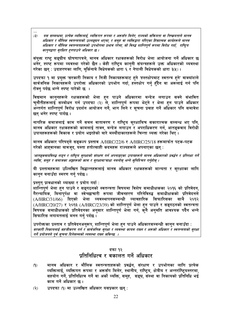$(3)$ यस सम्बन्धमा, प्रत्येक व्यक्तिलाई, व्यक्तिगत रूपमा र अरूसँग मिलेर, राज्यको सक्रियता वा निष्क्र्यताले मानव अधिकार र मौलिक स्वतन्त्रताको उल्लङ्घन भएमा, र समूह वा व्यक्तिद्वारा गरिएका हिंसात्मक कार्यहरूले मानव अधिकार र मौलिक स्वतन्त्रताहरूको उपभोगमा प्रभाव परेमा, सो विरुद्ध शान्तिपूर्ण रूपमा विरोध गर्दा, राष्ट्रिय कान्नद्वारा सुरक्षित हुनपाउने अधिकार छ ।

संयुक्त राष्ट्र सङ्घीय घोषणापत्रले, मानव अधिकार रक्षकहरूको विरोध भेला आयोजना गर्ने अधिकार छ भनेर, स्पष्ट रूपमा व्यवस्था गरेको छैन । केही राष्ट्रिय कानुनी संयन्त्रहरूले उक्त अधिकारको व्यवस्था गरेका छन : उदाहरणका लागि, बर्किनाबे विधेयकको धारा ६ र नेपाली विधेयकको धारा ३(५)।

उपदफा १ मा प्रयुक्त 'सरकारी निकाय र निजी निकायहरूबाट हुने 'हस्तक्षेपबाट स्वतन्त्र हुने' वाक्यांशले सार्वजनिक निकायहरूले उपरोक्त अधिकारको उपभोग गर्दा, हस्तक्षेप गर्न् हँदैन वा अरूलाई गर्न पनि रोक्न पर्दछ भन्ने स्पष्ट पारेको छ ।

विद्यमान कानुनहरूले रक्षकहरूको भेला हुन पाउने अधिकारमा बन्देज लगाउन सक्ने संभावित चुनौतीहरूलाई सम्बोधन गर्न उपदफा (२) ले, शान्तिपूर्ण रूपमा भेट्ने र भेला हुन पाउने अधिकार अन्तर्गत शान्तिपूर्ण विरोध प्रदर्शन आयोजन गर्ने, भाग लिने र सूचना प्रवाह गर्ने अधिकार पनि समावेश छन भनेर स्पष्ट पार्दछ ।

नागरिक समाजलाई काम गर्ने सबल वातावरण र राष्ट्रिय सुरक्षाबिच सकारात्मक सम्बन्ध भए पनि, मानव अधिकार रक्षकहरूको कामलाई ताक्न, बन्देज लगाउन र अपराधिकरण गर्न, आतङ्कवाद विरोधी उपायहरूहरूको विकास र प्रयोग भइरहेको बारे मस्यौदाकारहरूले चिन्ता व्यक्त गरेका थिए ।

मानव अधिकार परिषद्ले सङ्कल्प प्रस्ताव A/HRC/22/6 र A/HRC/25/18 हरूमार्फत पटक-पटक गरेको आहवानका बावजुद, यस्ता हतोत्साही कदमहरू राज्यहरूले अपनाएका छन् :

'आतङ्कवादविरुद्ध लड्न र राष्ट्रिय सुरक्षाको संरक्षण गर्न अपनाइएका उपायहरूले मानव अधिकारको प्रवर्द्धन र प्रतिरक्षा गर्ने व्यक्ति, समूह र समाजका अङ्गहरूको काम र सुरक्षामा'बाधा नबनोस् भन्ने सुनिश्चित गर्नुहोस् ।

यी प्रस्तावहरूमा उल्लिखित सिद्धान्तहरूलाई मानव अधिकार रक्षकहरूको मान्यता र सुरक्षाका लागि कानुन बनाउँदा स्मरण गर्नु पर्दछ ।

प्रस्तुत् प्रावधानको व्याख्या र प्रयोग गर्दा :

. . .

शान्तिपूर्ण भेला हुन पाउने र सङ्गठनको स्वतन्त्रता विषयमा विशेष समाधीक्षकका २०१६ को प्रतिवेदन, गैरन्यायिक, बिनापुर्पक्ष वा स्वेच्छाचारी रूपमा जीवनहरण गरिनेविरुद्ध समाधीक्षकको प्रतिवेदनले साथै (A/HRC/31/66) दिएको भेला व्यवस्थापनसम्बन्धी व्यावहारिक सिफारिसका २०१२ (A/HRC/20/27) र २०१३ (A/HRC/23/39) को शान्तिपूर्ण भेला हन पाउने र सङ्गठनको स्वतन्त्रता विषयक समाधीक्षकको प्रतिवेदनका अनुसार शान्तिपूर्ण भेला गर्न, कनै अनुमति आवश्यक पर्दैन भन्ने सिफारिस लगायतलाई मनन गर्नु पर्दछ ।

उपरोक्तका प्रस्ताव र प्रतिवेदनअनुरूप, शान्तिपूर्ण भेला हुन पाउने अधिकारसम्बन्धी कानुन बनाउँदा : सरकारी निकायलाई सहजीकरण गर्न र सार्वजनिक सुरक्षा र व्यवस्था कायम राख्न र अरूको अधिकार र स्वतन्त्रताको सुरक्षा गर्ने प्रयोजनले पर्व सचना दिनेसम्मको व्यवस्था राख्न सकिन्छ ।

#### दफा १२ प्रतिनिधित्व र वकालत गर्ने अधिकार

- मानव अधिकार र मौलिक स्वतन्त्रताहरूको प्रवर्द्धन, संरक्षण र उपभोगका लागि प्रत्येक  $(9)$ व्यक्तिलाई, व्यक्तिगत रूपमा र अरूसँग मिलेर, स्थानीय, राष्ट्रिय, क्षेत्रीय र अन्तर्राष्ट्रियस्तरमा, सहयोग गर्ने, प्रतिनिधित्व गर्ने वा अर्को व्यक्ति, समूह, सङ्घ, संस्था वा निकायको प्रतिनिधि भई काम गर्ने अधिकार छ ।
- $(5)$ उपदफा (९) मा उल्लखित अधिकार यसप्रकार छन् :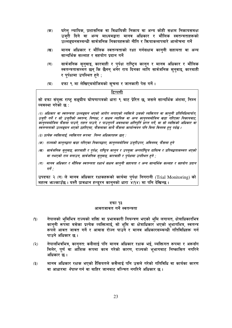- घरेल् न्यायिक, प्रशासनिक वा विधायिकी निकाय वा अन्य कोही सक्षम निकायसमक्ष  $(35)$ उजरी दिने वा अन्य माध्यमद्वारा मानव अधिकार र मौलिक स्वतन्त्रताहरूको उल्लङघनसम्बन्धी सार्वजनिक निकायहरूको नीति र क्रियाकलापबारे आलोचना गर्ने
- मानव अधिकार र मौलिक स्वतन्त्रताको रक्षा गर्नसक्षम कानुनी सहायता वा अन्य  $(\overline{q})$ सान्दर्भिक सल्लाह र सहयोग पदान गर्ने
- सार्वजनिक सुनुवाइ, कारबाही र पुर्पक्ष राष्ट्रिय कानुन र मानव अधिकार र मौलिक  $(T)$ स्वतन्त्रतासम्मॅत छन् कि छैनन् भनेर राय दिनका लाँगि सार्वजनिक सनवाइ, कारबाही र पर्पक्षमा उपस्थित हने :
- $(\overline{u})$ दफा ९ मा लेखिएबमोजिमको सूचना र जानकारी पेस गर्ने ।

सो दफा संयुक्त राष्ट्र सङ्घीय घोषणापत्रको धारा ९ बाट प्रेरित छ, जसले सान्दर्भिक अंशमा, निम्न व्यवस्था गरेको छ:

(२) अधिकार वा स्वतन्त्रता उल्लङ्घन भएको आरोप लगाएको व्यक्तिले उसको व्यक्तिगत वा कान्नी प्रतिनिधिमार्फत, उज़री गर्ने र सो उज़रीको स्वतन्त्र, निष्पक्ष, र सक्षम न्यायिक वा अन्य कान्नबमोजिम खडा गरिएका निकायबाट, काँनुनबमोजिम फैसला पाउने, राहत पाउने, र पाउनुपर्ने अवस्थामा क्षतिपूर्ति प्राप्त गर्ने, वा सो व्यक्तिको अधिकार वा स्वतन्त्रताको उल्लङ्घन भएको ठहरिएमा, फैसलाका साथै फैसला कार्यान्वयन पनि बिना विलम्ब हुन् पर्दछ ।

- (३) प्रत्येक व्यक्तिलाई, व्यक्तिगत रूपमा निम्न अधिकारहरू छन :
- (क) राज्यको कान्नद्वारा खडा गरिएका निकायद्वारा, कान्नबमोजिम उज्रीउपर, अविलम्ब, फैसला हुने
- (ख) सार्वजनिक सुन्वाइ, कारबाही र पूर्पक्ष, राष्ट्रिय कानून र उपयुक्त अन्तर्राष्ट्रिय दायित्व र प्रतिबद्धतासम्मत भएको वा नभएको राय बनाउन, सार्वजनिक सुनुवाइ, कारबाही र पूर्पक्षमा उपस्थित हुने ;
- (ग) मानव अधिकार र मौलिक स्वतन्त्रता रक्षार्थ सक्षम कानुनी सहायता र अन्य सान्दर्भिक सल्लाह र सहयोग प्रदान गर्ने :

उपदफा २ (ग) ले मानव अधिकार रक्षकहरूको कार्यमा पुर्पक्ष निगरानी (Trial Monitoring) को महत्व भन्ल्काउँछ । यस्तै प्रावधान हन्ड्रन कानुनको धारा ४(१४) मा पनि देखिन्छ ।

#### दफा १३

#### आवतजावत गर्ने स्वतन्त्रता

- नेपालको भूमिभित्र राज्यको शक्ति वा प्रभावकारी नियन्त्रण भएको भूमि लगायत, क्षेत्राधिकारभित्र  $(9)$ कान्नी रूपमा बसेका प्रत्येक व्यक्तिलाई, सो भूमि वा क्षेत्राधिकार भएको भूभागभित्र, स्वतन्त्र रूपले आवत जावत गर्ने र आवास रोज्न पाउने र मानव अधिकारसम्बन्धी गतिविधिहरू गर्न पाउने अधिकार छ ।
- नेपालभित्रभित्र, कानुनतः कसैलाई पनि मानव अधिकार रक्षक भई, व्यक्तिगत रूपमा र अरूसँग  $(5)$ मिलेर, पर्ण वा आंशिक रूपमा काम गरेको कारण, राज्यको भभागबाट निष्कासित नगरिने अधिकार छ ।
- मानव अधिकार रक्षक भएको हैसियतले कसैलाई पनि उसले गरेको गतिविधि वा कार्यका कारण  $(5)$ वा आधारमा *नेपाल* गर्न वा बाहिर जानबाट वञ्चित नगरिने अधिकार छ ।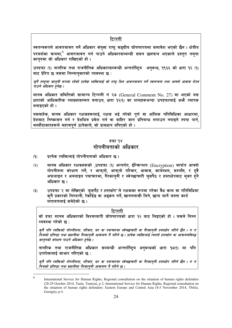स्वतन्त्ररूपले आवतजावत गर्ने अधिकार संयुक्त राष्ट् सङ्घीय घोषणापत्रमा समावेश भएको छैन । क्षेत्रीय परमर्शका क्रममा.<sup>6</sup> आवतजावत गर्न पाउने अधिकारसम्बन्धी सघन छलफल भएकाले प्रस्तत नमना काननमा सो अधिकार राखिएको हो।

उपदफा (१) नागरिक तथा राजनीतिक अधिकारसम्बन्धी अन्तर्राष्टिय अनबन्ध, १९६६ को धारा १२ (१) बाट प्रेरित छ जसमा निम्नानसारको व्यवस्था छ:

कुनै राष्ट्रमा कानुनी रूपमा रहेको प्रत्येक व्यक्तिलाई सो राष्ट्र भित्र आवतजावत गर्ने स्वतन्त्रता तथा आफ्नो आवास रोज्न ्<br>पाउने अधिकार हनेछ ।

मानव अधिकार समितिको सामान्य टिप्पणी नं २७ (General Comment No. 27) मा भएको यस धाराको आधिकारिक व्याख्यासम्मत बनाउन, धारा १२(१) का शब्दहरूभन्दा उपदफालाई अभै व्यापक बनाइएको हो ।

यसबाहेक, मानव अधिकार रक्षकहरूलाई, रक्षक भई गरेको पूर्ण वा आंशिक गतिविधिका आधारमा. देशबाट निष्कासन गर्न र देशभित्र प्रवेश गर्न वा बाहिर जान<sup>े</sup>प्रतिबन्ध लगाउन नपाइने स्पष्ट पार्न, मस्यौदाकारहरूले महत्वपर्ण ठानेकाले. सो प्रावधान थपिएको हो ।

#### दफा १४ गोपनीयताको अधिकार

- पत्येक व्यक्तिलाई गोपनीयताको अधिकार छ ।  $(9)$
- मानव अधिकार रक्षकहरूको ,उपदफा (१) अन्तर्गत, ईन्किप्शन (Encryption) मार्फत आफ्नो  $(5)$ गोपनीयता संरक्षण गर्ने, र<sup>ं</sup>आफ्**नो, आफ्नो परिवार, आवास, कार्यस्थल, सम्प**त्ति, र दुवै<br>अफलाइन र अनलाइन पत्राचारमा, गैरकानुनी र स्वेच्छाचारी घुसपैठ र हस्तक्षेपबाट मुक्त हुने अधिकार छ ।
- उपदफा २ मा लेखिएको *'घसपैठ र हस्तक्षेप'* ले रक्षकका रूपमा गरेका वैध काम वा गतिविधिमा  $(5)$ कनै प्रकारको निगरानी, रेकॉर्डङ वा अङकन गर्ने, खानतलासी लिने, छापा मार्ने जस्ता कार्य लगायतलाई समेटेको छ ।

#### टिप्पणी

सो दफा मानव अधिकारको विश्वव्यापी घोषणापत्रको धारा १२ बाट लिइएको हो । जसले निम्न व्यवस्था गरेको छ:

कुनै पनि व्यक्तिको गोपनीयता, परिवार, घर वा पत्राचारमा स्वेच्छाचारी वा गैरकानुनी हस्तक्षेप गरिने छैन । न त<br>निजको प्रतिष्ठा तथा ख्यातीमा गैरकानुनी आक्रमण नै गरिने छ । प्रत्येक व्यक्तिलाई त्यस्तो हस्तक्षेप वा आक्रमणविरुद कान्नको संरक्षण पाउने अधिकार हुनेछ ।

नागरिक तथा राजनीतिक अधिकार सम्बन्धी अन्तर्राष्टिय अनबन्धको धारा **१७(१) मा पनि** उपरोक्तलाई साभार गरिएको छ :

कुनै पनि व्यक्तिको गोपनीयता, परिवार, घर वा पत्राचारमा स्वेच्छाचारी वा गैरकानुनी हस्तक्षेप गरिने छैन । न त .<br>निजको प्रतिष्ठा तथा ख्यातीमा गैरकाननी आक्रमण नै गरिने छ ।

<sup>6</sup> 

International Service for Human Rights, Regional consultation on the situation of human rights defenders (28-29 October 2014, Tunis, Tunisia), p 2; International Service for Human Rights, Regional consultation on the situation of human rights defenders: Eastern Europe and Central Asia (4-5 November 2014, Tbilisi, Georgia), p 4.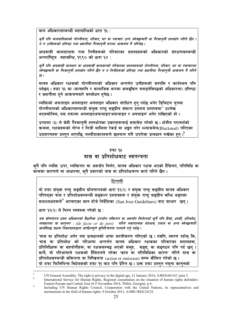<u>बाल अधिकारसम्बन्धी महासन्धिको धारा १६ :</u>

क्नै पनि बालबालिकाको गोपनीयता, परिवार, घर वा पत्राचार उपर स्वेच्छाचारी वा गैरकान्नी हस्तक्षेप गरिने छैन । ँ<br>न त उनीहरूको प्रतिष्ठा तथा ख्यातीमा गैरकाननी रूपमा आक्रमण नै गरिनेछ ।

आप्रवासी कामदारहरू तथा तिनीहरूको परिवारका सदस्यहरूको अधिकारको संरक्षणसम्बन्धी अन्तर्राष्ट्यि महासन्धि, १९९० को धारा १४ :

क्नै पनि आप्रवासी कामदार वा आप्रवासी कामदारको परिवारका सदस्यहरूको गोपनीयता, परिवार, घर वा पत्राचारमा ्<br>स्वेच्छाचारी वा गैरकानृनी हस्तक्षेप गरिने छैन न त तिनीहरूको प्रतिष्ठा तथा ख्यातीमा गैरकानृनी आक्रमण नै गरिने  $\bar{g}$  /

मानव अधिकार रक्षकको गोपनीयताको अधिकार अन्तर्गत उनीहरूको सम्पत्ति र कार्यस्थल पनि पर्दछन् । दफा १६ मा (मानहानि र सामाजिक रूपमा कलङ्कित बनाइनेविरुद्धको अधिकारमा) प्रतिष्ठा र ख्यातीमा हने आक्रमणबारे सम्बोधन हनेछ ।

व्यक्तिको अफलाइन अनलाइनर अनलाइन अधिकार संरक्षित हुन् पर्दछ भनेर डिजिटल युगमा गोपनीयताको अधिकारसम्बन्धी संयुक्त राष्ट्र सङ्घीय संकल्प प्रस्ताव प्रस्तावमा $^7$  उल्लेख भएबमोजिम, यस दफामा अनलाइनअफलाइन'अफलाइन र अनलाइन' भनेर राखिएको हो ।

उपदफा (३) ले केही गैरकानुनी हस्तक्षेपका प्रकारहरूलाई समावेश गरेको छ। क्षेत्रीय परामर्शको कममा, रक्षकहरूको गोप्य र निजी मामिला रेकर्ड वा अङ्कन गरेर ब्ल्याकमेल(Blackmail) गरिएका उदाहरणहरू प्रस्तुत भएपछि, मस्यौदाकारहरूले छलफल गरी उपरोक्त प्राबधान राखेका हुन् । $^8$ 

#### दफा १४

### त्रास वा प्रतिशोधबाट स्वतन्त्रता

क्नै पनि व्यक्ति उपर, व्यक्तिगत वा अरूसँग मिलेर, मानव अधिकार रक्षक भएको हैसियत, गतिविधि वा कॉमका कारणले वा आधारमा, कनै प्रकारको त्रास वा प्रतिशोधजन्य कार्य गरिने छैन ।

#### टिप्पणी

यो दफा संयुक्त राष्ट्र सङ्घीय घोषणापत्रको धारा १२(२) र संयुक्त राष्ट्र सङ्घीय मानव अधिकार परिषद्का त्रास र प्रतिशोधसम्बन्धी सङ्कल्प प्रस्तावहरू र संयुक्त राष्ट्र सङ्घीय सन्धि अङ्गका सभाध्यक्षहरूले अपनाएका सान होजे निर्देशिका (San Jose Guidelines) बाट साभार छन्।

धारा १२(२) ले निम्न व्यवस्था गरेको छ:

यस घोषणापत्र प्रदत्त अधिकारको वैधानिक उपभोग यक्तिगत वा अरूसँग मिलेरगर्दा कुनै पनि हिंसा, धर्म्की, प्रतिशोध, व्यवहारमा वा कानुनत : (de facto or de jure) गरिने नकारात्मक भेदभाव, दबाब वा अन्य स्वेच्छाचारी कार्यविरुद्ध सक्षम निकायहरूद्वारा संरक्षितहने सुनिश्चितता राज्यले गर्न् पर्दछ ।

'त्रास वा प्रतिशोध' भनेर यस प्रावधानको भाषा सरलीकरण गरिएको छ । यद्यपि, स्मरण रहोस् कि, 'त्रास वा प्रतिशोध' को परिभाषा अन्तर्गत मानव अधिकार रक्षकका परिवारका सदस्यहरू. प्रतिनिधिहरू वा सहयोगीहरू, वा रक्षकसम्बद्ध भएको समूह, सङ्घ, वा सङ्गठन पनि पर्द छन् । साथै, यो परिभाषाले रक्षकको हैसियतले गरेका <sub>'</sub>काम वा गतिविधिका कारण' गरिने त्रास वा प्रतिशोधसम्बन्धी सक्रियता वा निष्क्रियता (action or omission) सम्म सीमित गरेको छ। यो दफा फिलिपिन्स विधेयकको दफा ११ बाट पनि प्रेरित छ । उक्त दफा प्रस्तुत नमना कानुनको

 $\overline{7}$ UN General Assembly, The right to privacy in the digital age, 21 January 2014, A/RES/68/167, para 3.

 $\overline{\mathbf{x}}$ International Service for Human Rights, Regional consultation on the situation of human rights defenders: Eastern Europe and Central Asia (4-5 November 2014, Tbilisi, Georgia), p 6.

 $\overline{9}$ Including UN Human Rights Council, Cooperation with the United Nations, its representatives and mechanisms in the field of human rights, 9 October 2013, A/HRC/RES/24/24.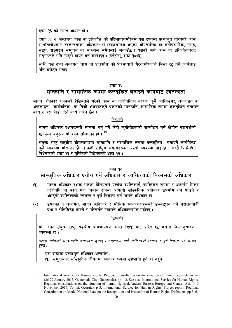दफा २६ को समेत आधार हो।

दफा ३८(२) अन्तर्गत 'त्रास वा प्रतिशोध' को परिभाषाबमोजिम यस दफामा प्रत्याभत गरिएको 'त्रास र प्रतिशोधबाट स्वतन्त्रताको अधिकार' ले रक्षकसम्बद्ध भएका औपचारिक वा अनौपचारिक. समह. .<br>सङ्घ, सङ्गठन समदाय वा सञ्जाल समेतलाई जनाउँछ । यसको अर्थ: त्रास वा प्रतिशोधविरुद्ध सङ्गठनले पनि उजुरी दायर गर्न सक्दछन्। (हेर्नुहोस्, दफा १८(३))

साथै, यस दफा अन्तर्गत 'त्रास वा प्रतिशोध' को परिभाषाले गैरनागरिकको भिसा रद्द गर्ने कार्यलाई पनि समेटन सक्छ ।

#### दफा १६

## मानहानि र सामाजिक रूपमा कलङ्कित बनाइने कार्यबाट स्वतन्त्रता

मानव अधिकार रक्षकको हैसियतले गरेको काम वा गतिविधिका कारण, क्**नै व्यक्तिउपर, अनलाइन** वा अफलाइन, सार्वजनिक वा निजी क्षेत्रबाटकनै प्रकारको मानहानि, सामाजिक रूपमा कलङ्कित बनाउने कार्य र अरू पीड़ा दिने कार्य गरिने छैन।

#### टिप्पणी

मानव अधिकार रक्षकहरूले सामना गर्न् पर्ने केही चुनौतीहरूको सम्बोधन गर्न क्षेत्रीय परामर्शको छलफल अनरूप यो दफा राखिएको हो ।  $^{10}$ 

संयुक्त राष्ट्र सङ्घीय घोषणापत्रमा मानहानि र सामाजिक रूपमा कलङ्कित बनाइने कार्यविरुद्ध क्नै व्यवस्था गरिएको छैन । केही राष्ट्रिय संयन्त्रहरूमा यस्तो व्यवस्था पाइन्छ । जस्तै फिलिपिन विधेयकको दफा ११ र बर्किनाबे विधेयकको धारा १२ ।

#### दफा १७

सांस्कतिक अधिकार प्रयोग गर्ने अधिकार र व्यक्तित्वको विकासको अधिकार

- मानव अधिकार रक्षक भएको हैसियतले प्रत्येक व्यक्तिलाई, व्यक्तिगत रूपमा र अरूसँग मिलेर  $(9)$ गतिविधि वा कार्य गर्दा निर्बाध रूपमा आफनो सांस्कतिक अधिकार उपभोग गर्न पाउने र आफनो व्यक्तित्वको स्वतन्त्र र पर्ण विकास गर्न पाउने अधिकार छ ।
- उपदफा १ अन्तर्गत. मानव अधिकार र मौलिक स्वतन्त्रताहरूको उल्लङ्घन गर्ने पुरातनवादी  $(5)$ प्रथा र रीतिविरुद्ध बोल्ने र परिवर्तन ल्याउने अधिकारसमेत पर्दछन् ।

टिप्पणी

यो दफा संयुक्त राष्ट्र सङ्घीय घोषणापत्रको धारा १८९) बाट प्रेरित छ, जसमा निम्नानुसारको व्यवस्था छ ।

प्रत्येक व्यक्तिको समदायप्रति कर्तव्यहरू हुन्छन् । समदायमा मात्रै व्यक्तित्वको स्वतन्त्र र पर्ण विकास गर्न सम्भव हन्छ ।

यस दफामा प्रत्याभत अधिकार अन्तर्गत:

समदायको सांस्कृतिक जीवनमा स्वतन्त्र रूपमा सहभागी हुने वा नहुने  $(9)$ 

 $10$ 

International Service for Human Rights, Regional consultation on the situation of human rights defenders (26-27 January 2015, Guatemala City, Guatemala), pp 1-2. See also International Service for Human Rights, Regional consultations on the situation of human rights defenders: Eastern Europe and Central Asia (4-5) November 2014, Tbilisi, Georgia), p 3; International Service for Human Rights, Project report: Regional Consultation on Model National Law on the Recognition and Protection of Human Rights Defenders, pp 5, 6.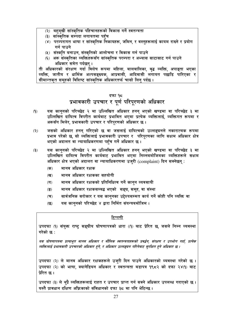- (२) बहमुखी सांस्कृतिक पहिचानहरूको विकास गर्ने स्वतन्त्रता
- (३) सांस्कतिक सम्पदा लगायतमा पहुँच
- (४) परम्परागत भाषा र सांस्कृतिक निकायहरू, जमिन, र वस्तुहरूलाई कायम राख्ने र प्रयोग गर्न पाउने
- (५) संस्कृति बनाउन, संस्कृतिको आलोचना र विकास गर्न पाउने
- (६) अरू संस्कृतिका व्यक्तिहरूसँग सांस्कृतिक परम्परा र अभ्यास साटासाट गर्न पाउने अधिकार समेत पर्दछन ।

ती अधिकारको संरक्षण गर्दा विशेष रूपमा महिला, बालबालिका, वृद्ध व्यक्ति, अपाङ्ता भएका व्यक्ति, जातीय र धार्मिक अल्पसङ्ख्यक, आप्रवासी, आदिवासी लगायत पछाडि पारिएका र .<br>सीमान्तकत समहको विशिष्ट सांस्कृतिक अधिकारतर्फ चासो लिन पर्दछ ।

## दफा १८ प्रभावकारी उपचार र पूर्ण परिपुरणको अधिकार

- यस कान्**नको परिच्छेद २ मा उल्लिखित अधिकार हनन्** भएको खण्डमा वा परिच्छेद ३ मा  $(9)$ उल्लिखित दायित्व विपरीत कार्यबाट प्रभावित भएमा प्रत्येक व्यक्तिलाई, व्यक्तिगत रूपमा र अरूसँग मिलेर, प्रभावकारी उपचार र परिपरणको अधिकार छ ।
- जसको अधिकार हनन् गरिएको छ वा जसलाई दायित्वको उल्लङ्घनले नकारात्मक रूपमा  $(5)$ प्रभाव परेको छ, सो व्यक्तिलाई प्रभावकारी उपचार र परिपूरणका लागि सक्षम अधिकार क्षेत्र भएको अदालत वा न्यायाधिकरणमा पहुँच गर्ने अधिकार छ ।
- $(5)$ यस काननको परिच्छेद २ मा उल्लिखित अधिकार हनन भएको खण्डमा वा परिच्छेद ३ मा उल्लिखित दायित्व विपरीत कार्यबाट प्रभावित भएमा निम्नबमोजिमका व्यक्तिहरूले सक्षम अधिकार क्षेत्र भएको अदालत वा न्यायाधिकरणमा उजरी (complaint) दिन सक्नेछन :
	- मानव अधिकार रक्षक  $(35)$
	- मानव अधिकार रक्षकका सहयोगी  $(3)$
	- $(T)$ मानव अधिकार रक्षकको प्रतिनिधित्व गर्ने कानन व्यवसायी
	- मानव अधिकार रक्षकसम्बद्ध भएको सङ्घ, समूह, वा संस्था  $\left( \overline{\mathbf{S}}\right)$
	- सार्वजनिक सरोकार र यस कानुनका उद्देश्यसम्मत कार्य गर्ने कोही पनि व्यक्ति वा  $(\overline{\mathbf{v}})$
	- यस कानुनको परिच्छेद ४ द्वारा निर्मित संयन्त्रबमोजिम ।  $(55)$

#### टिप्पणी

उपदफा (९) संयुक्त राष्ट्र सङ्घीय घोषणापत्रको धारा ((९) बाट प्रेरित छ, जसले निम्न व्यवस्था गरेको छ :

यस घोषणापत्रमा प्रत्याभूत मानव अधिकार र मौलिक स्वतन्त्रताहरूको प्रवर्द्धन, संरक्षण र उपभोग गर्दा, प्रत्येक व्यक्तिलाई प्रभावकारी उपचारको अधिकार हुने, र अधिकार उल्लङ्घन गरिनेवाट सुरक्षित हुने अधिकार छ ।

उपदफा (२) ले मानव अधिकार रक्षकहरूले उज्**री दिन पाउने अधिकारको व्यवस्था गरेको छ** । उपदफा (२) को भाषा, क्यानेडियन अधिकार र स्वतन्त्रता बडापत्र १९८२ को दफा २४(१) बाट प्रेरित छ ।

उपदफा (३) ले थुप्रै व्यक्तिहरूलाई राहत र उपचार प्राप्त गर्न सक्ने अधिकार उपलब्ध गराएको छ । यस्तै प्रावधान दक्षिण अफ्रिकाको संविधानको दफा ३८ मा पनि भेटिन्छ ।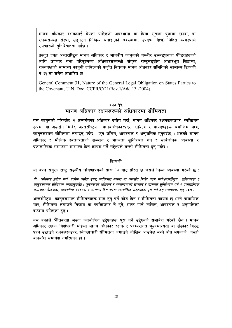मानव अधिकार रक्षकलाई बेपत्ता पारिएको अवस्थामा वा बिना सूचना थुनामा राख्दा, वा रक्षकसम्बद्ध संस्था, सङ्गठन निष्किय बनाइएको अवस्थामा, उपदफा ३(च) निहित व्यवस्थाले उपचारको सनिश्चितता गर्दछ ।

प्रस्तत दफा अन्तर्राष्टिय मानव अधिकार र मानवीय काननको गम्भीर उल्लङघनका पीडितहरूको लागि उपचार तथा परिपरणका अधिकारसम्बन्धी संयक्त राष्टसङ्घीय आधारभत सिद्धान्त, राज्यपक्षको सामान्य काननी दायित्वको प्रकति विषयक मानव अधिकार समितिको सामान्य टिप्पणी नं ३१ मा समेत आधारित छ ।

General Comment 31, Nature of the General Legal Obligation on States Parties to the Covenant, U.N. Doc. CCPR/C/21/Rev.1/Add.13 -2004).

### दफा १९ मानव अधिकार रक्षकहरूको अधिकारमा सीमितता

यस काननको परिच्छेद २ अन्तर्गतका अधिकार प्रयोग गर्दा. मानव अधिकार रक्षकहरूउपर. व्यक्तिगत रूपमा वा अरूसँग मिलेर, अन्तर्राष्ट्रिय मानवअधिकारप्रदत्त दायित्व र मापदण्डहरू बमोजिम मात्र, कानुनसम्मत सीमितता लगाइन् पर्दछ । जुन उचित, आवश्यक र अनुपातिक हुनुपर्दछ, । अरूको मानव अधिकार र मौलिक स्वतन्त्रताको सम्मान र मान्यता सुनिश्चित गर्न र सार्वजनिक व्यवस्था र प्रजातान्त्रिक समाजमा सामान्य हित कायम गर्ने उद्देश्यले यस्तो सीमितता हुन पर्दछ ।

#### टिप्पणी

यो दफा संयुक्त राष्ट्र सङ्घीय घोषणापत्रको धारा १७ बाट प्रेरित छ जसले निम्न व्यवस्था गरेको छ:

यी अधिकार प्रयोग गर्दा, प्रत्येक व्यक्ति उपर, व्यक्तिगत रूपमा वा अरूसँग मिलेर काम गर्दाअन्तर्राष्ट्रिय दायित्वहरू र कानुनसम्मत सीमितता लगाइनुपर्दछ । जुनअरूको अधिकार र स्वतन्त्रताको सम्मान र मान्यता सुनिश्चित गर्न र प्रजातान्त्रिक समाजका नैतिकता, सार्वजनिक व्यवस्था र सामान्य हित जस्ता न्यायोचित उद्देश्यहरू पुरा गर्ने हेत् लगाइएका हुन् पर्दछ ।

अन्तर्राष्ट्रिय कान्**नसम्मत सीमितताहरू मात्र हुन् पर्ने जोड** दिन र सीमितता जायज छ भन्ने प्रामाणिक भार, सीमितता लगाउने निकाय वा व्यक्तिउपर नै हने, स्पष्ट पार्न 'उचित, आवश्यक र अनुपातिक' दफामा थपिएका हन ।

यस दफाले 'नैतिकताा जस्ता न्यायोचित उद्देश्यहरू पूरा गर्ने उद्देश्यले समावेश गरेको छैन । मानव अधिकार रक्षक, विशेषगरी महिला मानव अधिकार रक्षक र परम्परागत मल्यमान्यता वा संस्कार विरुद्ध प्रश्न उठाउने रक्षकहरूउपर, स्वेच्छाचारी सीमितता लगाउने जोखिम आउनेछ भन्ने बोध भएकाले यस्तो वाक्यांश समावेश नगरिएको हो।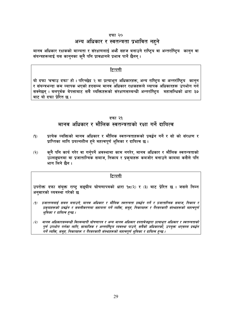#### दफा २०

### अन्य अधिकार र स्वतन्त्रता प्रभावित नहने

मानव अधिकार रक्षकको मान्यता र संरक्षणलाई अभ्गै सहज बनाउने राष्ट्रिय वा अन्तर्राष्ट्रिय कानुन वा संयन्त्रहरूलाई यस कानुनका कुनै पनि प्रावधानले प्रभाव पार्ने छैनन् ।

#### टिप्पणी

यो दफा 'बचाउ दफा' हो । परिच्छेद २ मा प्रत्याभूत अधिकारहरू, अन्य राष्ट्रिय वा अन्तर्राष्ट्रिय कानुन र संयन्त्रभन्दा कम व्यापक भएको हदसम्म मानव अधिकार रक्षकहरूले व्यापक अधिकारहरू उपभोग गर्न सक्नेछन । बलपर्वक बेपत्ताबाट सबै व्यक्तिहरूको संरक्षणसम्बन्धी अन्तर्राष्टिय महासन्धिको धारा ३७ बाट यो दफा प्रेरित छ ।

#### दफा २१

### मानव अधिकार र मौलिक स्वतन्त्रताको रक्षा गर्ने दायित्व

- प्रत्येक व्यक्तिको मानव अधिकार र मौलिक स्वतन्त्रताहरूको प्रवर्द्धन गर्ने र सो को संरक्षण र  $(9)$ प्राप्तिका लागि प्रयत्नशील हुने महत्वपूर्ण भूमिका र दायित्व छ।
- क्**नै पनि कार्य गरेर वा गर्न्**पर्ने अवस्थामा काम नगरेर, मानव अधिकार र मौलिक स्वतन्त्रताको  $(5)$ उल्लङ्घनमा वा प्रजातान्त्रिक समाज, निकाय र प्रकुयाहरू कमजोर बनाउने काममा कसैले पनि भाग लिने छैन ।

#### टिप्पणी

उपरोक्त दफा संयुक्त राष्ट्र सङ्घीय घोषणापत्रको धारा १८(२) र (३) बाट प्रेरित छ । जसले निम्न अनुसारको व्यवस्था गरेको छ

- (१) प्रजातन्त्रलाई सबल बनाउने, मानव अधिकार र मौलिक स्वतन्त्रता प्रवर्द्धन गर्ने र प्रजातान्त्रिक समाज, निकाय र प्रकृयाहरूको प्रवर्द्धन र सबलीकरणमा सहायता गर्ने व्यक्ति, समूह, निकायहरू र गैरसरकारी संस्थाहरूको महत्वपूर्ण भूमिका र दायित्व हुन्छ ।
- मानव अधिकारसम्बन्धी विश्वव्यापी घोषणापत्र र अन्य मानव अधिकार दस्तावेजद्वारा प्रत्याभूत अधिकार र स्वतन्त्रताको  $(3)$ पूर्ण उपभोग गर्नका लागि, सामाजिक र अन्तर्राष्ट्रिय व्यवस्था पाउने, सबैको अधिकारकों, उपयुक्त भएसम्म प्रवर्द्धन गर्ने व्यक्ति, समूह, निकायहरू र गैरसरकारी संस्थाहरूको महत्वपूर्ण भूमिका र दायित्व हुन्छ ।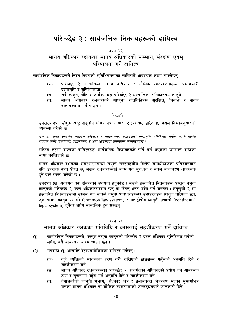## परिच्छेद ३ : सार्वजनिक निकायहरूको दायित्व

#### दफा २२

## मानव अधिकार रक्षकका मानव अधिकारको सम्मान, संरक्षण एवम् परिपालना गर्ने दायित्व

सार्वजनिक निकायहरूले निम्न विषयको सनिश्चितताका लागिसबै आवश्यक कदम चाल्नेछन :

- परिच्छेद २ अन्तर्गतका मानव अधिकार र मौलिक स्वतन्त्रताहरूको प्रभावकारी  $\overline{\text{ch}}$ ) प्रत्याभूति र सुनिश्चितता
- सबै कानुन, नीति र कार्यक्रमहरू परिच्छेद २ अन्तर्गतका अधिकारसम्मत हुने  $(\overline{q})$
- मानव अधिकार रक्षकहरूले आफ्**ना गतिविधिहरू स्**रक्षित, निर्बाध र सबल  $(T)$ वातावरणमा गर्न पाउने ।

#### टिप्पणी

उपरोक्त दफा संयुक्त राष्ट्र सङ्घीय घोषणापत्रको धारा २ (२) बाट प्रेरित छ, जसले निम्नअनुसारको व्यवस्था गरेको छ :

यस घोषणापत्र अन्तर्गत समावेश अधिकार र स्वतन्त्रताको प्रभावकारी प्रत्याभूति सुनिश्चित गर्नका लागि प्रत्येक राज्यले लागि विधायिकी, प्रशासनिक, र अरू आवश्यक उपायहरू अपनाउनेछन् ।

राष्ट्रिय तहमा राज्यका दायित्वहरू सार्वजनिक निकायहरूले पुर्ति गर्ने भएकाले उपरोक्त दफाको भाषा बदलिएको छ ।

मानव अधिकार रक्षकका अवस्थासम्बन्धी संयुक्त राष्ट्रसङ्घीय विशेष समाधीक्षकको प्रतिवेदनबाट पनि उपरोक्त दफा प्रेरित छ, जसले रक्षकहरूलाई काम गर्न सरक्षित र सबल वातावरण आवश्यक हने बारे स्पष्ट पारेको छ ।

उपदफा (ख) अन्तर्गत एक संयन्त्रको स्थापना हुनुपर्दछ । जसले प्रस्तावित विधेयकहरू प्रस्तुत नमुना कानुनको परिच्छेद २ प्रदत्त अधिकारसम्मत छन् वा छैनन् भनेर जाँच गर्न सक्नेछ । अनूसूची २ मा प्रस्तावित विधेयकहरूमा सामेल गर्न सकिने नमुना प्रावधानहरूका उदाहरणहरू प्रस्तुत गरिएका छन्, जुन साभग कानुन प्रणाली (common law system) र महाद्वीपीय काननी प्रणाली (continental legal system) दबैका लागि सान्दर्भिक हन संक्छन।

#### दफा २३

## मानव अधिकार रक्षकका गतिविधि र कामलाई सहजीकरण गर्ने दायित्व

- सार्वजनिक निकायहरूले, प्रस्तुत नमुना कानुनको परिच्छेद २ प्रदत्त अधिकार सुनिश्चित गर्नको  $(9)$ लागि, सबै आवश्यक कदम चाल्ने छन् ।
- उपदफा (१) अन्तर्गत देहायबमोजिमका दायित्व पर्दछन:  $(5)$ 
	- क्नै व्यक्तिको स्वतन्त्रता हरण गरी राखिएको ठाउँसम्म पहँचको अनुमति दिने र  $(35)$ सहजीकरण गर्ने
	- मानव अधिकार रक्षकहरूलाई परिच्छेद २ अन्तर्गतका अधिकारको प्रयोग गर्न आवश्यक  $(\overline{\mathbf{q}})$ ठाउँ र सूचनामा पहुँच गर्न अनुमति दिने र सहजीकरण गर्ने
	- नेपालकोको कानुनी भूभाग, अधिकार क्षेत्र र प्रभावकारी नियन्त्रण भएका भूभागभित्र  $(\overline{\mathbf{u}})$ भएका मानव अधिकार वा मौलिक स्वतन्त्रताको उल्लङ्घनबारे जानकारी दिने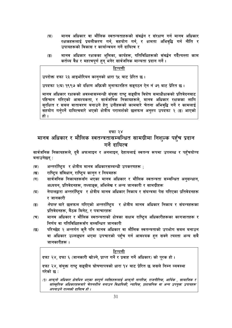- मानव अधिकार वा मौलिक स्वतन्त्रताहरूको संवर्द्धन र संरक्षण गर्न मानव अधिकार  $(\nabla)$ रक्षकहरूलाई प्रबलीकरण गर्न, सहयोग गर्न, र क्षमता अभिवृद्धि गर्न नीति र उपायहरूको विकास र कार्यान्वयन गर्ने दायित्व र
- मानव अधिकार रक्षकका भूमिका, कार्यहरू, गतिविधिहरूको संवर्द्धन गर्दैत्यस्ता काम  $\overline{(\overline{S})}$ कर्तव्य वैध र महत्वपूर्ण हुन् भनेर सार्वजनिक मान्यता प्रदान गर्ने ।

उपरोक्त दफा २३ आइभोरियन कानुनको धारा १५ बाट प्रेरित छ ।

उपदफा २(घ) १९९७ को दक्षिण अफ्रिकी मुनाफारहित सङ्गठन ऐन नं ७१ बाट प्रेरित छ ।

मानव अधिकार रक्षकको अवस्थासम्बन्धी संयुक्त राष्ट् सङ्घीय विशेष समाधीक्षकको प्रतिवेदनबाट पहिचान गरिएको आवश्यकता, र सार्वजनिक निकायहरूले, मानव अधिकार रक्षकका लागि सुरक्षित र सबल वातावरण बनाउने हेतु उनीहरूको कामबारे चेतना अभिवृद्धि गर्ने र कामलाई सहयोग गर्नुपर्ने दायित्वबारे भएको क्षेत्रीय परामर्शको छलफल अनुरुप उपदफा २ (ङ) आएको हो ।

#### दफा २४

## मानव अधिकार र मौलिक स्वतन्त्रतासम्बन्धित सामग्रीमा निशुल्क पहुँच प्रदान गर्ने दायित्व

सार्वजनिक निकायहरूले, दुबै अफलाइन र अनलाइन, देहायलाई स्वतन्त्र रूपमा उपलब्ध र पहुँचयोग्य बनाउनेछन् :

- अन्तर्राष्ट्रिय र क्षेत्रीय मानव अधिकारसम्बन्धी उपकरणहरू ;  $($ क)
- राष्ट्रिय संविधान, राष्ट्रिय कानुन र नियमहरू  $(\overline{q})$
- सार्वजनिक निकायहरूसँग भएका मानव अधिकार र मौलिक स्वतन्त्रता सम्बन्धित अनुसन्धान,  $(T)$ अध्ययन, प्रतिवेदनहरू, तथ्याङ्क, अभिलेख र अन्य जानकारी र सामग्रीहरू
- नेपालद्वारा अन्तर्राष्ट्रिय र क्षेत्रीय मानव अधिकार निकाय र संयन्त्रमा पेस गरिएका प्रतिवेदनहरू  $(\overline{u})$ र जानकारी
- *नेपाल* बारे छलफल गरिएको अन्तर्राष्ट्रिय र क्षेत्रीय मानव अधिकार निकाय र संयन्त्रहरूका  $\overline{(\overline{S})}$ प्रतिवेदनहरू, बैठक मिनेट, र पत्राचारहरू
- मानव अधिकार र मौलिक स्वतन्त्रताको क्षेत्रका सक्षम राष्ट्रिय अधिकारीहरूका कागजातहरू र  $(\overline{\mathbf{v}})$ निर्णय वा गतिविधिहरूसँग सम्बन्धित जानकारी
- परिच्छेद २ अन्तर्गत कुनै पनि मानव अधिकार वा मौलिक स्वतन्त्रताको उपभोग सबल बनाउन  $\overline{\mathfrak{B}}$ वा अधिकार उल्लङ्घन भएमा उपचारको पहुँच गर्न आवश्यक हन सक्ने त्यस्ता अन्य सबै जानकारीहरू ।

#### टिप्पणी

दफा २४, दफा ६ (जानकारी खोज्ने, प्राप्त गर्ने र प्रवाह गर्ने अधिकार) को पूरक हो ।

दफा २४, संयुक्त राष्ट्र सङ्घीय घोषणापत्रको धारा १४ बाट प्रेरित छ जसले निम्न व्यवस्था गरेको छ :

(9) आफ्नो अधिकार क्षेत्रभित्र भएका सम्पूर्ण व्यक्तिहरूलाई आफ्नो नागरिक, राजनीतिक, आर्थिक , सामाजिक र सांस्कृतिक अधिकारहरूबारे चेतनशील बनाउन विधायिकी, न्यायिक, प्रशासनिक वा अन्य उपयुक्त उपायहरू अपनाउने राज्यको दायित्व हो ।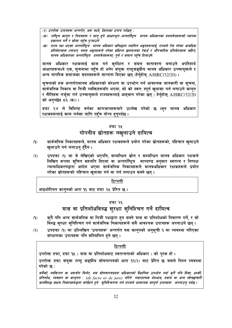(२) उपरोक्त उपायहरू अन्तर्गत, अरू मध्ये, देहायका उपाय पर्दछन् :

- (क) राष्ट्रिय कानुन र नियमहरू र लागु हुने आधारभूत अन्तर्राष्ट्रिय मानव अधिकारका दस्तावेजहरूको व्यापक प्रकाशन गर्ने र सोमा पहुँच पऱ्याउने
- (ख) राज्य पक्ष भएका अन्तर्राष्ट्रिय मानव अधिकार सन्धिद्वारा स्थापित अङ्गहरूलाई, राज्यले पेस गरेका आवधिक प्रतिवेदनहरू ल्गायत, यस्ता अङ्गहरूले गरेका संक्षिप्त छलफलका रेकर्ड र औपचारिक प्रतिवेदनहरू सहित, मानव अधिकारका अन्तर्राष्ट्रिय दस्तावेजहरूमा, पूर्ण र समान पहुँच दिलाउने

मानव अधिकार रक्षकलाई काम गर्न सुरक्षित र सबल वातावरण बनाउने अपरिहार्य आधारहरूमध्ये एक, सूचनामा पहुँच हो भनेर संयुक्त राष्ट्सङ्घीय मानव अधिकार उच्चायुक्तले र अन्य नागरिक समाजका सदस्यहरूले मान्यता दिएका छन् (हेर्नुहोस् A/HRC/32/20)।

सचनाको हक अन्तर्गतमानव अधिकारको संरक्षण वा उपभोग गर्न आवश्यक जानकारी वा सचना. सार्वजनिक निकाय वा निजी व्यक्तिहरूसँग भएमा, सो को स्वत: स्पूर्त खुलासा गर्न लगाउने कानुन र नीतिहरू तर्जमा गर्न उच्चायक्तले राज्यहरूलाई आहवान गरेका छन् ( हेर्नुहोस् A/HRC/32/20 को अनुच्छेद द६ (क))।

दफा २४ ले विशिष्ट वर्गका कागजातहरूबारे उल्लेख गरेको छ ।ज्**न मानव अधिकार** रक्षकहरूलाई काम गर्नका लागि पहुँच योग्य हुनुपर्दछ ।

#### दफा २५

## गोपनीय स्रोतहरू नखलाउने दायित्व

- सार्वजनिक निकायहरूले, मानव अधिकार रक्षकहरूले प्रयोग गरेका स्रोतहरूको, पहिचान खुलाउने  $(9)$ खुलाउने गर्न लगाउन् हँदैन ।
- उपदफा (१) मा जे लेखिएको भएपनि, सम्बन्धित स्रोत र सम्बन्धित मानव अधिकार रक्षकले  $(5)$ लिखित रूपमा सुचित सहमति दिएमा वा अन्तर्राष्ट्रिय मापदण्ड अनुसार स्वतन्त्र र निष्पक्ष न्यायाधिकरणद्वारा आदेश भएमा सार्वजनिक निकायहरूले मानवअधिकार रक्षकहरूले प्रयोग गरेका स्रोतहरूको पहिचान खुलासा गर्न वा गर्न लगाउन सक्ने छन् ।

#### <u>टिप्पणी</u>

आइभोरियन कानुनको धारा १६ बाट दफा २५ प्रेरित छ ।

#### दफा २६

## त्रास वा प्रतिशोधविरुद्ध सुरक्षा सुनिश्चित गर्ने दायित्व

- कुनै पनि अन्य सार्वजनिक वा निजी पक्षद्वारा हुन सक्ने त्रास वा प्रतिशोधको निवारण गर्ने, र सो  $(9)$ विरुद्ध सुरक्षा सुनिश्चित गर्न सार्वजनिक निकायँहरूले सबै आवश्यक उपायहरू अपनाउने छन ।
- उपदफा (१) मा उल्लिखित 'उपायहरू' अन्तर्गत यस कानुनको अनुसूची १ मा व्यवस्था गरिएका  $(5)$ संरक्षणका उपायहरू पनि सम्मिलित हने छन् ।

#### <u>टिप्पणी</u>

उपरोक्त दफा, दफा १५ (त्रास वा प्रतिशोधबाट स्वतन्त्रताको अधिकार) को पूरक हो। उपरोक्त दफा संयुक्त राष्ट्र सङ्घीय घोषणापत्रको धारा १२(२) बाट प्रेरित छ जसले निम्न व्यवस्था गरेको छ :

सबैको, व्यक्तिगत वा अरूसँग मिलेर, यस घोषणापत्रप्रदत्त अधिकारको वैधानिक उपभोग गर्दा क्नै पनि हिंसा, धर्म्की, प्रतिशोध, व्यवहार वा कानुनत : (de facto or de jure) गरिने नकारात्मक भेदभाव, दबाब वा अन्य स्वेच्छाचारी कार्यविरुद्ध सक्षम निकायहरूद्वारा संरक्षित हुने सुनिश्चितता गर्न राज्यले आवश्यक सम्पूर्ण उपायहरू अपनाउन् पर्दछ ।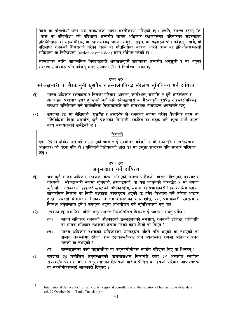'त्रास वा प्रतिशोध' भनेर यस प्रावधानको भाषा सरलीकरण गरिएको छ । यद्यपि, स्मरण रहोस कि, "त्रास वा प्रतिशोध" को परिभाषा अन्तर्गत मानव अधिकार रक्षकहरूका परिवारका सदस्यहरू. प्रतिनिधिहरू वा सहयोगीहरू, वा रक्षकसम्बद्ध भएको समूह, सङ्घ, वा सङ्गठन पनि पर्दछन् । साथै, यो परिभाषा रक्षकको हैसियतले गरेका <sub>'</sub>कार्य वा गतिविधिका कारण' गरिने त्रास वा प्रतिशोधसम्बन्धी सक्रियता वा निष्क्रियता (action or omission) सम्म सीमित गरेको छ।

<u>स्पष्टताका लागि, सार्वजनिक निकायहरूले अपनाउनपर्ने उपायहरू अन्तर्गत अनसची १ मा भएका</u> संरक्षण उपायहरू पनि पर्दछन् भनेर उपदफा (२) ले निर्धारण गरेको छ।

#### दफा २७

## स्वेच्छाचारी वा गैरकाननी घसपैठ र हस्तक्षेपविरुद्ध संरक्षण सनिश्चित गर्ने दायित्व

- मानव अधिकार रक्षकहरू र तिनका परिवार, आवास, कार्यस्थल, सम्पत्ति, र दबै अफलाइन र  $(9)$ अनलाइन, पत्राचार उपर हुनसक्ने, कुनै पनि स्वेच्छाचारी वा गैरकाननी घसपैठ र हस्तक्षेपविरुद्ध. संरक्षण सनिश्चित गर्न सार्वजनिक निकायहरूले सबै आवश्यक उपायहरू अपनाउने छन ।
- उपदफा (१) मा लेखिएको *'घसपैठ र हस्तक्षेप'* ले रक्षकका रूपमा गरेका वैधानिक काम वा  $(5)$ गतिविधिमा बिना अनमति, कनै प्रकारको निगरानी, रेकर्डिङ वा अङक गर्ने, छापा मार्ने जस्ता कार्य लगायतलाई समेटेको छ ।

#### टिप्पणी

दफा २६ ले क्षेत्रीय परामर्शमा उठाएको चासोलाई सम्बोधन गर्दछ $^{11}$  र यो दफा १४ (गोपनीयताको अधिकार) को परक पनि हो । बर्किनाबे विधेयकको धारा १३ मा प्रयुक्त शब्दहरू पनि साभार गरिएका छन् ।

### दफा २८

## अनसन्धान गर्ने दायित्व

- जब कनै मानव अधिकार रक्षकको हत्या गरिएको, बेपत्ता पारिएको, यातना दिइएको, दुर्व्यवहार  $(9)$ गरिएको , स्वेच्छाचारी रूपमा थुनिएको, धम्काइएको, वा यस कानुनको परिच्छेद २ मा भएका कनै पनि अधिकारको *(देशको नाम)* को अधिकारक्षेत्र, भुभाग वा प्रभावकारी नियन्त्रणभित्र भएका सार्वजनिक निकाय वा निजी पक्षद्वारा उल्लङ्घन भएको छ भनेर विश्वास गर्ने उचित आधार .<br>हन्छ त्यस्तो बेलासक्षम निकाय ले लगनशीलताका साथ शीघ्र, पूर्ण, प्रभावकारी, स्वतन्त्र र निष्पक्ष अनुसन्धान हने र उपयुक्त भएमा अभियोजन गर्ने सुनिश्चितता गर्नु पर्छ ।
- उपदफा (१) बमोजिम गरिने अनुसन्धानले निम्नलिखित विषयलाई ध्यानमा राख्न् पर्नेछ :  $(5)$ 
	- मानव अधिकार रक्षकको अधिकारको उल्लङ्घनको मनसाय, रक्षकको प्रतिष्ठा, गतिविधि  $(35)$ वा मानव अधिकार रक्षकको रूपमा गरेको काम थियो वा थिएन ?
	- मानव अधिकार रक्षकको अधिकारको उल्लङ्घन पहिले पनि भएको वा नभएको वा  $(\overline{q})$ समान अवस्थामा रहेका अन्य रक्षकहरूविरुद्धं पनि व्यवस्थित रूपमा अधिकार हनन् भएको वा नभएको ?
	- उल्लङ्घनका कार्य बहसमर्थित वा बहसहयोगीहरू मार्फत गरिएका थिए वा थिएनन् ?  $(T)$
- उपदफा (१) बमोजिम अनसन्धानको क्रममासक्षम निकायले दफा ३४ अन्तर्गत स्थापित  $(5)$ संयन्त्रसँग परामर्श गर्ने र अनुसन्धानको स्थितिको बारेमा पीडित वा उसको परिवार, आफन्तहरू वा सहयोगीहरूलाई जानकारी दिनपर्छ ।

<sup>11</sup> 

International Service for Human Rights, Regional consultation on the situation of human rights defenders (28-29 October 2014, Tunis, Tunisia), p 4.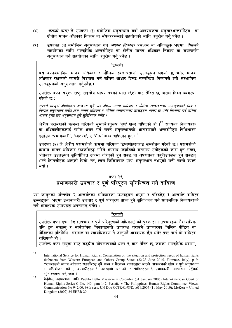- *(देशको नाम)* ले उपदफा (१) बमोजिम अनुसन्धान गर्दा आवश्यकता अनुसारअन्तर्राष्ट्रिय  $(\lambda)$ वा क्षेत्रीय मानव अधिकार निकाय वा संयन्त्रहरूलाई सहयोगको लागि अनरोध गर्न पर्नेछ ।
- उपदफा (१) बमोजिम अनुसन्धान गर्न *(सक्षम निकाय)* असक्षम वा अनिच्छुक भएमा, *नेपाल*ले  $(2)$ सहयोगका लागि सान्दर्भिक अन्तर्राष्टिय वा क्षेत्रीय मानव अधिकार निकाय वा संयन्त्रसँग अनुसन्धान गर्न सहयोगका लागि अनुरोध गर्नु पर्नेछ ।

यस दफाबमोजिम मानव अधिकार र मौलिक स्वतन्त्रताको उल्लङ्घन भएको छ भनेर मानव अधिकार रक्षकको कामले विश्वास गर्न उचित आधार दिन्छ सम्बन्धित निकायले त्यो सम्भावित उल्लङघनको अनसन्धान गर्नपर्नेछ ।

उपरोक्त दफा संयक्त राष्ट सङ्घीय घोषणापत्रको धारा (९५) बाट प्रेरित छ, जसले निम्न व्यवस्था गरेको छ :

राज्यले आफ्नो क्षेत्राधिकार अन्तर्गत कुनै पनि क्षेत्रमा मानव अधिकार र मौलिक स्वतन्त्रताको उल्लङ्घनको शीघ्र र निष्पक्ष अनसन्धान गर्नेछ ।जब मानव अधिकार र मौलिक स्वतन्त्रताको उल्लङ्घन भएको छ भनेर विश्वास गर्न उचित आधार हुन्छ तब अनुसन्धान हुने सुनिश्चित गर्नेछ ।

क्षेत्रीय परामर्शको क्रममा गरिएको सुभ्रावेअनुरूप 'पूर्ण' शब्द थपिएको हो ।<sup>12</sup> राज्यका निकायहरू<br>वा अधिकारीहरूलाई समेत असर गर्न सक्ने अनुसन्धानको आचरणवारे अन्तर्राष्ट्रिय विधिशास्त्र दर्साउन 'प्रभावकारी', 'स्वतन्त्र', र 'शीघ्र' शब्द थपिएका हन् ।  $^{13}$ 

उपदफा (२) ले क्षेत्रीय परामर्शको क्रममा गरिएका टिप्पणीहरूलाई सम्बोधन गरेको छ । परामर्शको क्रममा मानव अधिकार रक्षकविरुद्ध गरिने अपराध पछाडिको मनसाय उनीहरूको काम हन सक्छ, अधिकार उल्लङ्घन सनियोजित रूपमा गरिएको हन सक्छ वा अपराधका बहपीडकहरू हन सक्छन भन्ने टिप्पणीहरू आएको थियो ।तर, त्यस किसिमबाट प्राय: अनुसन्धान नभएको भनी चासो व्यक्त भयो ।

#### दफा २९

## प्रभावकारी उपचार र पूर्ण परिपूरण सुनिश्चित गर्ने दायित्व

यस कानुनको परिच्छेद २ अन्तर्गतका अधिकारको उल्लङ्घन भएमा र परिच्छेद ३ अन्तर्गत दायित्व उल्लङ्घन भएमा प्रभावकारी उपचार र पूर्ण परिपुरण प्राप्त हुने सुनिश्चित गर्न सार्वजनिक निकायहरूले सबै आवश्यक उपायहरू अपनाउन पर्नेछ ।

#### टिप्पणी

उपरोक्त दफा दफा १८ (उपचार र पूर्ण परिपूरणको अधिकार) को पूरक हो। उपचारहरू गैरन्यायिक पनि हन सक्छन् र सार्वजनिक निकायहरूले उपलब्ध गराउने उपचारका निमित्त पीडित वा पीडितका प्रतिनिधि अदालत वा न्यायधिकरण नै जानपर्ने आवश्यक छैन भनेर प्रष्ट पार्न यो दायित्व राखिएको हो ।

उपरोक्त दफा संयुक्त राष्ट्र सङ्घीय घोषणापत्रको धारा ९ बाट प्रेरित छ, जसको सान्दर्भिक अंशमा,

<sup>12</sup> 

International Service for Human Rights, Consultation on the situation and protection needs of human rights defenders from Western European and Others Group States (22-23 June 2015, Florence, Italy), p 9: "राज्यहरूले मानव अधिकार रक्षकविरुद्ध दुवै राज्य र गैरराज्य पक्षहरुद्वारा भएको आऋमणको शीघ्र र पुर्ण अनुसन्धान र अभियोजन गर्ने , अपराधीहरूलाई उत्तरदायी बनाउने र पीडितहरूलाई प्रभावकारी उपचारमा पहुँचको सुनिश्चितता गर्नु पर्दछ ।"

<sup>13</sup> हेर्नुहोस् उदाहरणका लागि Pueblo Bello Massacre v Colombia (31 January 2006) Inter-American Court of Human Rights Series C No. 140, para 142; Pestaño v The Philippines, Human Rights Committee, Views: Communication No 942/00, 98th sess, UN Doc CCPR/C/98/D/1619/2007 (11 May 2010); McKerr v United Kingdom (2002) 34 EHRR 20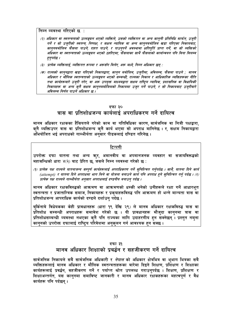निम्न व्यवस्था गरिएको छ :

- (२) अधिकार वा स्वतन्त्रताको उल्लङ्घन भएको व्यक्तिले, उसको व्यक्तिगत वा अन्य कानुनी प्रतिनिधि मार्फत, उजुरी गर्ने र सो उज्रीको स्वतन्त्र, निष्पक्ष, र सक्षम न्यायिक वा अन्य कान्नबमोजिम खडा गरिएका निकायबाट, कानुनबमोजिम फैसला पाउने, राहत पाउने, र पाउनुपर्ने अवस्थामा क्षतिपूर्ति प्राप्त गर्ने, वा सो व्यक्तिको अधिकार वा स्वतन्त्रताको उल्लङ्घन भएको ठहरिएमा, फैसलाका साथै फैसलाको कार्यान्वयन पनि विना विलम्ब हनपर्दछ ।
- (३) प्रत्येक व्यक्तिलाई, व्यक्तिगत रूपमा र अरूसँग मिलेर, अरू मध्ये, निम्न अधिकार छन् :
- (क) राज्यको काननद्वारा खडा गरिएको निकायद्वारा, कानन बमोजिम, उजरीमा, अविलम्ब, फैसला पाउने ; मानव अधिकार र मौलिक स्वतन्त्रताको उल्लङ्घन भएको सम्बन्धी, राज्यका निकाय र आधिकारिक व्यक्तिहरूका नीति तथा कार्यहरूवारे उज़री गरेर, वा अरू उपयुक्त माध्यमद्वारा सक्षम राष्ट्रिय न्यायिक, प्रशासनिक वा विधायिकी निकायहरू वा अन्य कनै सक्षम काननबमोजिमको निकायमा उजर गर्ने पाउने, र सो निकायबाट उजरीबारे अविलम्ब निर्णय पाउने अधिकार छ ।

#### दफा ३०

## त्रास वा प्रतिशोधजन्य कार्यलाई अपराधिकरण गर्ने दायित्व

मानव अधिकार रक्षकका हैसियतले गरेको काम वा गतिविधिका कारण सार्वजनिक वा निजी पक्षद्वारा. क्नै व्यक्तिउपर त्रास वा प्रतिशोधजन्य क्नै कार्य भएमा सो अपराध मानिनेछ । र, सक्षम निकायद्वारा अभियोजित भई अपराधको गाम्भीर्यता अनुसार पीडकलाई दण्डित गरिनेछ ।

#### टिप्पणी

उपरोक्त दफा यातना तथा अन्य ऋर, अमानवीय वा अपमानजनक व्यवहार वा सजायविरूद्धको महासन्धिको धारा ४(२) बाट प्रेरित छ, जसले निम्न व्यवस्था गरेको छ :

(१) प्रत्येक पक्ष राज्यले यातनाजन्य सम्पूर्ण कार्यहरूलाई अपराधिकरण गर्ने सुनिश्चित गर्नुपर्दछ । साथै, यातना दिने कार्य (attempt) र यातना दिने अपराधमा भाग लिने वा योजना बनाउने कार्य पनि अपराध हने सुनिश्चित गर्नु पर्दछ । (२) प्रत्येक पक्ष राज्यले गाम्भीर्यता अनुसार अपराधलाई दण्डनीय बनाउन् पर्दछ ।

मानव अधिकार रक्षकविरुद्धको आक्रमण वा आक्रमणको धम्की भनेको उनीहरूले रक्षा गर्ने आधारभुत स्वतन्त्रता र प्रजातान्त्रिक समाज, निकायहरू र प्रकृयाहरूविरुद्ध पनि आक्रमण हो भन्ने मान्यता त्रास वा प्रतिशोधजन्य आपराधिक कार्यको दण्डले दर्शाउन् पर्दछ ।

बुर्किनाबे विधेयकका केही प्रावधानहरू (धारा १९ देखि २९) ले मानव अधिकार रक्षकविरुद्ध त्रास वा प्रतिशोध सम्बन्धी अपराधहरू समावेश गरेको छ । यी प्रावधानहरू मौजुदा कानुनमा त्रास वा प्रतिशोधसम्बन्धी व्यवस्था नभएका कनै पनि राज्यका लागि उदाहरणीय हुन सक्नेछन् । प्रस्तुत नमुना कानुनको उपरोक्त दफालाई राष्ट्रिय परिवेशमा अनुकुलन गर्न आवश्यक हुन सक्छ ।

#### दफा ३१

## मानव अधिकार शिक्षाको प्रबर्द्धन र सहजीकरण गर्ने दायित्व

सार्वजनिक निकायले सबै सार्वजनिक अधिकारी र *नेपाल* को अधिकार क्षेत्रभित्र वा भूभाग भित्रका सबै व्यक्तिहरूलाई मानव अधिकार र मौलिक स्वतन्त्रताहरूका बारेमा दिइने शिक्षण, प्रशिक्षण र शिक्षाका कार्यहरूलाई प्रवर्द्धन, सहजीकरण गर्ने र पर्याप्त श्रोत उपलब्ध गराउनुपर्दछ । शिक्षण, प्रशिक्षण र शिक्षाअन्तर्गत, यस कानुनमा समाविष्ट जानकारी र मानव अधिकार रक्षकहरूका महत्वपूर्ण र वैध कार्यहरू पनि पर्दछन ।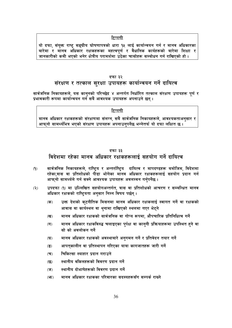यो दफा, संयुक्त राष्ट्र सङ्घीय घोषणापत्रको धारा १५ लाई कार्यान्वयन गर्न र मानव अधिकारका बारेमा र मानव अधिकार रक्षकहरूका महत्वपूर्ण र वैधानिक कार्यहरूको बारेमा शिक्षा र जानकारीको कमी भएको भनेर क्षेत्रीय परामर्शमा उठेका चासोहरू सम्बोधन गर्न राखिएको हो ।

#### दफा ३२

## संरक्षण र तत्काल सुरक्षा उपायहरू कार्यान्वयन गर्ने दायित्व

सार्वजनिक निकायहरूले, यस कानुनको परिच्छेद ४ अन्तर्गत निर्धारित तत्काल संरक्षण उपायहरू पूर्ण र प्रभावकारी रूपमा कार्यान्वयन गर्न सबै आवश्यक उपायहरू अपनाउने छन् ।

#### टिप्पणी

मानव अधिकार रक्षकहरूको संरक्षणमा संलग्न, सबै सार्वजनिक निकायहरूले, आवश्यकताअनुसार र आफ्**नो सामर्थ्यभित्र भएको संरक्षण उपायहरू अ**पनाउन्**पर्नेछ भन्नेतर्फ यो दफा लक्षित** छ ।

#### दफा ३३

## विदेशमा रहेका मानव अधिकार रक्षकहरूलाई सहयोग गर्ने दायित्व

- सार्वजनिक निकायहरूले, राष्ट्रिय र अन्तर्राष्ट्रिय दायित्व र मापदण्डहरू बमोजिम, विदेशमा  $(9)$ रहेका,त्रास वा प्रतिशोधको पीडा भोगेका मानव अधिकार रक्षकहरूलाई सहयोग प्रदान गर्न आफुनो सामर्थ्यले गर्न सक्ने आवश्यक उपायहरू अवलम्वन गर्नुपर्नेछ ।
- उपदफा (१) मा उल्लिखित सहयोगअन्तर्गत, त्रास वा प्रतिशोधको आचरण र सम्बन्धित मानव  $(5)$ अधिकार रक्षकको राष्ट्रियता अनुसार निम्न विषय पर्छन् ।
	- उक्त देशको क्टनीतिक मिसनमा मानव अधिकार रक्षकलाई स्वागत गर्ने वा रक्षकको  $(5)$ आवास वा कार्यस्थल वा थनामा राखिएको स्थलमा गएर भेटने
	- मानव अधिकार रक्षकको सार्वजनिक वा गोप्य रूपमा, औपचारिक प्रतिनिधित्व गर्ने  $(\overline{q})$
	- मानव अधिकार रक्षकविरुद्ध चलाइएका पर्पक्ष वा काननी प्रक्रियाहरूमा उपस्थित हने वा  $(T)$ सो को अवलोकन गर्ने
	- मानव अधिकार रक्षकको अवस्थाबारे अनुगमन गर्ने र प्रतिवेदन तयार गर्ने  $(\mathbf{\nabla})$
	- आपत्कालीन वा प्रतिस्थापन गरिएका यात्रा कागजातहरू जारी गर्ने  $\mathbf{E}$
	- चिकित्सा स्याहार प्रदान गराउने  $(\overline{\mathbf{v}})$
	- स्थानीय वकिलहरूको विवरण प्रदान गर्ने  $\overline{\mathfrak{B}}$
	- स्थानीय दोभाषेहरूको विवरण प्रदान गर्ने  $(\overline{v})$
	- मानव अधिकार रक्षकका परिवारका सदस्यहरूसँग सम्पर्क राख्ने  $(\mathfrak{F})$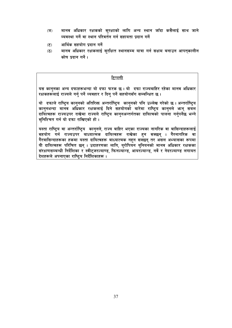- मानव अधिकार रक्षकको सुरक्षाको लागि अन्य स्थान जाँदा कसैलाई साथ जाने  $(\overline{\mathbf{5}})$ व्यवस्था गर्ने वा स्थान परिवर्तन गर्न सहायता प्रदान गर्ने
- आर्थिक सहयोग पदान गर्ने  $(5)$
- मानव अधिकार रक्षकलाई सुरक्षित स्थानसम्म यात्रा गर्न सक्षम बनाउन आपतुकालीन  $(5)$ कोष प्रदान गर्ने।

यस कानुनका अन्य दफाहरूभन्दा यो दफा फरक छ । यो दफा राज्यबाहिर रहेका मानव अधिकार रक्षकहरूलाई राज्यले गर्न् पर्ने व्यवहार र दिन् पर्ने सहयोगसँग सम्बन्धित छ ।

यो दफाले राष्ट्रिय कान्**नको अतिरिक्त अन्तर्राष्ट्रिय कान्**नको पनि उल्लेख गरेको छ । अन्तर्राष्ट्रिय काननभन्दा मानव अधिकार रक्षकलाई दिने सहयोगको बारेमा राष्ट्रिय काननले भन्न सबल दायित्वहरू राज्यउपर राखेमा राज्यले राष्ट्रिय कान्**नअन्तर्गतका दायित्वको पालना गर्न्**पर्नेछ भन्ने सनिश्चित गर्न यो दफा राखिएको हो ।

यस्ता राष्ट्रिय वा अन्तर्राष्ट्रिय कानुनले, राज्य बाहिर भएका राज्यका नागरिक वा बासिन्दाहरूलाई ्राः स्थानम् ।<br>सहयोग गर्न राज्यउपर बाध्यात्मक दायित्वहरू राखेका हुन सक्छन् । गैरनागरिक वा गैरवासिन्दाहरूका हकमा यस्ता दायित्वहरू बाध्यात्मक नहन सक्छन् तर असल अभ्यासका रूपमा यी दायित्वहरू परिचित छन् । उदाहरणका लागि, युरोपियन युनियनको मानव अधिकार रक्षकका संरक्षणसम्बन्धी निर्देशिका र स्वीट्जरल्याण्ड, फिनल्यान्ड, आयरल्यान्ड, नर्वे र नेदरल्याण्ड लगायत देशहरूले अपनाएका राष्टिय निर्देशिकाहरू।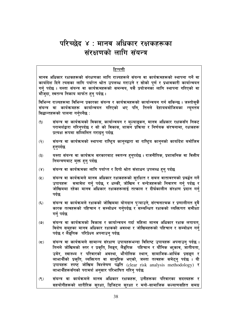## परिच्छेद ४ : मानव अधिकार रक्षकहरूका संरक्षणको लागि संयन्त्र

#### टिप्पणी

मानव अधिकार रक्षकहरूको संरक्षणका लागि राज्यहरूले संयन्त्र वा कार्यक्रमहरूको स्थापना गर्ने वा कार्यादेश दिने त्यसका लागि पर्याप्त श्रोत उपलब्ध गराउने र सोको पुर्ण र प्रभावकारी कार्यान्वयन गर्न पर्दछ । यस्ता संयन्त्र वा कार्यक्रमहरूको समन्वय, यसै प्रयोजनको लागि स्थापना गरिएको वा मौजदा, स्वतन्त्र निकाय मार्फत हन पर्दछ ।

विभिन्न राज्यहरूमा विभिन्न प्रकारका संयन्त्र र कार्यक्रमहरूको कार्यान्वयन गर्न सकिन्छ । जस्तोसुकै संयन्त्र वा कार्यक्रमहरू कार्यान्वयन गरिएको भए पनि, तिनले देहायबमोजिमका न्यनतम सिद्धान्तहरूको पालना गर्नुपर्नेछ:

- संयन्त्र वा कार्यक्रमको विकास, कार्यान्वयन र मुल्याङ्कन, मानव अधिकार रक्षकसँग निकट  $(9)$ परामर्शद्वारा गरिनुपर्दछ र सो को विकास, शासने प्रक्रिया र निर्णयक संरचनामा, रक्षकहरू प्रत्यक्ष रूपमा सम्मिलित गराइन पर्दछ
- संयन्त्र वा कार्यक्रमको स्थापना राष्ट्रिय कानुनद्वारा वा राष्ट्रिय कानुनको कार्यादेश बमोजिम  $(5)$ हनपर्दछ
- यस्ता संयन्त्र वा कार्यक्रम सरकारबाट स्वतन्त्र हनुपर्दछ । राजनीतिक, प्रशासनिक वा वित्तीय  $(5)$ नियन्त्रणबाट मक्त हुनु पर्दछ
- संयन्त्र वा कार्यक्रमका लागि पर्याप्त र दिगो श्रोत संशाधन उपलब्ध हन पर्दछ  $(\lambda)$
- संयन्त्र वा कार्यक्रमले मानव अधिकार रक्षकहरूको सुरक्षित र सबल वातावरणको प्रबर्द्धन गर्ने  $(2)$ समावेश गर्न् पर्दछ, र धम्की, जोखिम<sup>ँ</sup> र बन्देजहरूको निवारण गर्न् पर्दछ र उपायहरू जोखिममा रहेका मानव अधिकार रक्षकहरूलाई तत्काल र दीर्घकालीन संरक्षण प्रदान गर्न पर्दछ
- $(\xi)$ संयन्त्र वा कार्यक्रमले रक्षकको जोखिममा योगदान पुऱ्याउने, संरचनात्मक र प्रणालीगत दुवै कारक तत्वहरूको पहिचान र सम्बोधन गर्नुपर्दछ र सम्बन्धित रक्षकको व्यक्तिगत समीक्षा गर्न पर्दछ
- संयन्त्र वा कार्यक्रमको विकास र कार्यान्वयन गर्दा महिला मानव अधिकार रक्षक लगायत,  $(9)$ विशेष समूहका मानव अधिकार रक्षकको अवस्था र जोखिमहरूको पहिचान र सम्बोधन गर्न् पर्दछ र लैङ्गीक परिप्रेक्ष्य अपनाउन् पर्दछ
- संयन्त्र वा कार्यक्रमले सामान्य संरक्षण उपायहरूभन्दा विशिष्ट उपायहरू अपनाउनु पर्दछ ।  $(\boldsymbol{\Xi})$ तिनले जोखिमको स्तर र प्रकृति, लिङ्ग, लैङ्गिक पहिचान र यौनिक भकुाव, जातीयता, उमेर, स्वास्थ्य र परिवारको अवस्था, भौगोलिक स्थान, सामाजिक-आर्थिक प्रसङ्ग र लाभार्थीको प्रकृति, व्यक्तिगत वा सामूहिक भएको, जस्ता तत्वहरू समेट्नु पर्दछ । यी उपायहरू स्पष्ट जोखिम विश्लेषण पद्धति (clear risk analysis methodology) र लाभार्थीहरूसँगको परामर्श अनुसार परिभाषित गरिनु पर्दछ
- संयन्त्र वा कार्यक्रमले मानव अधिकार रक्षकहरू, उनीहरूका परिवारका सदस्यहरू र  $(2)$ सहयोगीहरूको शारीरिक सुरक्षा, डिजिटल सुरक्षा र मनो-सामाजिक कल्याणसहित समग्र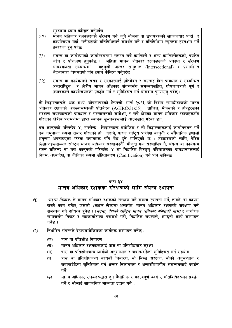सुरक्षामा ध्यान केन्द्रित गर्नुपर्दछ

- मानव अधिकार रक्षकहरूको संरक्षण गर्न, कुनै योजना वा उपायहरूको खाकातयार पार्दा र  $(QP)$ कार्यान्वयन गर्दा, उनीहरूको गतिविधिलाई समर्थन गर्ने र गतिविधिमा न्युनतम हस्तक्षेप गर्ने प्रकारका हुन पर्दछ
- संयन्त्र वा कार्यक्रमको कार्यान्वयनमा संलग्न सबै कर्मचारी र अन्य कर्मचारीहरूको, पर्याप्त  $(\rho \rho)$ जाँच र प्रशिक्षण हनपर्दछ । महिला मानव अधिकार रक्षकहरूको अवस्था र संरक्षण आवश्यकता सम्बन्धमा बहम्खी, अन्तर समूहगत (intersectional) र प्रणालीगत भेदभावका विषयतर्फ पनि ध्यान केन्दित गर्नपर्दछ
- संयन्त्र वा कार्यक्रमले संसद् र सरकारलाई प्रतिवेदन र सल्लाह दिने प्रावधान र सम्बन्धित  $(5P)$ र क्षेत्रीय मानव अधिकार संयन्त्रसँग समन्वयसहित, घोषणापत्रको पूर्ण र अन्तर्राष्टिय प्रभावकारी कार्यान्वयनको प्रवर्द्धन गर्न र सनिश्चित गर्न योगदान पऱ्याउन पर्दछ ।

ती सिद्धान्तहरूले. अरू मध्ये .घोषणापत्रको टिप्पणी. मार्च २०१६ को विशेष समाधीक्षकको मानव अधिकार रक्षकको अवस्थासम्बन्धी प्रतिवेदन (A/HRC/31/55), ब्राजिल, मेक्सिको र होन्डुरसका गरिएका क्षेत्रीय परामर्शमा प्राप्त व्यापक सभावहरूलाई आत्मसात गरेका छन ।

यस काननको परिच्छेद ४, उपरोक्त सिद्धान्तहरू बमोजिम र ती सिद्धान्तहरूलाई कार्यानवयन गर्ने एक नमुनाका रूपमा तयार गरिएको हो । यद्यपि, फरक राष्ट्रिय परिवेश कानुनी र संवैधानिक प्रणाली ्य प्रमुखका स्वरण प्राप्त सार्थ ग्रहरू पनि वैध हुने मानिएको छ । उदाहरणको लागि, पेरिस<br>अनुरूप अपनाइएका फरक उपायहरू पनि वैध हुने मानिएको छ । उदाहरणको लागि, पेरिस राख्न सकिन्छ वा यस कान्**नको परिच्छेद ४ मा निर्धारित विस्तुत् प**रिचालनका प्रावधानहरूलाई नियम, अध्यादेश, वा नीतिका रूपमा संहिताकरण (Codification) गर्न पनि सकिन्छ।

#### दफा ३४

### मानव अधिकार रक्षकका संरक्षणको लागि संयन्त्र स्थापना

- $(9)$ *(सक्षम निकाय)* ले मानव अधिकार रक्षकको संरक्षण गर्ने संयन्त्र स्थापना गर्ने, तोक्ने, वा कायम राख्ने काम गर्नेछ, जसको *(सक्षम निकाय)* अन्तर्गत, मानव अधिकार रक्षकको संरक्षण गर्न समन्वय गर्ने दायित्व हनेछ । (*भएमा, देशको राष्ट्रिय मानव अधिकार संस्थाको नाम)* र नागरिक समाजसँग निकट र सहकार्यात्मक परामर्श गरी, निर्धारित संयन्त्रले, आफनो कार्य सम्पादन गर्नेछ ।
- निर्धारित संयन्त्रले देहायबमोजिमका कार्यहरू सम्पादन गर्नेछ :  $(5)$ 
	- $(35)$ त्रास वा प्रतिशोध निवारण
	- मानव अधिकार रक्षकहरूलाई त्रास वा प्रतिशोधबाट सुरक्षा  $(\overline{q})$
	- त्रास वा प्रतिशोधजन्य कार्यको अनुसन्धान र जवाफदेहिता सुनिश्चित गर्न सहयोग  $(T)$
	- त्रास वा प्रतिशोधजन्य कार्यको निवारण, सो विरुद्ध संरक्षण, सोको अनुसन्धान र  $(\nabla)$ जवाफदेहिता सुनिश्चित गर्न अन्तर निकायगत र अन्तरविभागीय समन्वयलाई प्रवर्द्धन गर्ने
	- मानव अधिकार रक्षकहरूद्वारा हुने वैधानिक र महत्वपूर्ण कार्य र गतिविधिहरूको प्रवर्द्धन  $\left( \overline{\mathbf{S}}\right)$ गर्ने र सोलाई सार्वजनिक मान्यता प्रदान गर्ने :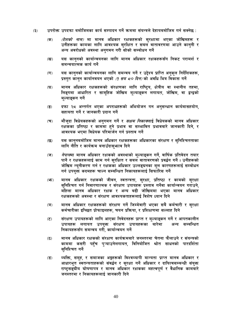- उपरोक्त उपदफा बमोजिमका कार्य सम्पादन गर्ने क्रममा संयन्त्रले देहायबमोजिम गर्न सक्नेछ :  $(5)$ 
	- *(देशको नाम)* मा मानव अधिकार रक्षकहरूको सुरक्षामा भएका जोखिमहरू र  $(35)$ उनीहरूका कामका लागि आवश्यक सुरक्षित र सबल वातावरणमा आउने कानुनी र अन्य अवरोधको अवस्था अनगमन गरी सोको सम्बोधन गर्ने
	- यस कानुनको कार्यान्वयनका लागि मानव अधिकार रक्षकहरूसँग निकट परामर्श र  $(\overline{q})$ समन्वयात्मक कार्य गर्ने
	- यस कानुनको कार्यान्वयनका लागि समन्वय गर्ने र उद्देश्य प्राप्ति अनुकूल निर्देशिकहरू,  $(T)$ प्रस्तत कानन कार्यानवयन भएको *(१ सय ८० दिन)* को अवधि भित्र विकास गर्ने
	- मानव अधिकार रक्षकहरूको संरक्षणका लागि राष्ट्रिय, क्षेत्रीय वा स्थानीय तहमा,  $(\nabla)$ लिङ्गमा आधारित र सामहिक जोखिम मुल्याङ्कन लगायत, जोखिम, वा द्वन्द्वको मल्याङकन गर्ने
	- दफा २८ अन्तर्गत भएका अपराधहरूको अभियोजन गन अनुसन्धान कार्यमासहयोग,  $\left( \overline{\mathbf{S}}\right)$ सहायता गर्ने र जानकारी प्रदान गर्ने
	- मौजुदा विधेयकहरूको अनुगमन गर्ने र *सक्षम निकाय*लाई विधेयकको मानव अधिकार  $(\overline{\mathbf{v}})$ रक्षकका प्रतिष्ठा र कामँमा हुने प्रभाव वा सम्भावित प्रभावबारे जानकारी दिने, र आवश्यक भएमा विधेयक परिमार्जन गर्न प्रस्ताव गर्ने
	- यस काननबमोजिम मानव अधिकार रक्षकहरूका अधिकारका संरक्षण र सनिश्चितताका  $\overline{\mathfrak{B}}$ लागि नीति र कार्यक्रम बनाउँदासभाव दिने
	- *नेपाल*मा मानव अधिकार रक्षाकको अवस्थाको मुल्याङ्कन गर्ने, वार्षिक प्रतिवेदन तयार  $(\overline{v})$ पार्ने र रक्षकहरूलाई काम गर्न सुरक्षित र सबल वातावरणको प्रवर्द्धन गर्ने । उनीहरूको जोखिम न्यूनीकरण गर्न र रक्षकका अधिकार उल्लङ्घनका मूल कारणहरूलाई सम्बोधन गर्न उपयक्तं कदमहरू चाल्न सम्बन्धित निकायहरूलाई सिफारिस गर्ने
	- मानव अधिकार रक्षकको जीवन, स्वतन्त्रता, सुरक्षा, प्रतिष्ठा र कामको सुरक्षा  $(\mathfrak{F})$ सनिश्चित गर्न निवारणात्मक र संरक्षण उपायहरू प्रस्ताव गर्नेवा कार्यान्वयन गराउने, महिला मानव अधिकार रक्षक र अन्य बढी जोखिममा भएका मानव अधिकार रक्षकहरूको अवस्था र संरक्षण आवश्यकताहरूलाई विशेष ध्यान दिने
	- मानव अधिकार रक्षकहरूको संरक्षण गर्ने जिम्मेवारी भएका सबै कर्मचारी र सुरक्षा  $(5)$ कर्मचारीका इच्छित प्रोफाइलहरू, चयन प्रक्रिया, र प्रशिक्षणमा सल्लाह दिने
	- संरक्षण उपायहरूको लागि आएका निवेदनहरू प्राप्त र मुल्याङ्कन गर्ने र आपतकालीन  $(5)$ उपायहरू लगायत उपयुक्त संरक्षण उपायहरूका बारेमा अन्य सम्बन्धित निकायहरूसँग समन्वय गरी. कार्यान्वयन गर्ने
	- मानव अधिकार रक्षकको संरक्षण कार्यक्रमबारे जनस्तरमा चेतना फैलाउने र संयन्त्रको  $(5)$ काममा कसरी पहुँच पुऱ्याउनेलगायत, विनियोजित श्रोत साधनको पारदर्शिता सुनिश्चित गर्ने
	- $(3)$ व्यक्ति, समूह, र समाजका अङ्गहरूको विश्वव्यापी मान्यता प्राप्त मानव अधिकार र आधारभूत स्वतन्त्रताहरूको संवर्द्धन र सुरक्षा गर्ने अधिकार र दायित्वसम्बन्धी संयुक्त राष्टसङ्घीय घोषणापत्र र मानव अधिकार रक्षकका महत्वपर्ण र वैधानिक कामबारे जनस्तरमा र निकायहरूलाई जानकारी दिने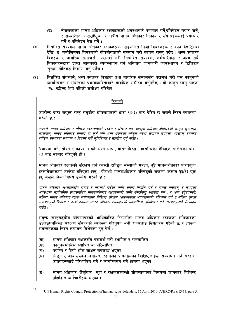- नेपालकाका मानव अधिकार रक्षकहरूको अवस्थाबारे पत्राचार गर्ने.प्रतिवेदन तयार पार्ने.  $\overline{(\overline{a})}$ र सम्बन्धित अन्तर्राष्टिय र क्षेत्रीय मानव अधिकार निकाय र संयन्त्रहरूलाई पत्राचार गर्ने र प्रतिवेदन पेस गर्ने ।
- निर्धारित संयन्त्रले मानव अधिकार रक्षकहरूका सङ्कलित निजी विवरणहरू र दफा ३८(२)(ख)  $(\lambda)$ देखि (ङ) बमोजिमका विवरणको गोपनीयताको सम्मान गरी कायम राख्न पर्दछ । अन्य स्वतन्त्र विज्ञहरू र नागरिक समाजसँग परामर्श गरी, निर्धारित संयन्त्रले, कर्मचारीहरू र अन्य सबै निकायहरूद्वारा प्राप्त जानकारी व्यवस्थापन गर्न अनिवार्य जानकारी व्यवस्थापन र डिजिटल सरक्षा नीतिहरू निर्माण गर्न पर्नेछ।
- निर्धारित संयन्त्रले, अन्य स्वतन्त्र विज्ञहरू तथा नागरिक समाजसँग परामर्श गरी यस कानुनको  $(2)$ कार्यान्वयन र संयन्त्रको प्रभावकारिताबारे आवधिक समीक्षा गर्नुपर्नेछ । यो कानुन लागु भएको *(१८ महिना*) भित्रै पहिलो समीक्षा गरिनेछ ।

उपरोक्त दफा संयुक्त राष्ट्र सङ्घीय घोषणापत्रको धारा १४(३) बाट प्रेरित छ जसले निम्न व्यवस्था गरेको छ:

राज्यले, मानव अधिकार र मौलिक स्वतन्त्रताको प्रवर्द्धन र संरक्षण गर्न, आफ्नो अधिकार क्षेत्रभित्रको सम्पूर्ण भूभागमा लोकपाल, मानव अधिकार आयोग वा कनै पनि अन्य प्रकारको राष्टिय संस्था लगायत उपयक्त भएसम्म, स्वतन्त्र राष्ट्रिय संस्थाहरू स्थापना र विकास गर्ने सुनिश्चित र सहयोग गर्नु पर्दछ ।

'स्थापना गर्ने, तोक्ने र कायम राख्ने' भन्ने भाषा, यातनाविरुद्ध महासन्धिको ऐच्छिक आलेखको धारा <u> १७ बाट साभार गरिएको हो ।</u>

मानव अधिकार रक्षकको संरक्षण गर्न त्यस्तो राष्ट्रिय संस्थाको महत्व, थुप्रै मानवअधिकार परिषद्का दस्तावेजहरूमा उल्लेख गरिएका छन । यीमध्ये मानवअधिकार परिषदको संकल्प प्रस्ताव १३/१३ एक हो. जसले निम्न विषय उल्लेख गरेको छ:

मानव अधिकार रक्षकहरूसँग संवाद र परामर्श गर्नका लागि संयन्त्र निर्माण गर्न र सबल बनाउन, र नभएको अवस्थामा सार्वजनिक प्रशासनभित्र मानवअधिकार रक्षकहरूको लागि केन्द्रबिन्दु स्थापना गर्न , र अरू उद्देश्यमध्ये, महिला मानव अधिकार रक्षक लगायतका विशिष्ट संरक्षण आवश्यकता भएकाँहरूको पहिचान गर्न र लक्षित सरक्षा उपायहरूको विकास र कार्यान्वयनमा मानव अधिकार रक्षकहरूको सहभागिता सुनिश्चित गर्न, राज्यहरूलाई प्रोत्साहन गर्दछ ।  $^{14}$ 

संयुक्त राष्ट्सङ्घीय घोषणापत्रको आधिकारिक टिप्पणीले मानव अधिकार रक्षकका अधिकारको उल्लङ्घनविरुद्ध संरक्षण संयन्त्रको व्यवस्था गरिन्पन भनी राज्यलाई सिफारिस गरेको छ र त्यस्ता संयन्त्रहरूका निम्न लगायत विशेषता हन पेर्छ :

- मानव अधिकार रक्षकसँग परामर्श गरी स्थापित र सञ्चालित  $($ क)
- काननबमोजिम स्थापित वा परिभाषित  $(3)$
- पर्याप्त र दिगो श्रोत साधन उपलब्ध भएका  $(T)$
- लिङ्ग र आवासस्थल लगायत, रक्षकका प्रोफाइलका विशिष्टताहरू सम्बोधन गर्ने संरक्षण  $(\nabla)$ उपायहरूलाई परिभाषित गर्ने र कार्यान्वयन गर्ने क्षमता भएका
- मानव अधिकार, लैङ्गिक मुद्दा र रक्षकसम्बन्धी घोषणापत्रका विषयमा जानकार, विशिष्ट  $\overline{(\overline{S})}$ प्रशिक्षित कर्मचारीहरू भएका ।

 $14$ UN Human Rights Council, Protection of human rights defenders, 15 April 2010, A/HRC/RES/13/13, para 5.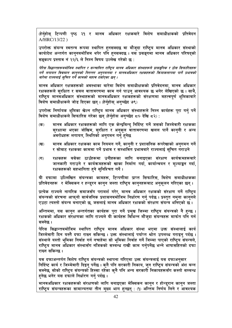(हेर्नुहोस् टिप्पणी पृष्ठ २१ र मानव अधिकार रक्षकबारे विशेष समाधीक्षकको प्रतिवेदन A/HRC/13/22)

उपरोक्त संयन्त्र स्वतन्त्र रूपमा स्थापित हनसक्दछ वा मौजूदा राष्ट्रिय मानव अधिकार संस्थाको कार्यादेश अन्तर्गत काननबमोजिम थपेर पनि हनसक्दछ । यस प्रसङ्गमा मानव अधिकार परिषदको सङ्कल्प प्रस्ताव नं २२/६ ले निम्न विषय उल्लेख गरेको छ :

पेरिस सिद्धान्तहरूबमोजिम स्थापित र सञ्चालित राष्ट्रिय मानव अधिकार संस्थाहरूले प्रासङ्गीक र ठोस सिफारिसहरू गर्ने लगायत विद्यमान काननको निरन्तर अनगमनमा र मानवअधिकार रक्षकहरूको क्रियाकलापमा पार्ने प्रभावको बारेमा राज्यलाई सचित गर्ने कामको महत्व दर्साएका छन ।

मानव अधिकार रक्षकहरूको अवस्थाका बारेमा विशेष समाधीक्षकको प्रतिवेदनमा, मानव अधिकार रक्षकहरूले सरक्षित र सबल वातावरणमा काम गर्न पाउन आवश्यक छ भनेर लेखिएको छ । साथै, राष्ट्रिय मानवअधिकार संस्थाहरूको मानवअधिकार रक्षकहरूको संरक्षणमा महत्वपूर्ण भूमिकाबारे विशेष समाधीक्षकले जोड दिएका छन् । (हेर्नुहोस् अनुच्छेद ७९)

उपरोक्त निर्णायक भुमिका खेल्न राष्ट्रिय मानव अधिकार संस्थाहरूले निम्न कार्यहरू पुरा गर्नु पर्ने विशेष समाधीक्षकले सिफारिस गरेका छन् (हेर्नुहोस अनुच्छेद ८० देखि ८२) :

- मानव अधिकार रक्षकहरूको लागि एक केन्द्रबिन्द् निर्दिष्ट गर्ने जसको जिम्मेवारी रक्षकका  $($ क) सुरक्षामा भएका जोखिम, सुरक्षित र अनुकुल वातावरणमा खलल पार्ने काननी र अन्य अवरोधहरू लगायत, स्थितिको अनगमन गर्न हेनेछ
- मानव अधिकार रक्षकका काम नियमन गर्ने, कान्नी र प्रशासनिक रूपरेखाको अनुगमन गर्ने  $(\overline{q})$ र सोबाट रक्षकका काममा पर्ने प्रभाव र सम्भावित प्रभावबारे राज्यलाई सुचित गराउने
- रक्षकहरू बसेका ठाउँहरूमा उनीहरूका लागि बनाइएका संरक्षण कार्यक्रमहरूबारे  $(T)$ जानकारी गराउने र कार्यक्रमहरूको खाका निर्माण गर्दा, कार्यान्वयन र मल्याङ्कन गर्दा, रक्षकहरूको सहभागिता हने सनिश्चित गर्ने।

यी दफामा उल्लिखित संयन्त्रका कामहरू, टिप्पणीमा प्राप्त सिफारिस, विशेष समाधीक्षकका प्रतिवेदनहरू र मेक्सिकन र हन्डरन कानन जस्ता राष्टिय काननहरूबाट अनकलन गरिएका छन ।

प्रत्येक राज्यले नागरिक समाजसँग परामर्श गरेर, मानव अधिकार रक्षकको संरक्षण गर्ने राष्ट्रिय संयन्त्रको संरचना आफनो सार्वजनिक प्रशासनबमोजिम निर्धारण गर्न पर्दछ । प्रस्तत नमना काननले एउटा त्यस्तो संयन्त्र बनाएको छ जसलाई मानव अधिकार रक्षकको संरक्षण संयन्त्र भनिएको छ।

अन्तिममा, यस कानुन अन्तर्गतका कार्यहरू पुरा गर्ने प्रमुख जिम्मा राष्ट्रिय संयन्त्रको नै हुन्छ । रक्षकको अधिकार संरक्षणका लागि राज्यले यी कार्यहरू विभिन्न मौजूदा संयन्त्रहरू मार्फत पनि गर्न सक्नेछ ।

पेरिस सिद्धान्तबमोजिम स्थापित राष्ट्रिय मानव अधिकार संस्था भएमा उक्त संस्थालाई कार<mark>्य</mark> जिम्मेवारी दिन यस्तै दफा राख्न सकिन्छ। उक्त संस्थालाई पर्याप्त श्रोत उपलब्ध गराइन् पर्दछ। संस्थाले यस्तो भमिका निर्वाह गर्न नचाहेमा सो भमिका निर्वाह गर्ने जिम्मा पाएको राष्टिय संयन्त्रले. राष्ट्रिय मानव अधिकार संस्थासँग नजिकको सम्बन्ध राखी काम गर्नपर्नेछ भन्ने भाषासहितको दफा राख्न सकिन्छ ।

यस दफाअन्तर्गत विशेष राष्ट्रिय संयन्त्रको स्थापना गरिएमा उक्त संयन्त्रलाई यस दफाअन्**सा**र निर्दिष्ट कार्य र जिम्मेवारी दिइन् पर्नेछ । कुनै पनि सरकारी निकाय, जुन राष्ट्रिय संयन्त्रको अंश बन्न सक्नेछ, सोको राष्टिय संयन्त्रको हिस्सा रहेका कनै पनि अन्य सरकारी निकायहरूसँग कस्तो सम्बन्ध हनेछ भनेर यस दफाले निर्धारण गर्नु पर्दछ ।

मानवअधिकार रक्षकहरूको संरक्षणको लागि बनाइएका मेक्सिकन कानुन र होन्डुरान कानुन जस्ता राष्टिय संयन्त्रहरूका सामान्यतया तीन मख्य भाग हन्छन : (१) अन्तिम निर्णय लिने र आवश्यक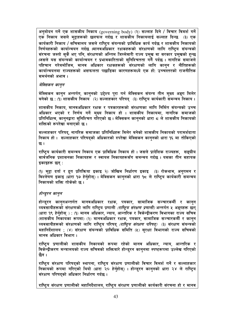अनमोदन गर्ने एक शासकीय निकाय (governing body) (२) सल्लाह दिने / विचार विमर्श गर्ने एक निकाय जसले मुद्दाहरूको छलफल गर्दछ र शासकीय निकायलाई सल्लाह दिन्छ (३) एक कार्यकारी निकाय / सचिवालय जसले राष्टिय संयन्त्रको प्राविधिक कार्य गर्दछ र शासकीय निकायको निर्णयहरूको कार्यान्वयन गर्दछ ।मानवअधिकार रक्षकहरूको संरक्षणको लागि राष्टिय संयन्त्रको संरचना जस्तो सकै भए पनि, संरक्षणको अन्तिम जिम्मेवारी राज्य प्रमख वा सरकार प्रमखको हन्छ ।जसले यस संयन्त्रको कार्यान्वयन र प्रभावकारिताको सनिश्चितता गर्नै पर्दछ । नागरिक समाजले पहिचान गरेबमोजिम, मानव अधिकार रक्षकहरूको संरक्षणको लागि कानन र नीतिहरूको कार्यान्वयनमा राज्यहरूको असफलता पछाडिका कारणहरूमध्ये एक हो: उच्चस्तरको राजनीतिक समर्थनको अभाव ।

#### मेक्सिकन कानून

मेक्सिकन कानुन अन्तर्गत, कानुनको उद्देश्य पुरा गर्न मेक्सिकन संयन्त्र तीन मुख्य अङ्ग मिलेर बनेको छ : (१) शासकीय निकाय (२) सल्लाहकार परिषद (३) राष्टिय कार्यकारी समन्वय निकाय ।

शासकीय निकाय, मानवअधिकार रक्षक र पत्रकारहरूको संरक्षणका लागि निर्मित संयन्त्रको उच्च अधिकार भएको र निर्णय गर्ने मुख्य निकाय हो । शासकीय निकायमा, नागरिक समाजको प्रतिनिधित्व, काननद्वारा सनिश्चित गोरेएको छ । मेक्सिकन काननको धारा ८ ले शासकीय निकायको शक्तिको रूपरेखा बनाएको छ ।

सल्लाहकार परिषद, नागरिक समाजका प्रतिनिधिहरू मिलेर बनेको शासकीय निकायको परामर्शदाता निकाय हो। सल्लाहकार परिषद्को अधिकारको रुपरेखा मेक्सिकन काननको धारा १६ मा तोकिएको छ ।

राष्टिय कार्यकारी समन्वय निकाय एक प्राविधिक निकाय हो । जसले प्रादेशिक राज्यहरू, सङ्घीय सार्वजनिक प्रशासनका निकायहरू र स्वायत्त निकायहरूसँग समन्वय गर्दछ । यसका तीन सहायक इकाइहरू छन्:

(१) मुद्दा दर्ता र द्रुत प्रतिक्रिया इकाइ २) जोखिम निर्धारण इकाइ (३) रोकथाम, अनुगमन र विश्लेषण इकाइ (धारा १७ हेर्नुहोस्) । मेक्सिकन कानुनको धारा १८ ले राष्ट्रिय कार्यकारी समन्वय निकायको शक्ति तोकेको छ ।

#### होन्ड्रन कान्न

होन्ड्रन कान्**नअन्तर्गत मानवअधिकार रक्षक, पत्रकार, सा**माजिक सञ्चारकर्मी र कान्**न** व्यवसायीहरूको संरक्षणको लागि राष्ट्रिय प्रणाली *(राष्ट्रिय संरक्षण प्रणाली)* अन्तर्गत ५ अङ्गहरू छन् (धारा १९ हेर्नुहोस् ) : (१) मानव अधिकार, न्याय, आन्तरिक र विकेन्द्रीकरण विभागका राज्य सचिव (शासकीय निकायका रूपमा) (२) मानवअधिकार रक्षक, पत्रकार, सामाजिक सञ्चारकर्मी र कान्न व्यवसायीहरूको संरक्षणको लागि राष्टिय परिषद *(राष्टिय संरक्षण परिषद)* (३) संरक्षण संयन्त्रको महानिर्देशालय : (४) संरक्षण संयन्त्रको प्राविधिक समिति (५) सरक्षा विभागको राज्य सचिवको मानव अधिकार विभाग ।

राष्ट्रिय प्रणालीको शासकीय निकायको रूपमा रहेको मानव अधिकार, न्याय, आन्तरिक र विकेन्द्रीकरण मन्त्रालयको राज्य सचिवको शक्तिबारे होन्डरन काननमा स्पष्टरूपमा उल्लेख गरिएको छैन ।

राष्ट्रिय संरक्षण परिषद्को स्थापना, राष्ट्रिय संरक्षण प्रणालीको विचार विमर्श गर्ने र सल्लाहकार निकायको रूपमा गरिएको थियो (धारा २० हेर्नुहोस्) । होन्डुरन कानुनको धारा २४ ले राष्ट्रिय संरक्षण परिषद्को अधिकार निर्धारण गर्दछ ।

राष्ट्रिय संरक्षण प्रणालीको महानिर्देशालय, राष्ट्रिय संरक्षण प्रणालीको कार्यकारी संरचना हो र मानव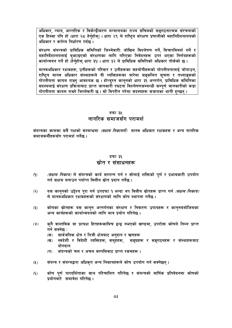अधिकार, न्याय, आन्तरिक र विकेन्द्रीकरण मन्त्रालयका राज्य सचिवको सङ्गठनात्मक संरचनाको एक हिस्सा पनि हो (धारा २८ हेर्नहोस) । धारा २९ ले राष्टिय संरक्षण प्रणालीको महानिर्देशनालयको अधिकार र कर्तव्य निर्धारण गर्दछ ।

संरक्षण संयन्त्रको प्राविधिक समितिको जिम्मेवारी: जोखिम विश्लेषण गर्ने, विचारविमर्श गर्ने र महानिर्देशालयलाई ब्फाइएको संरक्षणका लागि गरिएका निवेदनहरू उपर भएका निर्णयहरूको कार्यान्वयन गर्ने हो (हेर्नहोस धारा ३१)। धारा ३२ ले प्राविधिक समितिको अधिकार तोकेको छ ।

मानवअधिकार रक्षकहरू, उनीहरूको परिवार र उनीहरूका सहयोगीहरूको गोपनीयतालाई जोगाउन, राष्ट्रिय मानव अधिकार संस्थाहरूले यी व्यक्तिहरूका बारेमा सङ्कलित सूचना र तथ्याङ्कको गोपनीयता कायम राख्न आवश्यक छ । होन्डरन काननको धारा ३१ अन्तर्गत, प्राविधिक समितिका सदस्यलाई संरक्षण प्रक्रियाबाट प्राप्त जानकारी रघटना विश्लेषणसम्बन्धी सम्पूर्ण जानकारीको कडा गोपनीयता कायम राख्ने जिम्मेवारी छ । सो विपरीत गरेमा सदस्यहरू सजायका भागी हन्छन ।

### दफा ३५ नागरिक समाजसँग परामर्श

संयन्त्रका कामका सबै पक्षको सम्बन्धमा *(सक्षम निकायले)* मानव अधिकार रक्षकहरू र अन्य नागरिक समाजकर्मीहरूसँग परामर्श गर्नेछ ।

### दफा ३६ स्रोत र संसाधनहरू

- *(सक्षम निकाय)* ले संयन्त्रको कार्य सम्पन्न गर्न र सोलाई शक्तिको पूर्ण र प्रभावकारी उपयोग  $(9)$ गर्न सक्षम बनाउन पर्याप्त वित्तीय स्रोत प्रदान गर्नेछ ।
- यस कानुनको उद्देश्य पूरा गर्न उपदफा १ भन्दा थप वित्तीय स्रोतहरू प्राप्त गर्न *(सक्षम निकाय)*  $(5)$ ले मानवअधिकार रक्षकहरूको संरक्षणको लागि कोष स्थापना गर्नेछ ।
- कोषका स्रोतहरू यस कानुन अन्तर्गतका संरक्षण र निवारण उपायहरू र कानुनबमोजिमका  $(5)$ अन्य कार्यहरूको कार्यान्वयनको लागि मात्र प्रयोग गरिनेछ ।
- कनै वास्तविक वा प्रत्यक्ष हितहरूकाबिच द्वन्द्व नभएको खण्डमा, उपरोक्त कोषले निम्न प्राप्त  $(\lambda)$ गर्न सक्नेछ :
	- सार्वजनिक क्षेत्र र निजी क्षेत्रबाट अनुदान र ऋणहरू (क)
	- स्वदेशी र विदेशी व्यक्तिहरू, समहेहरू, सङ्घहरू र सङ्गठनहरू र संस्थाहरूबाट (ख) योगदान
	- संयन्त्रको चल र अचल सम्पत्तिबाट प्राप्त रकमहरू ।  $(T)$
- संयन्त्र र संयन्त्रद्वारा अधिकृत अन्य निकायहरूले कोष उपयोग गर्न सक्नेछन्।  $(2)$
- कोष पूर्ण पारदर्शिताका साथ परिचालित गरिनेछ र संयन्त्रको वार्षिक प्रतिवेदनमा कोषको  $(\xi)$ प्रयोगबारे समावेश गरिनेछ ।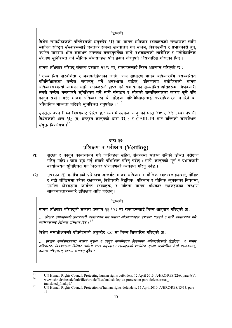विशेष समाधीक्षकको प्रतिवेदनको अनुच्छेद १३१ मा, मानव अधिकार रक्षकहरूको संरक्षणका लागि <u>स्थापित राष्टिय संस्थाहरूलाई 'स्वतन्त्र रूपमा सञ्चालन गर्न सक्षम, विश्वसनीय र प्रभावकारी हन.</u> पर्याप्त मात्रामा श्रोत संसाधन उपलब्ध गराइनपर्नेका साथै, रक्षकहरूको शारीरिक र मनोवैज्ञानिक संरक्षण सनिश्चित गर्न भौतिक संसाधनहरू पनि प्रदान गरिनुपर्ने ' सिफारिस गरिएका थिए ।

मानव अधिकार परिषद संकल्प प्रस्ताव २२/६ मा. राज्यहरूलाई निम्न आह्वान गरिएको छ :

' राज्य भित्र पारदर्शिता र जवाफदेहिताका लागि, अन्य साधारण मानव अधिकारसँग असम्बन्धित गतिविधिहरूमा बन्देज लगाउन् पर्ने अवस्थामा बाहेक, घोषणापत्र बमोजिमको मानव अधिकारसम्बन्धी कामका लागि रक्षकहरूले प्राप्त गर्ने संशाधनका सम्भावित श्रोतहरूमा विभेदकारी रूपले बन्देज नलगाउने सुनिश्चित गर्ने साथै संसाधन र श्रोतको उत्पत्तिस्थलका कारण कनै पनि कानन प्रयोग गरेर मानव अधिकार रक्षार्थ गरिएका गतिविधिहरूलाई अपराधिकारण नगरिने वा अवैधानिक मान्यता नदिइने सनिश्चित गर्नपर्नेछ । $^{\prime}$   $^{15}$ 

उपरोक्त दफा निम्न विषयबाट प्रेरित छ: (क) मेक्सिकन कानुनको धारा ४८ र ४९ ; (ख) नेपाली विधेयकको धारा १६; (ग) हन्ड्रन काननको धारा ६६ : र CEJIL-PI बाट गरिएको सम्बन्धित संयुक्त विश्लेषण । $^{16}$ 

#### दफा ३७

## प्रशिक्षण र परीक्षण (Vetting)

- सुरक्षा र कानुन कार्यान्वयन गर्ने व्यक्तिहरू सहित, संयन्त्रमा संलग्न सबैको उचित परीक्षण  $(9)$ गॉरेनु पर्दछ । काम शुरु गर्नु अगावै प्रशिक्षित गरिनु पर्दछ । साथै, कानुनको पूर्ण र प्रभावकारी कार्यान्वयन सनिश्चित गर्न निरन्तर प्रशिक्षणको व्यवस्था गरिन पर्दछ ।
- उपदफा (१) बमोजिमको प्रशिक्षण अन्तर्गत मानव अधिकार र मौलिक स्वतन्त्रताहरूबारे, पीडित  $(5)$ र बढी जोखिममा रहेका रक्षकहरू, विशेषगरी लैङ्गिक पहिचान र यौनिक भुकावका विषयमा, ग्रामीण क्षेत्रहरूमा कार्यरत रक्षकहरू, र महिला मानव अधिकार रक्षकहरूका संरक्षण आवश्यकताहरूबारे प्रशिक्षण आदि पर्दछन ।

#### टिप्पणी

मानव अधिकार परिषद्को संकल्प प्रस्ताव १३ / १३ मा राज्यहरूलाई निम्न आहवान गरिएको छ:

... संरक्षण उपायहरूको प्रभावकारी कार्यान्वयन गर्न पर्याप्त श्रोतसाधनहरू उपलब्ध गराउने र साथै कार्यान्वयन गर्ने व्यक्तिहरूलाई विशिष्ट प्रशिक्षण दिने ।  $^{17}$ 

विशेष समाधीक्षकको प्रतिवेदनको अनुच्छेद ८८ मा निम्न सिफारिस गरिएको छ:

... संरक्षण कार्यक्रमहरूमा संलग्न सुरक्षा र कानून कार्यान्वयन निकायका अधिकारीहरूले लैङ्गीाक र मानव अधिकारका विषयहरूमा विशिष्ट तालिम प्राप्त गर्न्एर्दछ । रक्षकहरूको शारीरिक सुरक्षा अप्रशिक्षित तेम्रो पक्षहरूलाई तालिम नदिएसम्म, जिम्मा लगाइन हँदैन ।

<sup>15</sup> UN Human Rights Council, Protecting human rights defenders, 12 April 2013, A/HRC/RES/22/6, para 9(b).  $16$ www.ishr.ch/sites/default/files/article/files/analisis-ley-de-proteccion-para-defensoresas

translated final.pdf 17

UN Human Rights Council, Protection of human rights defenders, 15 April 2010, A/HRC/RES/13/13, para 11.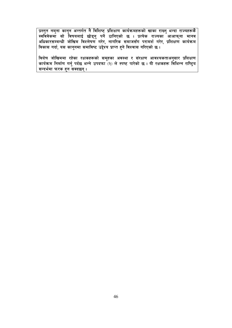<u>प्रस्तुत नमुना कानुन अन्तर्गत नै विशिष्ट प्रशिक्षण कार्यक्रमहरूको खाका राख्नु भन्दा राज्यहरूकै</u> स्वविवेकमा सो विषयलाई छोड्नु पर्ने ठानिएको छ । प्रत्येक राज्यका आआफ्ना मानव अधिकारसम्बन्धी जोखिम विश्लेषण गरेर, नागरिक समाजसँग परामर्श गरेर, प्रशिक्षण कार्यक्रम विकास गर्दा, यस काननमा समाविष्ट उद्देश्य प्राप्त हने विश्वास गरिएको छ ।

विशेष जोखिममा रहेका रक्षकहरूको समूहका अवस्था र संरक्षण आवश्यकताअनुसार प्रशिक्षण<br>कार्यक्रम निर्माण गर्नु पर्दछ भन्ने उपदफा (२) ले स्पष्ट पारेको छ । यी रक्षकहरू विभिन्न राष्ट्रिय सन्दर्भमा फरक हन सक्दछन्।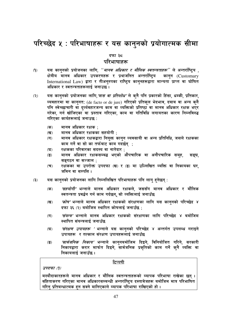## परिच्छेद ५ : परिभाषाहरू र यस कानुनको प्रयोगात्मक सीमा

#### दफा ३द

#### परिभाषाहरू

- यस कानुनको प्रयोजनका लागि, *"मानव अधिकार र मौलिक स्वतन्त्रताहरू*" ले अन्तर्राष्ट्रिय ,  $(9)$ क्षेत्रीय मानव अधिकार उपकरणहरू र प्रथाजनित अन्तर्राष्टिय कान्*न* (Customary International Law) द्वारा र तीअन्रुपका राष्ट्रिय कान् नहरूद्वारा मान्यता प्राप्त वा घोषित अधिकार र स्वतन्त्रताहरूलाई जनाउछ ।
- यस कानुनको प्रयोजनका लागि,*'त्रास वा प्रतिशोध'* ले कुनै पनि प्रकारको हिंसा, धर्म्की, प्रतिकार,  $(5)$ व्यवहारमा वा काननत: (de facto or de jure) गरिएको प्रतिकल भेदभाव, दबाब वा अन्य कुनै पनि स्वेच्छाचारी वा दर्व्यवहारजन्य काम वा व्यक्तिको प्रतिष्ठा वा मानव अधिकार रक्षक भएर गरेका, गर्न खोजिएका वा प्रस्ताव गरिएका, काम वा गतिविधि लगायतका कारण निम्नविरुद्ध गरिएका कार्यहरूलाई जनाउछ :
	- मानव अधिकार रक्षक :  $($ क)
	- मानव अधिकार रक्षकका सहयोगी ;  $(\overline{q})$
	- मानव अधिकार रक्षकद्वारा नियुक्त कानुन व्यवसायी वा अन्य प्रतिनिधि, जसले रक्षकका  $(T)$ काम गर्ने वा सो का तर्फबाट काम गदर्छन :
	- रक्षकका परिवारका सदस्य वा नातेदार ;  $(\mathbf{\overline{B}})$
	- मानव अधिकार रक्षकसम्बद्ध भएको औपचारिक वा अनौपचारिक समह,  $\overline{(\overline{S})}$ सङ्घ. सङ्गठन वा सञ्जाल ;
	- रक्षकका वा उपरोक्त उपदफा (ख) र (ङ) मा उल्लिखित व्यक्ति वा निकायका घर,  $(\overline{\mathbf{v}})$ जमिन वा सम्पत्ति ।
- यस कानुनको प्रयोजनका लागि निम्नलिखित परिभाषाहरू पनि लाग् हुनेछन् :  $(5)$ 
	- *'सहयोगी'* भन्नाले मानव अधिकार रक्षकले, जससँग मानव अधिकार र मौलिक  $(35)$ स्वतन्त्रता प्रवर्द्धन गर्न काम गर्दछन् सो व्यक्तिलाई जनाउँछ
	- *'कोष'* भन्नाले मानव अधिकार रक्षकको संरक्षणका लागि यस कान्**नको परिच्छेद** ४  $(\overline{q})$ दफा ३६ (२) बमोजिम स्थापित कोषलाई जनाउँछ :
	- *'संयन्त्र'* भन्नाले मानव अधिकार रक्षकको संरक्षणका लागि परिच्छेद ४ बमोजिम  $(T)$ स्थापित संयन्त्रलाई जनाउँछ
	- *'संरक्षण उपायहरू'* भन्नाले यस कान्**नको परिच्छेद ४ अन्तर्गत उपलब्ध गराइने**  $(\mathbf{\overline{z}})$ उपायहरू र तत्काल संरक्षण उपायहरूलाई जनाउँछ
	- *'सार्वजनिक निकाय'* भन्नाले कान्**नबमोजिम दिइने, विनियोजित गरिने, सरकारी**  $\overline{(\overline{S})}$ निकायद्वारा करार मार्फत दिइने, सार्वजनिक प्रकतिको काम गर्ने कनै व्यक्ति वा निकायलाई जनाउँछ ।

#### टिप्पणी

उपदफा $(9)$ 

मस्यौदाकारहरूले मानव अधिकार र मौलिक स्वतन्त्रताहरूको व्यापक परिभाषा राखेका छन् । संहिताकरण गरिएका मानव अधिकारसम्बन्धी अन्तर्राष्टिय दस्तावेजहरू बमोजिम मात्र परिभाषित गरिन् प्रतिबन्धात्मक हन सक्ने मानिएकाले व्यापक परिभाषा राखिएको हो ।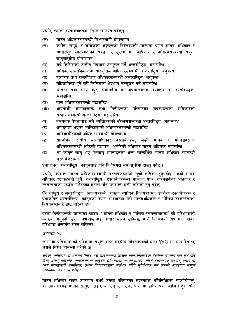यद्यपि, त्यस्ता दस्तावेजहरूमा निम्न लगायत पर्दछन् :

- मानव अधिकारसम्बन्धी विश्वव्यापी घोषणापत्र :  $(35)$
- व्यक्ति, समृह, र समाजका अङ्गहरूको विश्वव्यापी मान्यता प्राप्त मानव अधिकार र  $(\overline{q})$ आधारभूत स्वतन्त्रताको संवर्द्धन र सुरक्षा गर्ने अधिकार र दायित्वसम्बन्धी संयुक्त राष्टसङ्घीय घोषणापत्र:
- सबै किसिमका जातीय भेदभाव उन्मूलन गर्ने अन्तर्राष्ट्रिय महासन्धि  $(T)$
- आर्थिक, सामाजिक तथा सांस्कृतिक अधिकारसम्बन्धी अन्तर्राष्ट्रिय अनुबन्ध  $(\mathbf{\nabla})$
- नागरिक तथा राजनीतिक अधिकारसम्बन्धी अन्तर्राष्ट्रिय अनुबन्ध  $\left( \overline{\mathbf{S}}\right)$
- महिलाविरुद्ध हने सबै किसिमका भेदभाव उन्मलन गर्ने महासन्धि  $($ च $)$
- यातना तथा अन्य कर, अमानवीय वा अपमानजनक व्यवहार वा दण्डविरुद्धको  $\overline{\mathfrak{B}}$ महासन्धि
- बाल अधिकारसम्बन्धी महासन्धि  $(\overline{\mathbf{v}})$
- आप्रवासी कामदारहरू तथा तिनीहरूको परिवारका सदस्यहरूको अधिकारको  $(\overline{H})$ संरक्षणसम्बन्धी अन्तर्राष्ट्यि महासन्धि
- बलपर्वक बेपत्ताबाट सबै व्यक्तिहरूको संरक्षणसम्बन्धी अन्तर्राष्टिय महासन्धि  $(\overline{a})$
- अपाङ्गता भएका व्यक्तिहरूको अधिकारसम्बन्धी महासन्धि  $(5)$
- आदिवासीहरूको अधिकारसम्बन्धी घोषणापत्र  $(5)$
- सान्दर्भिक क्षेत्रीय मानवाधिकार दस्तावेजहरू, जस्तै मानव र मानिसहरूको  $(3)$ अधिकारसम्बन्धी अफ्रिकी बडापत्र, अमेरिकी अधिकार मानव अधिकार महासन्धि
- यो कानुन लाग् भए पश्चात् अपनाइएका अन्य सान्दर्भिक मानव अधिकार सम्बन्धी  $\overline{\mathbf{5}}$ दस्तावेजहरू ।

प्रथाजनित अन्तर्राष्ट्रिय कान्**नलाई पनि विशेषगरी यस सूचीमा रा**ख्न् पर्दछ ।

यद्यपि, उपरोक्त मानव अधिकारसम्बन्धी दस्तावेजहरूको सुची लचिलो हन्**पर्दछ । केही मान**व अधिकार रक्षकहरूले कुनै अन्तर्राष्ट्रिय दस्तावेजहरूमा मान्यता प्राप्त गरिनसकेका अधिकार र स्वतन्त्रताको प्रबर्द्धन गरिरहेका हनाले पनि उपरोक्त सची लचिलो हन पर्दछ ।

धेरै राष्ट्रिय र अन्तर्राष्ट्रिय निकायहरूले, आफ्**ना न्यायिक निर्णयहरूमा, उपरोक्त दस्तावेज**हरू र प्रथाजनित अन्तर्राष्ट्रिय<sup>ं</sup> कानुनको प्रयोग र व्याख्या गरी मानवअधिकार र मौलिक स्वतन्त्रताको विषयवस्तबारे प्रष्ट पारेका छन ।

यस्ता निर्णयहरूको महत्वका कारण, "मानव अधिकार र मौलिक स्वतन्त्रताहरू" को परिभाषाको व्याख्या गर्नुपर्दा, उक्त निर्णयहरूलाई आधार मान्न सकिन्छ भन्ने किसिमको थप एक वाक्य परिभाषा अन्तर्गत राख्न सकिन्छ ।

 $34447(2)$ 

'त्रास वा प्रतिशोध' को परिभाषा संयुक्त राष्ट्र सङ्घीय घोषणापत्रको धारा १२(२) मा आधारित छ, जसले निम्न व्यवस्था गरेको छ:

सबैको, व्यक्तिगत वा अरूसँग मिलेर, यस घोषणापत्रमा उल्लेख भएकाअधिकारको वैधानिक उपभोग गर्दा क्नै पनि हिंसा, धर्म्की, प्रतिशोध, व्यवहारमा वा कान्**नत: (de facto or de jure) गरिने नकारात्म**क भेदभाव, दबाब वा अन्य स्वेच्छाचारी कार्यविरुद्ध, सक्षम निकायहरूद्वारा संरक्षित गरिने सुनिश्चित गर्न राज्यले आवश्यक सम्पूर्ण उपायहरू अपनाउन् पर्दछ ।

मानव अधिकार रक्षक उपरमात्र नभई उनका परिवारका सदस्यहरू, प्रतिनिधिहरू, सहयोगीहरू, वा रक्षकसम्बद्ध भएको समूह, सङ्घ, वा सङ्गठन उपर त्रास वा प्रतिशोधको जोखिम हँदा पनि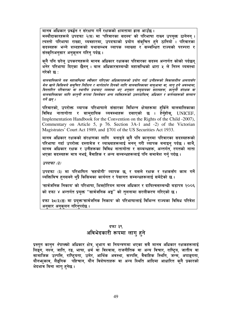मानव अधिकार प्रवर्द्धन र संरक्षण गर्ने रक्षकको क्षमतामा ह्रास आउँछ । मस्यौदाकारहरूले उपदफा २(घ) मा 'परिवारका सदस्य' को परिभाषा राख्न उपयक्त ठानेनन । त्यस्तो परिभाषा राख्दा, व्यवहारमा, उपदफाको प्रयोग संक्चित हने ठानियो । परिवारका सदस्यहरू भन्ने शब्दहरूको यथासम्भव व्यापक व्याख्या र सम्बन्धित राज्यको परम्परा र संस्कतिअनसार अनकलन गरिन पर्दछ ।

कनै पनि घरेल् उपकरणहरूले मानव अधिकार रक्षकका परिवारका सदस्य अन्तर्गत कोको पर्दछन् भनेर परिभाषा दिएका छैनन । बाल अधिकारसम्बन्धी महासन्धिको धारा ५ ले निम्न व्यवस्था गरेको छ:

बालवालिकाले यस महासन्धिमा स्वीकार गरिएका अधिकारहरूको प्रयोग गर्दा उनीहरूको विकासशील क्षमतासँग मेल खाने किसिमले समुचित निर्देशन र मार्गदर्शन दिनको लागि बालबालिकाका बाबुआमा वा, लाग् हुने अवस्थामा, विस्तारित परिवारका वा स्थानीय प्रथाबाट व्यवस्था भए अनुसार समुदायका सदस्यहरू, कानुनी संरक्षक वा बालबालिकाका लागि काननी रूपमा जिम्मेवार अन्य व्यक्तिहरूको उत्तरदायित्व अधिकार र कर्तव्यहरूको सम्मान गर्ने छन ।

परिवारको, उपरोक्त व्यापक परिभाषाले संसारका विभिन्न क्षेत्रहरूमा हर्किने बालबालिकाका विविध नातागोता र सामदायिक व्यवस्थाहरू दसाएको छ । हेर्नुहोस्, UNICEF, Implementation Handbook for the Convention on the Rights of the Child -2007), Commentary on Article 5, p 76. Section 3A-1 and -2) of the Victorian Magistrates' Court Act 1989, and §701 of the US Securities Act 1933.

मानव अधिकार रक्षकको संरक्षणका लागि बनाइने कुनै पनि कानुनमा परिवारका सदस्यहरूको परिभाषा गर्दा उपरोक्त दस्तावेज र व्याख्याहरूलाई मनन गरी व्यापक बनाइन पर्दछ । साथै, मानव अधिकार रक्षक र उनीहरूका विविध नातागोता र सम्बन्धहरू, अन्तर्गत, रगतको नाता भएका सदस्यहरू मात्र नभई, वैवाहिक र अन्य सम्बन्धहरूलाई पनि समावेश गर्नु पर्दछ ।

 $34777$  (3)

उपदफा (३) मा परिभाषित 'सहयोगी' व्यापक छ, र यसले रक्षक र रक्षकसँग काम गर्ने व्यक्तिबिच हनसक्ने थप्रै किसिमका कार्यगत र पेसागत सम्बन्धहरूलाई समेटेको छ।

'सार्वजनिक निकाय' को परिभाषा, भिक्टोरियन मानव अधिकार र दायित्वसम्बन्धी बडापत्र २००६ को दफा ४ अन्तर्गत प्रयुक्त "सार्वजनिक अङ्ग" को तुलनामा सरलीकरण गरिएको छ।

दफा ३८(३)(ङ) मा प्रयुक्त'सार्वजनिक निकाय' को परिभाषालाई विभिन्न राज्यका विविध परिवेश अनुसार अनुकुलन गरिनुपर्दछ ।

#### दफा ३९

## अविभेदकारी रूपमा लागु हुने

प्रस्तुत कानुन *नेपाल*को अधिकार क्षेत्र, भूभाग वा नियन्त्रणमा भएका सबै मानव अधिकार रक्षकहरूलाई लिङ्ग. नश्ले, जाति, रङ, भाषा, धर्म वा विश्वास, राजनीतिक वा अन्य विचार, राष्ट्रिय, जातीय वा सामाजिक उत्पत्ति, राष्ट्रियता, उमेर, आर्थिक अवस्था, सम्पत्ति, वैवाहिक स्थिति, जन्म, अपाङ्गता, यौनभव्काव, लैङ्गिक पहिचान, यौन विशेषताहरू वा अन्य स्थिति आदिमा आधारित कनै प्रकारको भेदभाव बिना लाग हनेछ ।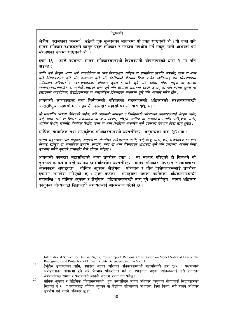क्षेत्रीय परामर्शका ऋममा $^{18}$  उठेको एक सभ्जावका आधारमा यो दफा राखिएको हो । यो दफा सबै मानव अधिकार रक्षकहरूले कानून प्रदत्त अधिकार र संरक्षण उपभोग गर्न सकनु भन्ने आशयले थप संरक्षणका रूपमा राखिएको हो<sup>ँ</sup>।

जस्तै व्यवस्था मानव अधिकारसम्बन्धी विश्वव्यापी घोषणापत्रको धारा २ मा पनि दफा ३९ पाइन्छ :

जाति, वर्ण, लिङ्ग, भाषा, धर्म, राजनीतिक वा अन्य विचारधारा, राष्टिय वा सामाजिक उत्पत्ति, सम्पत्ति, जन्म वा अन्य कनै हैसियतजस्ता कनै पनि आधारमा कनै पनि किसिमको भेदभाव बिना प्रत्येक व्यक्तिलाई यस घोषणापत्रमा ्<br>उल्लिखित अधिकार र स्वतन्त्रताहरूको अधिकार हुनेछ । साथै कुनै पनि व्यक्ति रहेका मुलुक वा इलाका<br>स्वतन्त्र,स्वशासनरहित वा सार्वभौमसत्ताको अन्य कुनै पनि सीमाको अधीनमा रहेको जे भए ता पनि त्यस्तो मुलुक वा इलाकाको राजनीतिक, क्षेत्राधिकारगत वा अन्तर्राष्ट्रिय हैसियतका आधारमा कुनै पनि भेदभाव गरिने छैन ।

आप्रवासी कामदारहरू तथा तिनीहरूको परिवारका सदस्यहरूको अधिकारको संरक्षणसम्बन्धी अन्तर्राष्टिय महासन्धि (आप्रवासी कामदार महासन्धि) को धारा 9(9) मा :

यो महासन्धि अन्यथा लेखिएको बाहेक, सबै आप्रवासी कामदार र तिनीहरूको परिवारका सदस्यहरूलाई, लिङ्ग जाति, वर्ण, भाषा, धर्म वा विचार, राजनीतिक वा अन्य विचार, राष्ट्रिय, जातिय वा सामाजिक उत्पत्ति, राष्ट्रियता, उमेर, .<br>आर्थिक स्थिति, सम्पत्ति, वैवाहिक स्थिति, जन्म वा अन्य स्थितिमा आधारित कुनै प्रकारको भेदभाव बिना लागु हुनेछ ।

आर्थिक, सामाजिक तथा सांस्कृतिक अधिकारसम्बन्धी अन्तर्राष्ट्रिय अनुबन्धको धारा २(२) मा :

प्रस्तुत अनुबन्धका पक्ष राष्ट्रहरू, अनुबन्धमा उल्लिखित अधिकारहरू जाति, वर्ण, लिङ्ग, भाषा, धर्म, राजनीतिक वा अन्य विचार, राष्टिय वा सामाजिक उत्पत्ति, सम्पत्ति, जन्म वा अन्य हैसियतका आधारमा कनै पनि प्रकारको भेदभाव विना उपभोग गरिने कराको प्रत्याभति दिने प्रतिज्ञा गर्दछन् ।

आप्रवासी कामदार महासन्धिको भाषा उपरोक्त दफा ३ मा साभार गरिएको हो किनभने यो तुलनात्मक रूपमा बढी व्यापक छ । गतिशील अन्तर्राष्ट्रिय मानव अधिकार मापदण्ड र न्यायशास्त्र भेल्काउन, अपाङ्गता , यौनिक भ<sub>र</sub>काव, लैङ्गिक पहिचान र यौन विशेषताहरूलाई उपरोक्त दफामा समावेश गरिएको छ । उक्त दफाले अपाङगता भएका व्यक्तिका अधिकारसम्बन्धी महासन्धि<sup>!9</sup> र यौनिक भ<sub>र</sub>काव र लैङ्गिक पहिचानसम्बन्धी लाग् हने अन्तर्राष्ट्रिय मानव अधिकार काननका योग्यकार्टा सिद्धान्त $^{20}$  लगायतलाई आत्मसात गरेको छ ।

50

 $18$ International Service for Human Rights, Project report: Regional Consultation on Model National Law on the Recognition and Protection of Human Rights Defenders, Section 6.8.1.1.

<sup>19</sup> हेर्नुहोस् उदाहरणका लागि, अपाङ्गता भएका व्यक्तिका अधिकारसम्बन्धी महासन्धिको धारा ५(२) : 'पक्षराज्यले अपाङ्गताका आधारमा हुने सबै भेदभाव प्रतिबन्धित गर्ने र अपाङ्गता भएका व्यक्तिहरुलाई सबै प्रकारका भेदभावविरुद्ध समान र प्रभावकारी कान्नी संरक्षण प्रदान गर्न् पर्नेछ ।'

<sup>20</sup> यौनिक भा़काव र लैडि़गिक पहिचानसम्बन्धी हुने अन्तर्राष्ट्रिय मानव अधिकार कानुनका योग्यकार्टा सिद्धान्तहरुको सिद्धान्त नं २ : " प्रत्येकलाई. यौनिक भूकाव वा लैडगिक पहिचानका आधारमा. बिना विभेद, सबै मानव अधिकार उपभोग गर्न पाउने अधिकार छ।"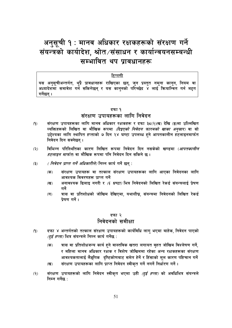## अनुसूची १ : मानव अधिकार रक्षकहरूको संरक्षण गर्ने संयन्त्रको कार्यादेश, श्रोत/संसाधन र कार्यान्वयनसम्बन्धी सम्भावित थप प्रावधानहरू

#### टिप्पणी

यस अनुसूचीअन्तर्गत, थुप्रै प्रावधानहरू राखिएका छन्, जुन प्रस्तुत नमुना कानुन, नियम वा<br>अध्यादेशमा समावेश गर्न सकिनेछन् र यस कानुनको परिच्छेद ४ लाई कियान्वित गर्न मद्दत गर्नेछन ।

#### दफा १

### संरक्षण उपायहरूका लागि निवेदन

- संरक्षण उपायहरूका लागि मानव अधिकार रक्षकहरू र दफा ३८(२)(ख) देखि (ङ)मा उल्लिखित  $(9)$ व्यक्तिहरूको लिखित वा मौखिक रूपमा *(दिइएको निवेदन फारमको खाका अनसार)* वा सो उद्देश्यका लागि स्थापित हप्ताको ७ दिन २४ घण्टा उपलब्ध हुने आपतकालीन हटलाइनमार्फत निवेदन दिन सक्नेछन् ।
- विभिन्न परिस्थितिका कारण लिखित रूपमा निवेदन दिन नसकेको खण्डमा (*आपतकालीन*  $(5)$ *हटलाइन मार्फत*) वा मौखिक रूपमा पनि निवेदन दिन सकिने छ ।
- *( निवेदन प्राप्त गर्ने अधिकारीले)* निम्न कार्य गर्ने छन् :  $(5)$ 
	- संरक्षण उपायहरू वा तत्काल संरक्षण उपायहरूका लागि आएका निवेदनका लागि  $(35)$ आवश्यक विवरणहरू प्राप्त गर्ने
	- अनावश्यक ढिलाइ नगरी र *(६ घण्टा)* भित्र निवेदनको लिखित रेकर्ड संयन्त्रलाई प्रेषण  $(\overline{q})$ गर्ने
	- त्रास वा प्रतिशोधको जोखिम देखिएमा, यथाशीघ्र, संयन्त्रमा निवेदनको लिखित रेकर्ड  $(T)$ पेषण गर्ने।

#### दफा २ निवेदनको समीक्षा

- दफा ४ अन्तर्गतको तत्काल संरक्षण उपायहरूको कार्यविधि लाग भएमा बाहेक, निवेदन पाएको  $(9)$ (दुई हप्ता) भित्र संयन्त्रले निम्न कार्य गर्नेछ:
	- $($ क) त्रास वा प्रतिशोधजन्य कार्य हने वास्तविक खतरा लगायत वहत जोखिम विश्लेषण गर्ने. र महिला मानव अधिकार रक्षक र विशेष जोखिममा रहेका अन्य रक्षकहरूका संरक्षण आवश्यकतालाई लैङ्गीिक दृष्टिकोणबाट समेत हेर्ने र हिंसाको मूल कारण पहिचान गर्ने
	- संरक्षण उपायहरूका लागि प्राप्त निवेदन स्वीकृत गर्ने नगर्ने निर्धारण गर्ने।  $(\overline{q})$
- संरक्षण उपायहरूको लागि निवेदन स्वीकृत भएमा उही *(दुई हप्ता)* को अवधिभित्र संयन्त्रले  $(5)$ निम्न गर्नेछ $\cdot$

51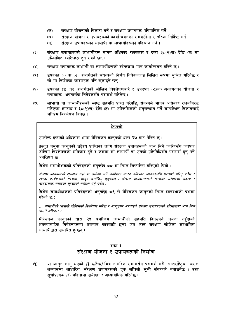- संरक्षण योजनाको विकास गर्ने र संरक्षण उपायहरू परिभाषित गर्ने  $(35)$
- संरक्षण योजना र उपायहरूको कार्यान्वयनको समयसीमा र तरिका निर्दिष्ट गर्ने  $(\overline{q})$
- संरक्षण उपायहरूका लाभार्थी वा लाभार्थीहरूको पहिचान गर्ने ।  $(T)$
- संरक्षण उपायहरूको लाभार्थीहरू मानव अधिकार रक्षकहरू र दफा ३८(२)(ख) देखि (ङ) मा  $(5)$ उल्लिखित व्यक्तिहरू हुन सक्ने छन्।
- संरक्षण उपायहरू लाभार्थी वा लाभार्थीहरूको स्वेच्छामा मात्र कार्यान्वयन गरिने छ ।  $(\lambda)$
- उपदफा (१) वा (२) अन्तर्गतको संयन्त्रको निर्णय निवेदकलाई लिखित रूपमा सचित गरिनेछ र  $(2)$ सो मा निर्णयका कारणहरू पनि खलाइने छन।
- उपदफा (१) (क) अन्तर्गतको जोखिम विश्लेषणबारे र उपदफा (२)(क) अन्तर्गतका योजना र  $(\xi)$ उपायहरू अपनाउँदा निवेदकसँग परामर्श गरिनेछ ।
- लाभार्थी वा लाभार्थीहरूको स्पष्ट सहमति प्राप्त गरेपछि, संयन्त्रले मानव अधिकार रक्षकविरुद्ध  $(9)$ गरिएका अपराध र ३८(२)(ख) देखि (ङ) मा उल्लिखितको अनसन्धान गर्ने सम्बन्धित निकायलाई जोखिम विश्लेषण दिनेछ ।

उपरोक्त दफाको अधिकांश भाषा मेक्सिकन कानुनको धारा २७ बाट प्रेरित छ ।

प्रस्तुत नमुना कानुनको उद्देश्य प्राप्तिका लागि संरक्षण उपायहरूको लाभ लिने व्यक्तिसँग व्यापक जोखिम विश्लेषणको अधिकार हने र जसमा सो लाभार्थी वा उनको प्रतिनिधिसँग परामर्श हन् पर्ने अपरिहार्य छ ।

विशेष समाधीक्षकको प्रतिवेदनको अनुच्छेद ८८ मा निम्न सिफारिस गरिएको थियो :

संरक्षण कार्यक्रमको शरुवात गर्दा वा समीक्षा गर्ने अवधिभर मानव अधिकार रक्षकहरूसँग परामर्श गरिन पर्नेछ र त्यस्ता कार्यक्रमको संरचना, कान्न बमोजिम हन्पर्नेछ । संरक्षण कार्यक्रमहरूले रक्षकका परिवारका सदस्य र नातेदारहरू समेतको सुरक्षाको समीक्षा गर्नु पर्नेछ ।

विशेष समाधीक्षकको प्रतिवेदनको अनुच्छेद ८९ ले मेक्सिकन कानुनको निम्न व्यवस्थाको प्रशंसा गरेको छ:

... लाभार्थीको आफनो जोखिमको विश्लेषण गरिँदा र आफउपर अपनाइने संरक्षण उपायहरूको परिभाषामा भाग लिन पाउने अधिकार ।

मेक्सिकन कानुनको धारा २५ बमोजिम लाभार्थीको सहमति दिनसक्ने क्षमता नहँदाको अवस्थाबाहेक निवेदनहरूमा तबमात्र कारबाही हन्छ जब उक्त संरक्षण खोजेका सम्भावित लाभार्थीद्वारा समर्थित हुन्छन् ।

#### दफा ३

### संरक्षण योजना र उपायहरूको निर्माण

यो कानुन लागु भएको *(६ महिना)* भित्र नागरिक समागसँग परामर्श गरी, अन्तर्राष्ट्रिय असल  $(9)$ अभ्यासमा आधारित, संरक्षण उपायहरूको एक लचिलो सूची संयन्त्रले बनाउनेछ । उक्त सचीप्रत्येक *(६)* महिनामा समीक्षा र अध्यावधिक गरिनेछ ।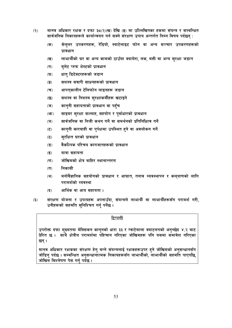- मानव अधिकार रक्षक र दफा ३८(२)(ख) देखि (ङ) मा उल्लिखितका हकमा संयन्त्र र सम्बन्धित  $(5)$ सार्वजनिक निकायहरूले कार्यान्वयन गर्न सक्ने संरक्षण उपाय अन्तर्गत निम्न विषय पर्दछन :
	- सेल्लर उपकरणहरू, रेडियो, स्याटेलाइट फोन वा अन्य सञ्चार उपकरणहरूको  $($ क) पावधान
	- लाभार्थीको घर वा अन्य कामको ठाउँमा क्यामेरा, लक, बत्ती वा अन्य सुरक्षा जडान  $(\overline{q})$
	- बलेट प्रुफ भेस्टको प्रावधान  $(T)$
	- धात डिटेक्टरहरूको जडान  $(\mathbf{\overline{u}})$
	- सशस्त्र सवारी साधनहरूको प्रावधान  $\left( \overline{\mathbf{S}}\right)$
	- आपतकालीन टेलिफोन लाइनहरू जडान  $(\overline{\mathbf{v}})$
	- सशस्त्र वा निशस्त्र सरक्षाकर्मीहरू खटाइने  $\overline{\mathfrak{B}}$
	- काननी सहायताको प्रावधान वा पहँच  $(\overline{v})$
	- साइबर सुरक्षा सल्लाह, सहयोग र पुर्वाधारको प्रावधान  $(\mathfrak{F})$
	- सार्वजनिक वा निजी कथन गर्ने वा समर्थनको प्रतिनिधित्व गर्ने  $($ ञ $)$
	- काननी कारबाही वा पर्पक्षमा उपस्थित हने वा अवलोकन गर्ने  $(5)$
	- सरक्षित घरको प्रावधान  $(5)$
	- वैकल्पिक परिचय कागजातहरूको प्रावधान  $(3)$
	- यात्रा सहायता  $\mathbf{E}$
	- जोखिमको क्षेत्र बाहिर स्थानान्तरण  $(\overline{\mathbf{u}})$
	- निकासी  $(7)$
	- मनोवैज्ञानिक सहयोगको प्रावधान र आघात, तनाव व्यवस्थापन र कलयाणको लागि  $(\mathbf{Y})$ परामर्शको व्यवस्था
	- आर्थिक वा आय सहायता।  $(3)$
- संरक्षण योजना र उपायहरू अपनाउँदा, संयन्त्रले लाभार्थी वा लाभार्थीहरूसँग परामर्श गरी,  $(5)$ उनीहरूको सहमति सुनिश्चित गर्नु पर्नेछ।

उपरोक्त दफा मुख्यतया मेक्सिकन कानुनको धारा ३३ र ग्वाटेमाला क्याटलगको अनुच्छेद ४.२ बाट <u>प्रेरित छ । साँ</u>थै क्षेत्रीय परामर्शमा पहिचान गरिएका जोखिमहरू पनि यसमा समावेश गरिएका छन् ।

मानव अधिकार रक्षकका संरक्षण हेतु बन्ने संयन्त्रलाई रक्षकहरूउपर हुने जोखिमको अनुसन्धानसँग जोडिनु पर्दछ । सम्बन्धित अनुसन्धानात्मक निकायहरूसँग लाभार्थीको, लाभार्थीको सहमति पाएपछि, जोखिम विश्लेषण पेस गर्न पर्दछ ।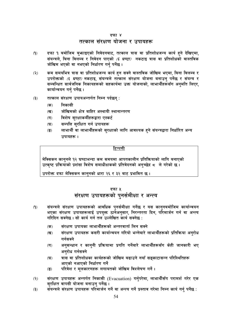#### दफा ४

#### तत्काल संरक्षण योजना र उपायहरू

- दफा १ बमोजिम बुभ्फाइएको निवेदनबाट, तत्काल त्रास वा प्रतिशोधजन्य कार्य हुने देखिएमा,  $(9)$ संयन्त्रले, बिना विलम्ब र निवेदन पाएको *(६ घण्टा)* नकटाइ त्रास वा प्रतिशोधको वास्तविक जोखिम भएको वा नभएको निर्धारण गर्न पर्नेछ।
- कम समयभित्र त्रास वा प्रतिशोधजन्य कार्य हुन सक्ने वास्तविक जोखिम भएमा, बिना विलम्ब र  $(5)$ उपरोक्तको *(६ घण्टा)* नकटाइ, संयन्त्रले तत्काल संरक्षण योजना बनाउन पर्नेछ र संयन्त्र र सम्बन्धित सार्वजनिक निकायहरूको सहकार्यमा उक्त योजनाको, लाभार्थीहरूसँग अनुमति लिएर, कार्यान्वयन गर्न् पर्नेछ।
- तत्काल संरक्षण उपायअन्तर्गत निम्न पर्दछन्:  $(5)$ 
	- निकासी  $(35)$
	- जोखिमको क्षेत्र बाहिर अस्थायी स्थानान्तरण  $(\overline{q})$
	- विशेष सुरक्षाकर्मीहरूद्वारा एस्कर्ट  $(T)$
	- सम्पत्ति सुरक्षित गर्न उपायहरू  $(\mathbf{\overline{z}})$
	- लाभार्थी वा लाभार्थीहरूको सुरक्षाको लागि आवश्यक हुने संयन्त्रद्वारा निर्धारित अन्य  $\overline{(\overline{S})}$ उपायहरू ।

#### टिप्पणी

मेक्सिकन काननले १२ घण्टाभन्दा कम समयमा आपतकालीन प्रतिक्रियाको लागि बनाएको उत्कृष्ट प्रक्रियाको प्रशंसा विशेष समाधीक्षकको प्रतिवेदनको अनुच्छेद ८ ले गरेको छ।

उपरोक्त दफा मेक्सिकन काननको धारा २६ र ३२ बाट प्रभावित छ ।

#### दफा ५

## संरक्षण उपायहरूको पुनर्समीक्षा र अन्त्य

- संयन्त्रले संरक्षण उपायहरूको आवधिक पुनर्समीक्षा गर्नेछ र यस कानुनबमोजिम कार्यान्वयन  $(9)$ भएका संरक्षण उपायहरूलाई उपयुक्त ठानेअनुसार, निरन्तरता दिन, परिमार्जन गर्न वा अन्त्य गरिदिन सक्नेछ । सो कार्य गर्न तल उल्लेखित कार्य सक्नेछ :
	- संरक्षण उपायका लाभार्थीहरूको अन्तरवार्ता लिन सक्ने  $(35)$
	- संरक्षण उपायहरू कसरी कार्यान्वयन गरियो भन्नेबारे लाभार्थीहरूको प्रतिक्रिया अनुरोध  $(\overline{q})$ गर्नसक्ने
	- अनुसन्धान र कानुनी प्रक्रियामा प्रगति गर्नेबारे लाभार्थीहरूसँग केही जानकारी भए  $(T)$ अनुरोध गर्नसक्ने
	- त्रास वा प्रतिशोधका कार्यहरूको जोखिम बढाउने नयाँ सङ्काटासन्न परिस्थितिहरू  $(\mathbf{\nabla})$ आएको नआएको निर्धारण गर्ने
	- परिवेश र मूलकारणहरू लगायतको जोखिम विश्लेषण गर्ने ।  $\left( \overline{\mathbf{S}}\right)$
- संरक्षण उपायहरू अन्तर्गत निकासी (Evacuation) गर्नुपरेमा, लाभार्थीसँग परामर्श गरेर एक  $(5)$ सुरक्षित वापसी योजना बनाउन् पर्नेछ ।
- संयन्त्रले संरक्षण उपायहरू परिमार्जन गर्ने वा अन्त्य गर्ने प्रस्ताव गरेमा निम्न कार्य गर्न् पर्नेछ :  $(5)$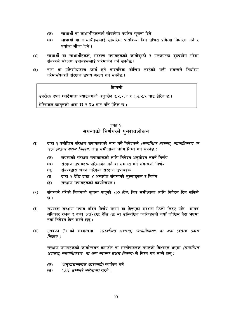- $($ क $)$ लाभार्थी वा लाभार्थीहरूलाई सोबारेमा पर्याप्त सूचना दिने
- लाभार्थी वा लाभार्थीहरूलाई सोबारेमा प्रतिक्रिया दिन उचित प्रक्रिया निर्धारण गर्ने र  $(\overline{q})$ पर्याप्त मौका दिने ।
- लाभार्थी वा लाभार्थीहरूले, संरक्षण उपायहरूको जानीबभी र पटकपटक दरुप्रयोग गरेमा  $(Y)$ संयन्त्रले संरक्षण उपायहरूलाई परिमार्जन गर्न सक्नेछ ।
- त्रास वा प्रतिशोधजन्य कार्य हुने वास्तविक जोखिम नरहेको भनी संयन्त्रले निर्धारण  $(2)$ गरेमासंयन्त्रले संरक्षण उपाय अन्त्य गर्न सक्नेछ ।

उपरोक्त दफा ग्वाटेमाला क्याटलगको अन्च्छेद ३.२.२.४ र ३.२.२.५ बाट प्रेरित छ।

मेक्सिकन कानुनको धारा ३६ र २७ बाट पनि प्रेरित छ ।

### दफा ६ संयन्त्रको निर्णयको पुनरावलोकन

- दफा १ बमोजिम संरक्षण उपायहरूको माग गर्ने निवेदकले *(सम्बन्धित अदालत, न्यायाधिकरण वा*  $(9)$ *अरू स्वतन्त्र सक्षम निकाय)* लाई समीक्षाका लागि निम्न गर्न सक्नेछ :
	- संयन्त्रको संरक्षण उपायहरूको लागि निवेदन अनुमोदन नगर्ने निर्णय  $($ क)
	- संरक्षण उपायहरू परिमार्जन गर्ने वा समाप्त गर्ने संयन्त्रको निर्णय  $(\overline{q})$
	- संयन्त्रद्वारा चयन गरिएका संरक्षण उपायहरू  $(T)$
	- दफा २ देखि दफा ४ अन्तर्गत संयन्त्रको मुल्याङ्कन र निर्णय  $(\mathbf{\overline{z}})$
	- संरक्षण उपायहरूको कार्यान्वयन ।  $\overline{(\overline{S})}$
- संयन्त्रले गरेको निर्णयको सुचना पाएको *(३० दिन)* भित्र समीक्षाका लागि निवेदन दिन सकिने  $(5)$ छ ।
- संयन्त्रले संरक्षण उपाय नदिने निर्णय गरेमा वा दिइएको संरक्षण फिर्ता लिइए पनि मानव  $(5)$ अधिकार रक्षक र दफा ३८(२)(ख) देखि (ङ) मा उल्लिखित व्यक्तिहरूले नयाँ जोखिम पैदा भएमा नयाँ निवेदन दिन सक्ने छन ।
- उपदफा (१) को सम्बन्धमा *(सम्बन्धित अदालत, न्यायाधिकरण, वा अरू स्वतन्त्र सक्षम*  $(\lambda)$ निकाय )

संरक्षण उपायहरूको कार्यान्वयन कमजोर वा सन्तोषजनक नभएको विश्वस्त भएमा *(सम्बन्धित अदालत, न्यायाधिकरण वा अरू स्वतन्त्र सक्षम निकाय)* ले निम्न गर्न सक्ने छन् :

- *(अनुशासनात्मक कारबााही)* स्थापित गर्ने  $($ क)
- $(SX$  सम्मको जरिवाना) राख्ने ।  $(\overline{q})$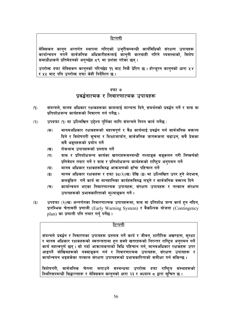मेक्सिकन कान्**न अन्तर्गत स्थापना गरिएको उज्**रीसम्बन्धी कार्यविधिको संरक्षण उपायहरू कार्यान्वयन नगर्ने सार्वजनिक अधिकारीहरूलाई कान्**नी कारबाही गरिने व्यवस्थाको, विशे**ष समाधीक्षकले प्रतिवेदनको अनुच्छेद ८९ मा प्रशंसा गरेका छन् ।

उपरोक्त दफा मेक्सिकन कानुनको परिच्छेद ११ बाट निकै प्रेरित छ। होन्डुरन कानुनको धारा ५४ र ५५ बाट पनि उपरोक्त दफा केही निर्देशित छ ।

#### दफा ७ प्रवर्द्धनात्मक र निवारणात्मक उपायहरू

- $(9)$ संयन्त्रले, मानव अधिकार रक्षकहरूका कामलाई मान्यता दिने, समर्थनको प्रवर्द्धन गर्ने र त्रास वा प्रतिशोधजन्य कार्यहरूको निवारण गर्न पर्नेछ ।
- उपदफा (१) मा उल्लिखित उद्देश्य पुर्तिका लागि संयन्त्रले निम्न कार्य गर्नेछ:  $(5)$ 
	- मानवअधिकार रक्षकहरूको महत्वपूर्ण र वैध कार्यलाई प्रबर्द्धन गर्न सार्वजनिक वक्तव्य  $(overline{p})$ दिने र विशेषगरी सूचना र शिक्षामार्फत, सार्वजनिक जागरूकता बढाउन, सबै प्रेसका सबै अङगहरूको प्रयोग गर्ने
	- रोकथाम उपायहरूको प्रस्ताव गर्ने  $(\overline{q})$
	- त्रास र प्रतिशोधजन्य कार्यका खतराहरूसम्बन्धी तथ्याङ्क सङ्कलन गरी निष्कर्षको  $(T)$ प्रतिवेदन तयार गर्ने र त्रास र प्रतिशोधजन्य कार्यहरूको राष्टिय अनुगमन गर्ने
	- मानव अधिकार रक्षकहरूविरुद्ध आक्रमणको ढाँचा पहिचान गर्ने  $(\mathbf{\nabla})$
	- मानव अधिकार रक्षकहरू र दफा ३८(२)(ख) देखि (ङ) मा उल्लिखित उपर हुने भेदभाव,  $\overline{(\overline{S})}$ कलङकित गर्ने कार्य वा मानहानिका कार्यहरूविरुद्ध लडने र सार्वजनिक वक्तव्य दिने
	- कार्यान्वयन भएका निवारणात्मक उपायहरू, संरक्षण उपायहरू र तत्काल संरक्षण  $(\overline{\mathbf{v}})$ उपायहरूको प्रभावकारिताको मुल्याङ्कन गर्ने।
- उपदफा (२)(ख) अन्तर्गतका निवारणात्मक उपायहरूमा, त्रास वा प्रतिशोध जन्य कार्य हन नदिन,  $(5)$ प्रारम्भिक चेतावनी प्रणाली (Early Warning System) र वैकल्पिक योजना (Contingency plan) का प्रणाली पनि तयार गर्न पर्नेछ।

#### टिप्पणी

संयन्त्रले प्रवर्द्धन र निवारणका उपायहरू प्रस्ताव गर्ने कार्य र जीवन, शारीरिक अखण्डता, सुरक्षा र मानव अधिकार रक्षकहरूको स्वतन्त्रतामा हुन सक्ने खतरहरूको निरन्तर राष्ट्रिय अनुगमन गर्ने कार्य महत्वपूर्ण छन् । सो गर्दा आक्रामकताको विधि पहिचान गर्न, मानवअधिकार रक्षकहरू उपर आइपर्ने जोखिमहरूको नक्साङ्कन गर्न र निवारणात्मक उपायहरू, संरक्षण उपायहरू र कार्यान्वयन भइसकेका तत्काल संरक्षण उपायहरूको प्रभावकारिताको समीक्षा गर्न सकिन्छ ।

विशेषगरी, सार्वजनिक चेतना जगाउने सम्बन्धमा उपरोक्त दफा राष्ट्रिय संस्थाहरूको स्थितिसम्बन्धी सिद्धान्तहरू र मेक्सिकन कानुनको धारा २३ र अध्याय ८ द्वारा सूचित छ ।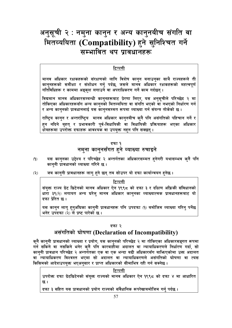## अनुसूची २ : नमुना कानुन र अन्य कानुनबीच संगति वा मितव्ययिता (Compatibility) हने सुनिश्चित गर्ने सम्भावित थप प्रावधानहरू

#### टिप्पणी

मानव अधिकार रक्षकहरूको संरक्षणको लागि विशेष कान्न बनाउन्का साथै राज्यहरूले ती कानुनहरूको समीक्षा र संशोधन गर्न् पर्दछ, जसले मानव अधिकार रक्षकहरूको महत्वपूर्ण गतिविधिहरू र काममा अङ्कश लगाउने वा अपराधिकरण गर्ने काम गर्दछन ।

विद्यमान मानव अधिकारसम्बन्धी कान्**नहरूबाट प्रेरणा लिएर, यस अन्**सूचीले परिच्छेद २ मा तोकिएका अधिकारहरूसँग अन्य काननको मितव्ययिता वा संगति भएको वा नभएको निर्धारण गर्न र अन्य काननको प्रावधानलाई यस काननसम्मत रूपमा व्याख्या गर्न संयन्त्र तोकेको छ ।

राष्ट्रिय कानुन र अन्तर्राष्ट्रिय मानव अधिकार कानुनबीच कुनै पनि असंगतिको पहिचान गर्ने र हन नदिने बृहत् र प्रभावकारी पूर्व-विधायिकी वा विधायिकी प्रक्रियाहरू भएका अधिकार क्षेत्रहरूमा उपरोक्त दफाहरू आवश्यक वा उपयुक्त नहन पनि सक्छन् ।

#### दफा १

## नमुना कानुनसँगत हुने व्याख्या रुचाइने

- $(9)$ यस कानुनका उद्देश्य र परिच्छेद २ अन्तर्गतका अधिकारसम्मत हुनेगरी यथासम्भव कुनै पनि काननी प्रावधानको व्याख्या गरिने छ ।
- जब कानुनी प्रावधानहरू लागु हुने छन् तब सोउपर यो दफा कार्यान्वयन हुनेछ ।  $(5)$

टिप्पणी

संयुक्त राज्य ग्रेट ब्रिटेनको मानव अधिकार ऐन १९९८ को दफा ३ र दक्षिण अफ्रिकी संविधानको धारा ३९(२) लगायत अन्य घरेल् मानव अधिकार कान्**नका व्याख्यात्मक प्रावधानहरूबाट** यो दफा प्रेरित छ ।

यस कानुन लागु हुनुअघिका कानुनी प्रावधानहरू पनि उपदफा (१) बमोजिम व्याख्या गरिन् पर्नेछ भनेर उपदफा (२) ले प्रष्ट पारेको छ।

#### दफा २

## असंगतिको घोषणा (Declaration of Incompatibility)

कुनै कानुनी प्रावधानको व्याख्या र प्रयोग, यस कानुनको परिच्छेद २ मा तोकिएका अधिकारसङ्गत रूपमा गर्न सकिने वा नसकिने भनेर कनै पनि कारबाहीमा अदालत वा न्यायाधिकरणले निर्धारण गर्दा, सो कान्नी प्रावधान परिच्छेद २ अन्तर्गतका एक वा एक भन्दा बढी अधिकारसँग बाफिएकोमा उक्त अदालत वा न्यायाधिकरण विश्वस्त भएमा सो अदालत वा न्यायाधिकरणले असंगतिको घोषणा वा त्यस किसिमको आदेशउपयुक्त भएअनुसार र प्राप्त अधिकारको सीमाभित्र रही गर्न सक्नेछ ।

टिप्पणी

उपरोक्त दफा ग्रेटब्रिटेनको संयुक्त राज्यको मानव अधिकार ऐन १९९८ को दफा ४ मा आधारित छ।

दफा ३ सहित यस प्रावधानको प्रयोग राज्यको संवैधानिक रूपरेखाबमोजिम गर्नु पर्दछ ।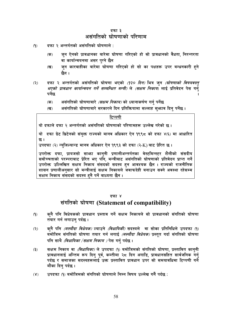#### दफा ३ असंगतिको घोषणाको परिणाम

- दफा २ अन्तर्गतको असंगतिको घोषणाले :  $(9)$ 
	- जुन ऐनको प्रावधानका बारेमा घोषणा गरिएको हो सो प्रावधानको वैधता, निरन्तरता  $($ क) वा कार्यान्वयनमा असर पग्ने छैन
	- जुन कारबाहीका बारेमा घोषणा गरिएको हो सो का पक्षहरू उपर बन्धनकारी हुने  $(\overline{q})$ छैन ।
- दफा २ अन्तर्गतको असंगतिको घोषणा भएको *(१२० दिन)* भित्र ज्*न (घोषणाको विषयवस्त्*  $(5)$ *भएको प्रावधान कार्यान्वयन गर्ने सम्बन्धित मन्त्री)* ले *(सक्षम निकाय*) लाई प्रतिवेदन पेस गर्न पर्नेछ
	- असंगतिको घोषणाबारे *(सक्षम निकाय)* को ध्यानाकर्षण गर्न पर्नेछ  $(35)$
	- असंगतिको घोषणाबारे सरकारले दिन प्रतिक्रियामा सल्लाह सुभ्फाव दिन् पर्नेछ ।  $(\overline{q})$

#### टिप्पणी

यो दफाले दफा २ अन्तर्गतको असंगतिको घोषणाको परिणामहरू उल्लेख गरेको छ।

यो दफा ग्रेट ब्रिटेनको संयुक्त राज्यको मानव अधिकार ऐन १९९८ को दफा ४(६) मा आधारित छ ।

उपदफा (२) न्युजिल्यान्ड मानव अधिकार ऐन १९९३ को दफा (२-K) बाट प्रेरित छ।

उपरोक्त दफा, प्रायजसो साभ्रा कानुनी प्रणालीअन्तर्गतका वेस्टमिन्स्टर शैलीको संसदीय सर्वोच्चताको परम्पराबाट प्रेरित भए पनि, मन्त्रीबाट असंगतिको घोषणाको प्रतिवेदन प्राप्त गर्ने उपरोक्त उल्लिखित सक्षम निकाय संसदको सदस्य हुन आवश्यक छैन । राज्यको राजनीतिक शासन प्रणालीअन्**सार सो मन्त्रीलाई सक्षम निकायले ज**वाफदेही बनाउन सक्ने अवस्था रहेसम्म सक्षम निकाय संसदको सदस्य हनै पर्ने बाध्यता छैन ।

#### दफा ४

## संगतिको घोषणा (Statement of compatibility)

- क्नै पनि विधेयकको प्रावधान प्रस्ताव गर्ने सक्षम निकायले सो प्रावधानको संगतिको घोषणा  $(9)$ तयार गर्न लगाउन पर्दछ ।
- क्**नै पनि** *(मस्यौदा विधेयक) ल्याउने (विधायिकी)* **सदस्यले वा सोका प्रतिनिधिले उपदफा (१)**  $(5)$ बमोजिम संगतिको घोषणा तयार गर्न लगाई *(मस्यौदा विधेयक)* प्रस्तुत गर्दा संगतिको घोषणा पनि साथै *(विधायिका /सक्षम निकाय )* पेस गर्न पर्दछ ।
- $(5)$ सक्षम निकाय वा *(विधायिका)* ले उपदफा (१) बमोजिमको संगतिको घोषणा, प्रस्तावित काननी प्रावधानलाई अन्तिम रूप दिन् पूर्व, कम्तीमा २८ दिन अगाडि, प्रावधानसहित सार्वजनिक गर्न् पर्दछ र समाजका सदस्यहरूलाई उक्त प्रस्तावित प्रावधान उपर सो समयावधिमा टिप्पणी गर्ने मौका दिन् पर्दछ ।
- उपदफा (१) बमोजिमको संगतिको घोषणाले निम्न विषय उल्लेख गर्नै पर्दछ :  $(\gamma)$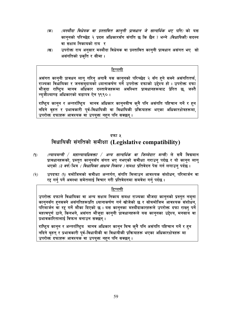- (मस्यौदा विधेयक वा प्रस्तावित कानूनी प्रावधान जे सान्दर्भिक भए पनि) को यस  $(35)$ काननको परिच्छेद २ प्रदत्त अधिकारसँग संगति छ कि छैन ? भन्ने *(विधायिकी)* सदस्य वा सक्षम निकायको राय र
- उपरोक्त राय अनुसार मस्यौदा विधेयक वा प्रस्तावित कानुनी प्रावधान असंगत भए सो  $(3)$ असंगतिको प्रकृति र सीमा।

असंगत कानुनी प्रावधन लागु गरिन् अगावै यस कानुनको परिच्छेद २ सँग हुने सक्ने असंगतितर्फ, राज्यका विधायिका र जनसमदायको ध्यानाकर्षण गर्ने उपरोक्त दफाको उद्देश्य हो । उपरोक्त दफा मौजुदा राष्ट्रिय मानव अधिकार दस्तावेजहरूमा अवस्थित प्रावधानहरूबाट प्रेरित छ जस्तै न्यजील्याण्ड अधिकारको बडापत्र ऐन १९९० ।

राष्ट्रिय कानुन र अन्तर्राष्ट्रिय मानव अधिकार कानुनबीच कुनै पनि असंगति पहिचान गर्ने र हुन नदिने वहत र प्रभावकारी पर्व-विधायिकी वा विधायिकी प्रक्रियाहरू भएका अधिकारक्षेत्रहरूमा, उपरोक्त दफाहरू आवश्यक वा उपयक्त नहन पनि सक्छन ।

#### दफा ५

## विधायिकी संगतिको समीक्षा (Legislative compatibility)

- *(न्यायमन्त्री / महान्यायधिवक्ता / अन्य सान्दर्भिक वा जिम्मेदार मन्त्री)* ले सबै विद्यमान  $(9)$ प्रावधानहरूको, प्रस्तुत कानुनसँग संगत भए नभएको समीक्षा गराउनु पर्दछ र यो कानुन लाग् भएको *(३ वर्ष)* भित्र *( विधायिका ।सक्षम निकाय )* समक्ष प्रतिवेदन पेस गर्न लगाउन पर्दछ ।
- उपदफा (१) बमोजिमको समीक्षा अन्तर्गत, संगति मिलाउन आवश्यक संशोधन, परिमार्जन वा  $(5)$ रद्द गर्न पर्ने अवस्था समेतलाई विचार गरी प्रतिवेदनमा समवेश गर्न पर्दछ ।

#### टिप्पणी

उपरोक्त दफाले विधायिका वा अन्य सक्षम निकाय समक्ष राज्यका मौजदा कानुनको प्रस्तुत नमुना काननसँग हनसक्ने असंगतिहरूप्रति ध्यानाकर्षण गर्न खोजेको छ र सोबमोजिम आवश्यक संशोधन, परिमार्जन वा रद्द गर्ने मौका दिएको छ । यस कानुनका मस्यौदाकारहरूले उपरोक्त दफा राख्नु पर्ने महत्वपूर्ण ठाने, किनभने, असंगत मौजुदा कानूनी प्रावधानहरूले यस कानूनका उद्देश्य, मनसाय वा प्रभावकारितालाई विफल बनाउन सक्छन् ।

राष्ट्रिय कानुन र अन्तर्राष्ट्रिय मानव अधिकार कानुन बिच कुनै पनि असंगति पहिचान गर्ने र हुन नदिने बहुत र प्रभावकारी पर्व-विधायीकी वा विधायीकी प्रक्रियाहरू भएका अधिकारक्षेत्रहरू मा उपरोक्त दर्फाहरू आवश्यक वा उपयुक्त नहन पनि सक्छन्।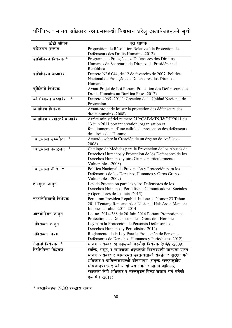## परिशिष्ट : मानव अधिकार रक्षकसम्बन्धी विद्यमान घरेलु दस्तावेजहरूको सूची

| छोटो शीर्षक                  | परा शीर्षक                                                                              |
|------------------------------|-----------------------------------------------------------------------------------------|
| बेल्जियन प्रस्ताव            | Proposition de Résolution Relative á la Protection des                                  |
|                              | Défenseurs des Droits Humains -2012)                                                    |
| ब्राजिलियन विधेयक *          | Programa de Proteção aos Defensores dos Direitos                                        |
|                              | Humanos da Secretaria de Direitos da Presidência da                                     |
|                              | República                                                                               |
| ब्राजिलियन अध्यादेश          | Decreto Nº 6.044, de 12 de fevereiro de 2007. Política                                  |
|                              | Nacional de Proteção aos Defensores dos Direitos                                        |
|                              | Humanos                                                                                 |
| बुर्किनाबे विधेयक            | Avant-Projet de Loi Portant Protection des Défenseurs des                               |
|                              | Droits Humains au Burkina Faso -2012)                                                   |
| कोलम्बियन अध्यादेश<br>*      | Decreto 4065 -2011): Creación de la Unidad Nacional de                                  |
| कंगोलिज विधेयक               | Protección                                                                              |
|                              | Avant-projet de loi sur la protection des défenseurs des<br>droits humains -2008)       |
| कंगोलिज मन्त्रीस्तरीय आदेश   | Arrêté ministériel numéro 219/CAB/MIN/J&DH/2011 du                                      |
|                              | 13 juin 2011 portant création, organisation et                                          |
|                              | fonctionnement d'une cellule de protection des défenseurs                               |
|                              | des droits de l'Homme                                                                   |
| ग्वाटेमाला सम्भ्रौता<br>*    | Acuerdo sobre la Creación de un órgano de Análisis -                                    |
|                              | 2008)                                                                                   |
| ग्वाटेमाला क्याटलग<br>$\ast$ | Catálogo de Medidas para la Prevención de los Abusos de                                 |
|                              | Derechos Humanos y Protección de los Defensores de los                                  |
|                              | Derechos Humanos y otro Grupos particularmente                                          |
|                              | Vulnerables -2008)                                                                      |
| ग्वाटेमाला नीति<br>∗         | Política Nacional de Prevención y Protección para los                                   |
|                              | Defensores de los Derechos Humanos y Otros Grupos                                       |
|                              | Vulnerables -2009)                                                                      |
| होन्डुरन कानुन               | Ley de Protección para las y los Defensores de los                                      |
|                              | Derechos Humanos, Periodistas, Comunicadores Sociales                                   |
| इन्डोनेसियाली विधेयक         | y Operadores de Justicia -2015)<br>Peraturan Presiden Republik Indonesia Nomor 23 Tahun |
|                              | 2011 Tentang Rencana Aksi Nasional Hak Asasi Manusia                                    |
|                              | Indonesia Tahun 2011-2014                                                               |
| आइभोरियन कानुन               | Loi no. 2014-388 de 20 Juin 2014 Portant Promotion et                                   |
|                              | Protection des Défenseurs des Droits de l'Homme                                         |
| मेक्सिकन कानुन               | Ley para la Protección de Personas Defensoras de                                        |
|                              | Derechos Humanos y Periodistas -2012)                                                   |
| मेक्सिकन नियम                | Reglamento de la Ley Para la Protección de Personas                                     |
|                              | Defensoras de Derechos Humanos y Periodistas -2012)                                     |
| नेपाली विधेयक<br>∗           | मानव अधिकार रक्षकहरूको मस्यौदा विधेयक २०६६ -2009)                                       |
| फिलिपिन्स विधेयक             | व्यक्ति, समूह, र समाजका अङ्गहरूको विश्वव्यापी मान्यता प्राप्त                           |
|                              | मानव अधिकार र आधारभूत स्वतन्त्रताको संवर्द्धन र सुरक्षा गर्ने                           |
|                              | अधिकार र दायित्वसम्बन्धी घोषणापत्र (संयुक्त राष्ट्रसङ्घीय                               |
|                              | घोषणापत्र) १((८ को कार्यान्वयन गर्न र मानव अधिकार                                       |
|                              | रक्षकका केही अधिकार र उल्लङ्घन विरुद्ध सजाय गर्न बनेको                                  |
|                              | एक ऐन -2011)                                                                            |

 $*$  दस्तावेजहरू  $NGO$  हरूद्वारा तयार